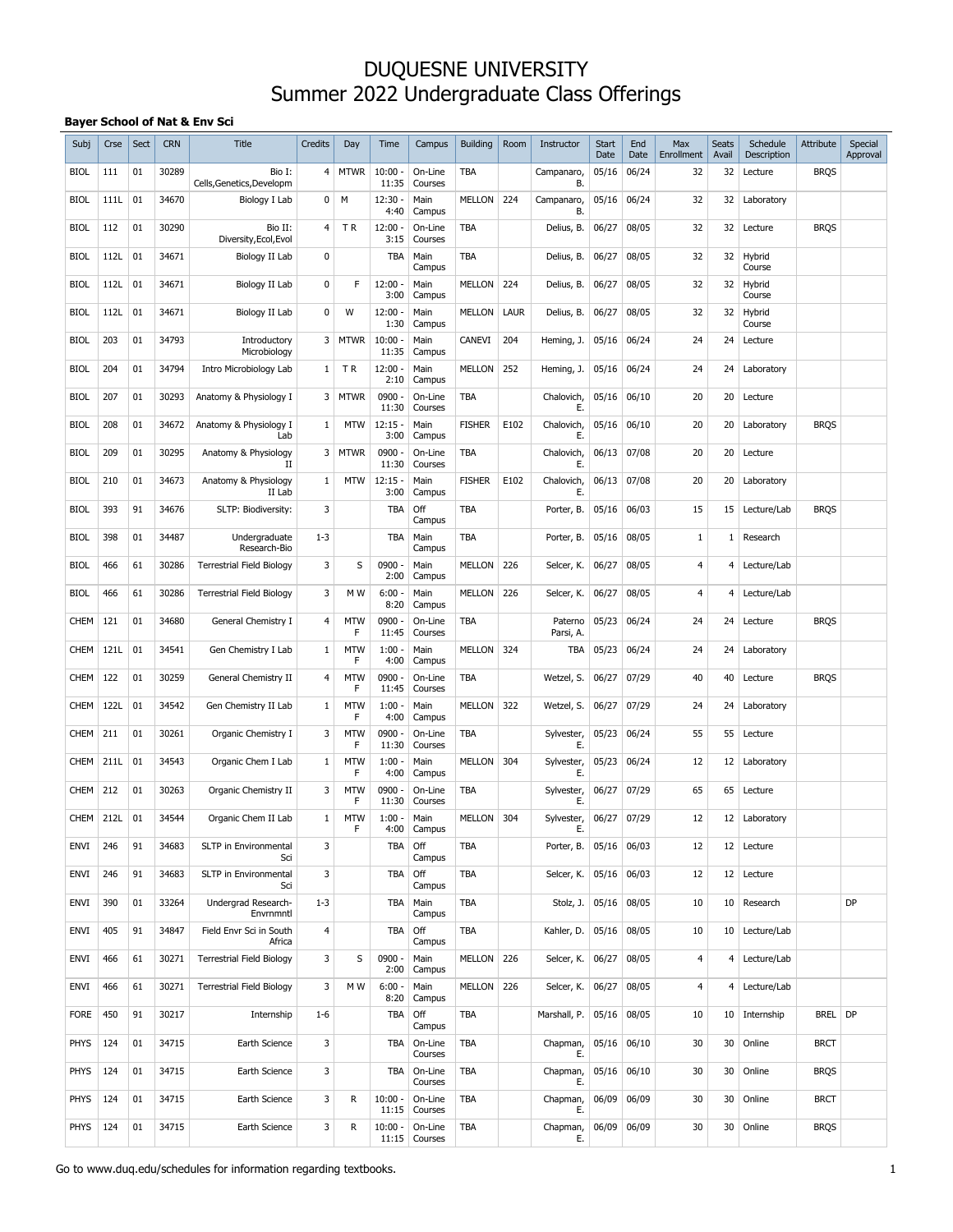#### **Bayer School of Nat & Env Sci**

| Subj        | Crse | Sect | <b>CRN</b> | <b>Title</b>                        | Credits        | Day             | Time               | Campus                   | <b>Building</b> | Room | Instructor           | <b>Start</b><br>Date | End<br>Date | Max<br>Enrollment | <b>Seats</b><br>Avail | Schedule<br>Description | Attribute   | Special<br>Approval |
|-------------|------|------|------------|-------------------------------------|----------------|-----------------|--------------------|--------------------------|-----------------|------|----------------------|----------------------|-------------|-------------------|-----------------------|-------------------------|-------------|---------------------|
| <b>BIOL</b> | 111  | 01   | 30289      | Bio I:<br>Cells, Genetics, Developm | 4              | <b>MTWR</b>     | $10:00 -$<br>11:35 | On-Line<br>Courses       | TBA             |      | Campanaro,<br>В.     | 05/16                | 06/24       | 32                | 32                    | Lecture                 | <b>BRQS</b> |                     |
| <b>BIOL</b> | 111L | 01   | 34670      | Biology I Lab                       | 0              | М               | $12:30 -$<br>4:40  | Main<br>Campus           | <b>MELLON</b>   | 224  | Campanaro,<br>В.     | 05/16                | 06/24       | 32                | 32                    | Laboratory              |             |                     |
| <b>BIOL</b> | 112  | 01   | 30290      | Bio II:<br>Diversity, Ecol, Evol    | 4              | TR              | $12:00 -$<br>3:15  | On-Line<br>Courses       | TBA             |      | Delius, B.           | 06/27                | 08/05       | 32                | 32                    | Lecture                 | <b>BRQS</b> |                     |
| <b>BIOL</b> | 112L | 01   | 34671      | Biology II Lab                      | 0              |                 | <b>TBA</b>         | Main<br>Campus           | TBA             |      | Delius, B.           | 06/27                | 08/05       | 32                | 32                    | Hybrid<br>Course        |             |                     |
| <b>BIOL</b> | 112L | 01   | 34671      | Biology II Lab                      | 0              | F               | $12:00 -$<br>3:00  | Main<br>Campus           | <b>MELLON</b>   | 224  | Delius, B.           | 06/27                | 08/05       | 32                | 32                    | Hybrid<br>Course        |             |                     |
| <b>BIOL</b> | 112L | 01   | 34671      | Biology II Lab                      | 0              | W               | $12:00 -$<br>1:30  | Main<br>Campus           | <b>MELLON</b>   | LAUR | Delius, B.           | 06/27                | 08/05       | 32                | 32                    | Hybrid<br>Course        |             |                     |
| <b>BIOL</b> | 203  | 01   | 34793      | Introductory<br>Microbiology        | 3              | <b>MTWR</b>     | $10:00 -$<br>11:35 | Main<br>Campus           | CANEVI          | 204  | Heming, J.           | 05/16                | 06/24       | 24                | 24                    | Lecture                 |             |                     |
| <b>BIOL</b> | 204  | 01   | 34794      | Intro Microbiology Lab              | 1              | ΤR              | $12:00 -$<br>2:10  | Main<br>Campus           | <b>MELLON</b>   | 252  | Heming, J.           | 05/16                | 06/24       | 24                | 24                    | Laboratory              |             |                     |
| <b>BIOL</b> | 207  | 01   | 30293      | Anatomy & Physiology I              | 3              | <b>MTWR</b>     | 0900 -<br>11:30    | On-Line<br>Courses       | TBA             |      | Chalovich,<br>Е.     | 05/16                | 06/10       | 20                | 20                    | Lecture                 |             |                     |
| <b>BIOL</b> | 208  | 01   | 34672      | Anatomy & Physiology I<br>Lab       | 1              | <b>MTW</b>      | $12:15 -$<br>3:00  | Main<br>Campus           | <b>FISHER</b>   | E102 | Chalovich,<br>Е.     | 05/16                | 06/10       | 20                | 20                    | Laboratory              | <b>BRQS</b> |                     |
| <b>BIOL</b> | 209  | 01   | 30295      | Anatomy & Physiology<br>п           | 3              | <b>MTWR</b>     | 0900 -<br>11:30    | On-Line<br>Courses       | TBA             |      | Chalovich,<br>Е.     | 06/13                | 07/08       | 20                | 20                    | Lecture                 |             |                     |
| <b>BIOL</b> | 210  | 01   | 34673      | Anatomy & Physiology<br>II Lab      | 1              | <b>MTW</b>      | $12:15 -$<br>3:00  | Main<br>Campus           | <b>FISHER</b>   | E102 | Chalovich,<br>Е.     | 06/13                | 07/08       | 20                | 20                    | Laboratory              |             |                     |
| <b>BIOL</b> | 393  | 91   | 34676      | SLTP: Biodiversity:                 | 3              |                 | <b>TBA</b>         | Off<br>Campus            | TBA             |      | Porter, B.           | 05/16                | 06/03       | 15                | 15                    | Lecture/Lab             | <b>BRQS</b> |                     |
| <b>BIOL</b> | 398  | 01   | 34487      | Undergraduate<br>Research-Bio       | $1 - 3$        |                 | TBA                | Main<br>Campus           | TBA             |      | Porter, B.           | 05/16                | 08/05       | 1                 | 1                     | Research                |             |                     |
| <b>BIOL</b> | 466  | 61   | 30286      | <b>Terrestrial Field Biology</b>    | 3              | S               | $0900 -$<br>2:00   | Main<br>Campus           | <b>MELLON</b>   | 226  | Selcer, K.           | 06/27                | 08/05       | $\overline{4}$    | 4                     | Lecture/Lab             |             |                     |
| <b>BIOL</b> | 466  | 61   | 30286      | <b>Terrestrial Field Biology</b>    | 3              | M W             | $6:00 -$<br>8:20   | Main<br>Campus           | <b>MELLON</b>   | 226  | Selcer, K.           | 06/27                | 08/05       | $\overline{4}$    | 4                     | Lecture/Lab             |             |                     |
| <b>CHEM</b> | 121  | 01   | 34680      | General Chemistry I                 | $\overline{4}$ | <b>MTW</b><br>F | 0900 -<br>11:45    | On-Line<br>Courses       | TBA             |      | Paterno<br>Parsi, A. | 05/23                | 06/24       | 24                | 24                    | Lecture                 | <b>BRQS</b> |                     |
| <b>CHEM</b> | 121L | 01   | 34541      | Gen Chemistry I Lab                 | 1              | <b>MTW</b><br>F | $1:00 -$<br>4:00   | Main<br>Campus           | <b>MELLON</b>   | 324  | TBA                  | 05/23                | 06/24       | 24                | 24                    | Laboratory              |             |                     |
| <b>CHEM</b> | 122  | 01   | 30259      | General Chemistry II                | 4              | <b>MTW</b><br>F | 0900 -<br>11:45    | On-Line<br>Courses       | TBA             |      | Wetzel, S.           | 06/27                | 07/29       | 40                | 40                    | Lecture                 | <b>BRQS</b> |                     |
| <b>CHEM</b> | 122L | 01   | 34542      | Gen Chemistry II Lab                | 1              | <b>MTW</b><br>F | $1:00 -$<br>4:00   | Main<br>Campus           | <b>MELLON</b>   | 322  | Wetzel, S.           | 06/27                | 07/29       | 24                | 24                    | Laboratory              |             |                     |
| <b>CHEM</b> | 211  | 01   | 30261      | Organic Chemistry I                 | 3              | <b>MTW</b><br>F | 0900 -<br>11:30    | On-Line<br>Courses       | TBA             |      | Sylvester,<br>Е.     | 05/23                | 06/24       | 55                | 55                    | Lecture                 |             |                     |
| <b>CHEM</b> | 211L | 01   | 34543      | Organic Chem I Lab                  | 1              | <b>MTW</b><br>F | $1:00 -$<br>4:00   | Main<br>Campus           | MELLON 304      |      | Sylvester,<br>Е.     | 05/23                | 06/24       | 12                | 12                    | Laboratory              |             |                     |
| CHEM        | 212  | 01   | 30263      | Organic Chemistry II                | 3              | <b>MTW</b><br>F | 0900 -<br>11:30    | On-Line<br>Courses       | TBA             |      | Sylvester,<br>Е.     | 06/27                | 07/29       | 65                | 65                    | Lecture                 |             |                     |
| CHEM        | 212L | 01   | 34544      | Organic Chem II Lab                 | 1              | <b>MTW</b><br>F | $1:00 -$<br>4:00   | Main<br>Campus           | MELLON          | 304  | Sylvester,           | 06/27                | 07/29       | 12                | 12                    | Laboratory              |             |                     |
| ENVI        | 246  | 91   | 34683      | SLTP in Environmental<br>Sci        | 3              |                 | TBA                | Off<br>Campus            | TBA             |      | Porter, B.           | 05/16 06/03          |             | 12                |                       | 12 Lecture              |             |                     |
| ENVI        | 246  | 91   | 34683      | SLTP in Environmental<br>Sci        | 3              |                 | <b>TBA</b>         | Off<br>Campus            | TBA             |      | Selcer, K.           | 05/16 06/03          |             | 12                |                       | 12 Lecture              |             |                     |
| ENVI        | 390  | 01   | 33264      | Undergrad Research-<br>Envrnmntl    | $1 - 3$        |                 | TBA                | Main<br>Campus           | TBA             |      | Stolz, J.            | 05/16 08/05          |             | 10                | 10 <sup>1</sup>       | Research                |             | DP                  |
| ENVI        | 405  | 91   | 34847      | Field Envr Sci in South<br>Africa   | $\overline{4}$ |                 | <b>TBA</b>         | Off<br>Campus            | TBA             |      | Kahler, D.           | 05/16 08/05          |             | 10                |                       | 10 Lecture/Lab          |             |                     |
| ENVI        | 466  | 61   | 30271      | <b>Terrestrial Field Biology</b>    | 3              | S               | 0900 -<br>2:00     | Main<br>Campus           | MELLON 226      |      | Selcer, K.           | 06/27                | 08/05       | $\overline{4}$    | 4                     | Lecture/Lab             |             |                     |
| envi        | 466  | 61   | 30271      | <b>Terrestrial Field Biology</b>    | 3              | M W             | $6:00 -$<br>8:20   | Main<br>Campus           | MELLON 226      |      | Selcer, K.           | 06/27                | 08/05       | 4                 |                       | 4 Lecture/Lab           |             |                     |
| <b>FORE</b> | 450  | 91   | 30217      | Internship                          | $1 - 6$        |                 | TBA                | Off<br>Campus            | <b>TBA</b>      |      | Marshall, P.         |                      | 05/16 08/05 | 10                |                       | 10 Internship           | BREL DP     |                     |
| PHYS        | 124  | 01   | 34715      | Earth Science                       | 3              |                 | TBA                | On-Line<br>Courses       | <b>TBA</b>      |      | Chapman,<br>Е.       |                      | 05/16 06/10 | 30                | 30                    | Online                  | <b>BRCT</b> |                     |
| PHYS        | 124  | 01   | 34715      | Earth Science                       | 3              |                 | TBA                | On-Line<br>Courses       | TBA             |      | Chapman,<br>Ε.       |                      | 05/16 06/10 | 30                | 30                    | Online                  | <b>BRQS</b> |                     |
| PHYS        | 124  | 01   | 34715      | Earth Science                       | 3              | R               | $10:00 -$<br>11:15 | On-Line<br>Courses       | TBA             |      | Chapman,<br>Ε.       | 06/09                | 06/09       | 30                | 30 <sup>2</sup>       | Online                  | <b>BRCT</b> |                     |
| PHYS        | 124  | 01   | 34715      | Earth Science                       | 3              | R               | $10:00 -$          | On-Line<br>11:15 Courses | TBA             |      | Chapman,<br>Е.       |                      | 06/09 06/09 | 30                |                       | 30 Online               | <b>BRQS</b> |                     |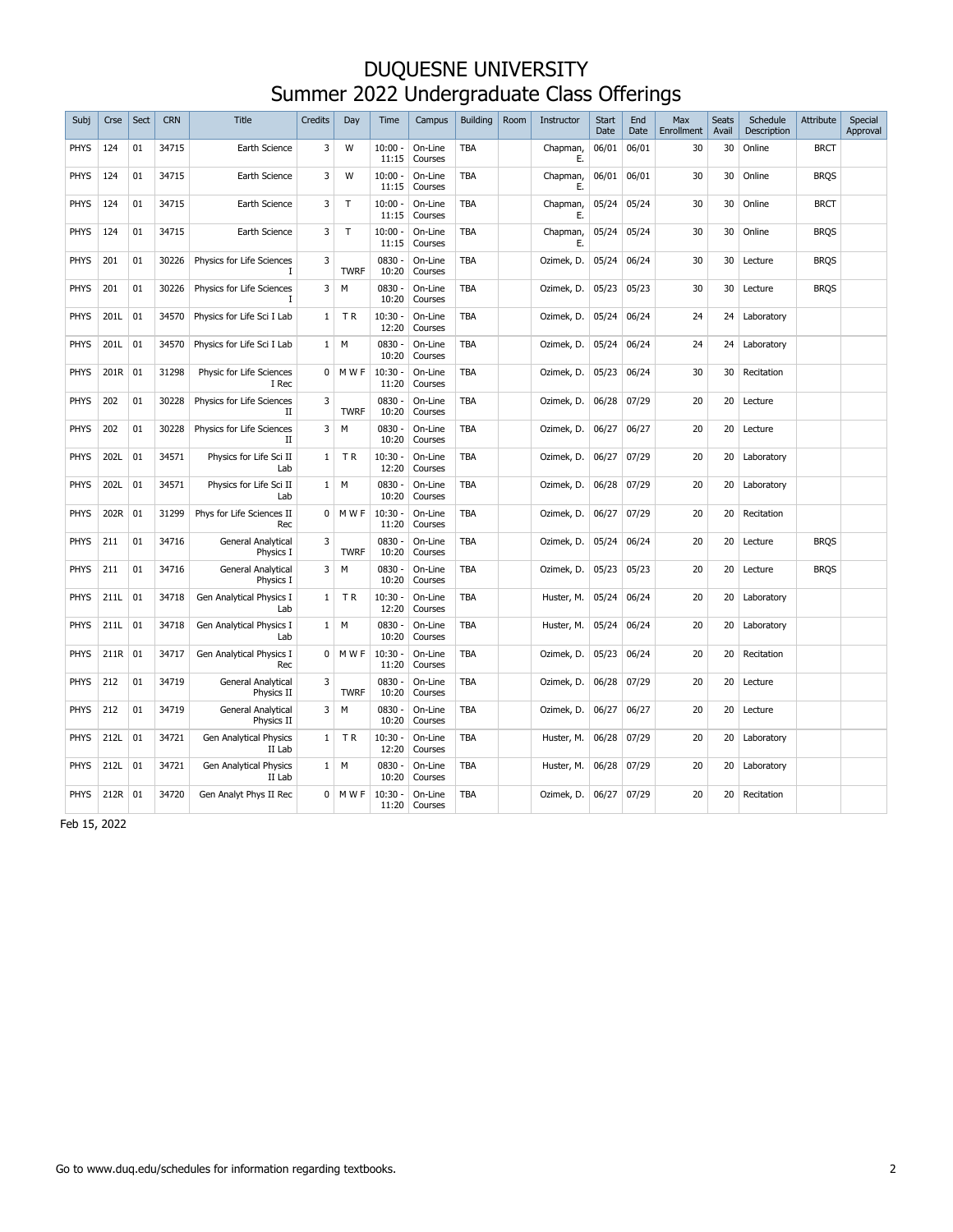| Subi        | Crse | Sect | <b>CRN</b> | Title                                   | <b>Credits</b> | Day         | Time               | Campus             | <b>Building</b> | Room | Instructor     | Start<br>Date | End<br>Date | Max<br>Enrollment | Seats<br>Avail | Schedule<br>Description | <b>Attribute</b> | Special<br>Approval |
|-------------|------|------|------------|-----------------------------------------|----------------|-------------|--------------------|--------------------|-----------------|------|----------------|---------------|-------------|-------------------|----------------|-------------------------|------------------|---------------------|
| <b>PHYS</b> | 124  | 01   | 34715      | Earth Science                           | 3              | W           | $10:00 -$<br>11:15 | On-Line<br>Courses | <b>TBA</b>      |      | Chapman,<br>Ε. | 06/01         | 06/01       | 30                | 30             | Online                  | <b>BRCT</b>      |                     |
| <b>PHYS</b> | 124  | 01   | 34715      | Earth Science                           | 3              | W           | $10:00 -$<br>11:15 | On-Line<br>Courses | <b>TBA</b>      |      | Chapman,<br>Е. | 06/01         | 06/01       | 30                | 30             | Online                  | <b>BROS</b>      |                     |
| <b>PHYS</b> | 124  | 01   | 34715      | Earth Science                           | 3              | T           | $10:00 -$<br>11:15 | On-Line<br>Courses | <b>TBA</b>      |      | Chapman,<br>Ε. | 05/24         | 05/24       | 30                | 30             | Online                  | <b>BRCT</b>      |                     |
| <b>PHYS</b> | 124  | 01   | 34715      | Earth Science                           | 3              | T           | $10:00 -$<br>11:15 | On-Line<br>Courses | <b>TBA</b>      |      | Chapman,<br>Е. | 05/24         | 05/24       | 30                | 30             | Online                  | <b>BROS</b>      |                     |
| <b>PHYS</b> | 201  | 01   | 30226      | Physics for Life Sciences               | 3              | <b>TWRF</b> | $0830 -$<br>10:20  | On-Line<br>Courses | <b>TBA</b>      |      | Ozimek, D.     | 05/24         | 06/24       | 30                | 30             | Lecture                 | <b>BRQS</b>      |                     |
| <b>PHYS</b> | 201  | 01   | 30226      | Physics for Life Sciences               | 3              | M           | $0830 -$<br>10:20  | On-Line<br>Courses | <b>TBA</b>      |      | Ozimek, D.     | 05/23         | 05/23       | 30                | 30             | Lecture                 | <b>BROS</b>      |                     |
| <b>PHYS</b> | 201L | 01   | 34570      | Physics for Life Sci I Lab              | 1              | <b>TR</b>   | $10:30 -$<br>12:20 | On-Line<br>Courses | <b>TBA</b>      |      | Ozimek, D.     | 05/24         | 06/24       | 24                | 24             | Laboratory              |                  |                     |
| <b>PHYS</b> | 201L | 01   | 34570      | Physics for Life Sci I Lab              | $\mathbf{1}$   | M           | $0830 -$<br>10:20  | On-Line<br>Courses | <b>TBA</b>      |      | Ozimek, D.     | 05/24         | 06/24       | 24                | 24             | Laboratory              |                  |                     |
| <b>PHYS</b> | 201R | 01   | 31298      | Physic for Life Sciences<br>I Rec       | 0              | M W F       | $10:30 -$<br>11:20 | On-Line<br>Courses | <b>TBA</b>      |      | Ozimek, D.     | 05/23         | 06/24       | 30                | 30             | Recitation              |                  |                     |
| <b>PHYS</b> | 202  | 01   | 30228      | Physics for Life Sciences<br>П          | 3              | <b>TWRF</b> | $0830 -$<br>10:20  | On-Line<br>Courses | <b>TBA</b>      |      | Ozimek, D.     | 06/28         | 07/29       | 20                | 20             | Lecture                 |                  |                     |
| <b>PHYS</b> | 202  | 01   | 30228      | Physics for Life Sciences<br>П          | 3              | M           | $0830 -$<br>10:20  | On-Line<br>Courses | <b>TBA</b>      |      | Ozimek, D.     | 06/27         | 06/27       | 20                | 20             | Lecture                 |                  |                     |
| <b>PHYS</b> | 202L | 01   | 34571      | Physics for Life Sci II<br>Lab          | 1              | <b>TR</b>   | $10:30 -$<br>12:20 | On-Line<br>Courses | <b>TBA</b>      |      | Ozimek, D.     | 06/27         | 07/29       | 20                | 20             | Laboratory              |                  |                     |
| <b>PHYS</b> | 202L | 01   | 34571      | Physics for Life Sci II<br>Lab          | $\mathbf{1}$   | M           | $0830 -$<br>10:20  | On-Line<br>Courses | <b>TBA</b>      |      | Ozimek, D.     | 06/28         | 07/29       | 20                | 20             | Laboratory              |                  |                     |
| <b>PHYS</b> | 202R | 01   | 31299      | Phys for Life Sciences II<br>Rec        | 0              | M W F       | $10:30 -$<br>11:20 | On-Line<br>Courses | <b>TBA</b>      |      | Ozimek, D.     | 06/27         | 07/29       | 20                | 20             | Recitation              |                  |                     |
| <b>PHYS</b> | 211  | 01   | 34716      | General Analytical<br>Physics I         | 3              | <b>TWRF</b> | $0830 -$<br>10:20  | On-Line<br>Courses | <b>TBA</b>      |      | Ozimek, D.     | 05/24         | 06/24       | 20                | 20             | Lecture                 | <b>BROS</b>      |                     |
| <b>PHYS</b> | 211  | 01   | 34716      | General Analytical<br>Physics I         | 3              | М           | $0830 -$<br>10:20  | On-Line<br>Courses | TBA             |      | Ozimek, D.     | 05/23         | 05/23       | 20                | 20             | Lecture                 | <b>BRQS</b>      |                     |
| <b>PHYS</b> | 211L | 01   | 34718      | Gen Analytical Physics I<br>Lab         | $\mathbf{1}$   | <b>TR</b>   | $10:30 -$<br>12:20 | On-Line<br>Courses | <b>TBA</b>      |      | Huster, M.     | 05/24         | 06/24       | 20                | 20             | Laboratory              |                  |                     |
| PHYS        | 211L | 01   | 34718      | Gen Analytical Physics I<br>Lab         | 1              | М           | 0830 -<br>10:20    | On-Line<br>Courses | <b>TBA</b>      |      | Huster, M.     | 05/24         | 06/24       | 20                | 20             | Laboratory              |                  |                     |
| <b>PHYS</b> | 211R | 01   | 34717      | Gen Analytical Physics I<br>Rec         | $\Omega$       | M W F       | $10:30 -$<br>11:20 | On-Line<br>Courses | <b>TBA</b>      |      | Ozimek, D.     | 05/23         | 06/24       | 20                | 20             | Recitation              |                  |                     |
| PHYS        | 212  | 01   | 34719      | General Analytical<br>Physics II        | 3              | <b>TWRF</b> | $0830 -$<br>10:20  | On-Line<br>Courses | <b>TBA</b>      |      | Ozimek, D.     | 06/28         | 07/29       | 20                | 20             | Lecture                 |                  |                     |
| <b>PHYS</b> | 212  | 01   | 34719      | General Analytical<br>Physics II        | 3              | M           | $0830 -$<br>10:20  | On-Line<br>Courses | <b>TBA</b>      |      | Ozimek, D.     | 06/27         | 06/27       | 20                | 20             | Lecture                 |                  |                     |
| <b>PHYS</b> | 212L | 01   | 34721      | <b>Gen Analytical Physics</b><br>II Lab | $\mathbf{1}$   | <b>TR</b>   | $10:30 -$<br>12:20 | On-Line<br>Courses | <b>TBA</b>      |      | Huster, M.     | 06/28         | 07/29       | 20                | 20             | Laboratory              |                  |                     |
| <b>PHYS</b> | 212L | 01   | 34721      | Gen Analytical Physics<br>II Lab        | 1              | м           | $0830 -$<br>10:20  | On-Line<br>Courses | <b>TBA</b>      |      | Huster, M.     | 06/28         | 07/29       | 20                | 20             | Laboratory              |                  |                     |
| <b>PHYS</b> | 212R | 01   | 34720      | Gen Analyt Phys II Rec                  | 0              | M W F       | $10:30 -$<br>11:20 | On-Line<br>Courses | <b>TBA</b>      |      | Ozimek, D.     | 06/27         | 07/29       | 20                | 20             | Recitation              |                  |                     |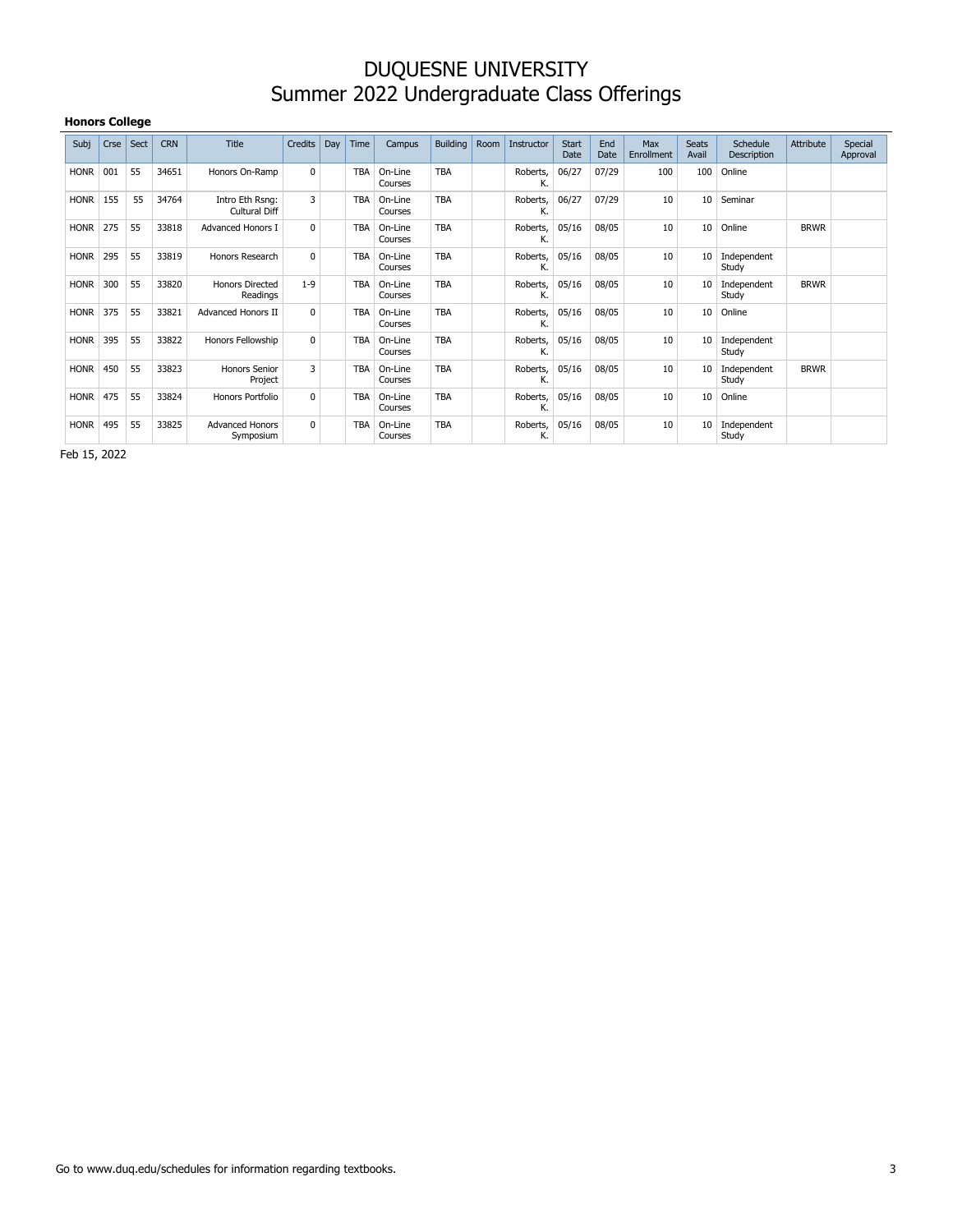#### **Honors College**

| Subj        | Crse | Sect | <b>CRN</b> | <b>Title</b>                            | Credits  | Day | Time       | Campus             | <b>Building</b> | Room | Instructor     | <b>Start</b><br>Date | End<br>Date | Max<br>Enrollment | <b>Seats</b><br>Avail | Schedule<br>Description | Attribute   | Special<br>Approval |
|-------------|------|------|------------|-----------------------------------------|----------|-----|------------|--------------------|-----------------|------|----------------|----------------------|-------------|-------------------|-----------------------|-------------------------|-------------|---------------------|
| <b>HONR</b> | 001  | 55   | 34651      | Honors On-Ramp                          | $\Omega$ |     | <b>TBA</b> | On-Line<br>Courses | <b>TBA</b>      |      | Roberts,<br>К. | 06/27                | 07/29       | 100               | 100                   | Online                  |             |                     |
| <b>HONR</b> | 155  | 55   | 34764      | Intro Eth Rsng:<br><b>Cultural Diff</b> | 3        |     | <b>TBA</b> | On-Line<br>Courses | <b>TBA</b>      |      | Roberts,<br>К. | 06/27                | 07/29       | 10                | 10                    | Seminar                 |             |                     |
| <b>HONR</b> | 275  | 55   | 33818      | <b>Advanced Honors I</b>                | $\Omega$ |     | <b>TBA</b> | On-Line<br>Courses | <b>TBA</b>      |      | Roberts,<br>К. | 05/16                | 08/05       | 10                | 10                    | Online                  | <b>BRWR</b> |                     |
| <b>HONR</b> | 295  | 55   | 33819      | Honors Research                         | $\Omega$ |     | <b>TBA</b> | On-Line<br>Courses | <b>TBA</b>      |      | Roberts,<br>К. | 05/16                | 08/05       | 10                | 10                    | Independent<br>Study    |             |                     |
| <b>HONR</b> | 300  | 55   | 33820      | <b>Honors Directed</b><br>Readings      | $1 - 9$  |     | <b>TBA</b> | On-Line<br>Courses | <b>TBA</b>      |      | Roberts,<br>к. | 05/16                | 08/05       | 10                | 10                    | Independent<br>Study    | <b>BRWR</b> |                     |
| <b>HONR</b> | 375  | 55   | 33821      | <b>Advanced Honors II</b>               | $\Omega$ |     | <b>TBA</b> | On-Line<br>Courses | <b>TBA</b>      |      | Roberts,<br>К. | 05/16                | 08/05       | 10                | 10                    | Online                  |             |                     |
| <b>HONR</b> | 395  | 55   | 33822      | Honors Fellowship                       | $\Omega$ |     | <b>TBA</b> | On-Line<br>Courses | <b>TBA</b>      |      | Roberts,<br>К. | 05/16                | 08/05       | 10                | 10                    | Independent<br>Study    |             |                     |
| <b>HONR</b> | 450  | 55   | 33823      | Honors Senior<br>Project                | 3        |     | <b>TBA</b> | On-Line<br>Courses | <b>TBA</b>      |      | Roberts,<br>к. | 05/16                | 08/05       | 10                | 10                    | Independent<br>Study    | <b>BRWR</b> |                     |
| <b>HONR</b> | 475  | 55   | 33824      | Honors Portfolio                        | $\Omega$ |     | <b>TBA</b> | On-Line<br>Courses | <b>TBA</b>      |      | Roberts,<br>К. | 05/16                | 08/05       | 10                | 10                    | Online                  |             |                     |
| <b>HONR</b> | 495  | 55   | 33825      | <b>Advanced Honors</b><br>Symposium     | $\Omega$ |     | <b>TBA</b> | On-Line<br>Courses | <b>TBA</b>      |      | Roberts,<br>К. | 05/16                | 08/05       | 10                | 10                    | Independent<br>Study    |             |                     |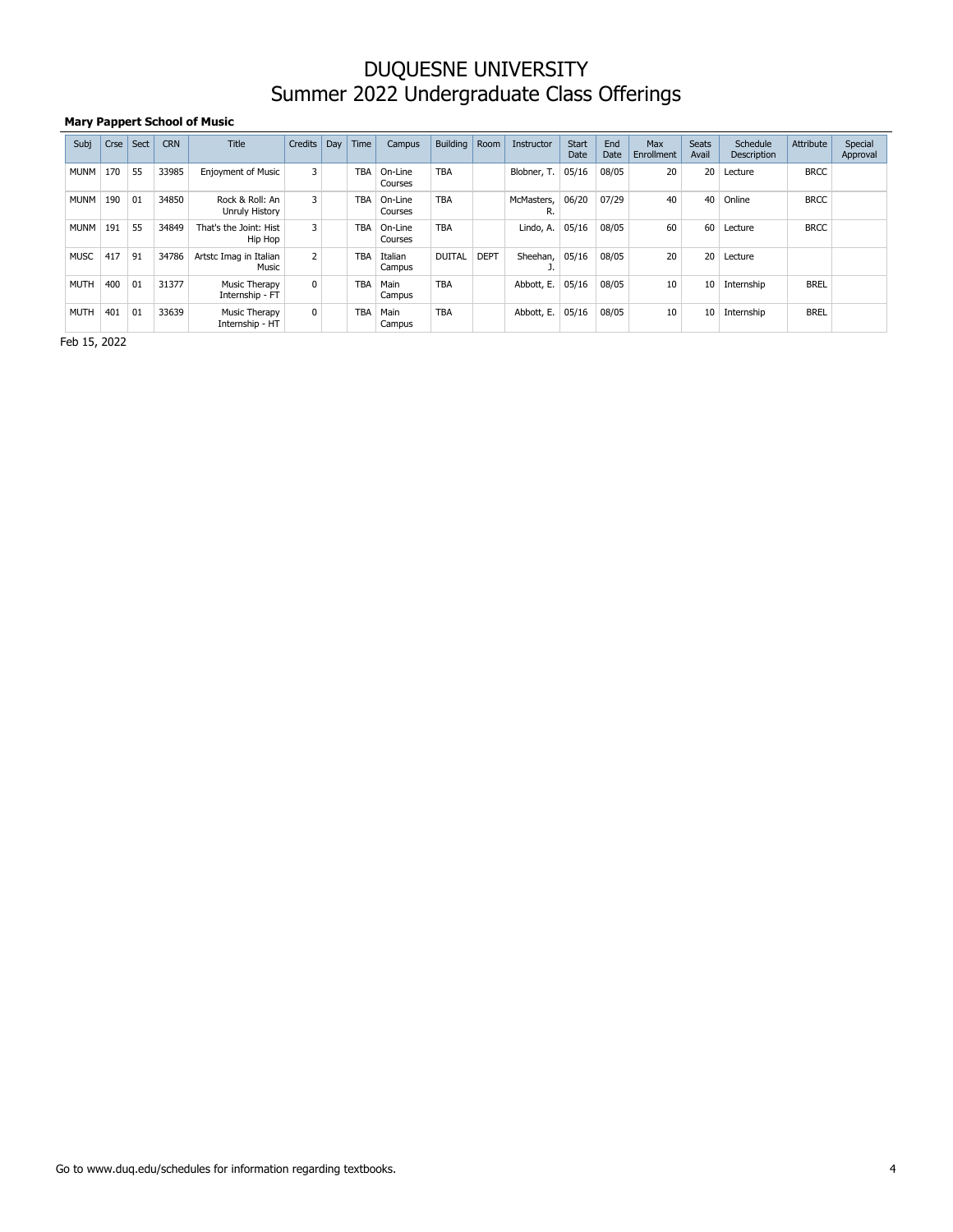#### **Mary Pappert School of Music**

| Subj        | Crse | Sect | <b>CRN</b> | <b>Title</b>                      | Credits        | Day | Time       | Campus             | Building      | Room        | Instructor       | <b>Start</b><br>Date | End<br>Date | Max<br>Enrollment | <b>Seats</b><br>Avail | Schedule<br>Description | Attribute   | Special<br>Approval |
|-------------|------|------|------------|-----------------------------------|----------------|-----|------------|--------------------|---------------|-------------|------------------|----------------------|-------------|-------------------|-----------------------|-------------------------|-------------|---------------------|
| <b>MUNM</b> | 170  | 55   | 33985      | <b>Enjoyment of Music</b>         | 3              |     | <b>TBA</b> | On-Line<br>Courses | <b>TBA</b>    |             | Blobner, T.      | 05/16                | 08/05       | 20                | 20                    | Lecture                 | <b>BRCC</b> |                     |
| <b>MUNM</b> | 190  | 01   | 34850      | Rock & Roll: An<br>Unruly History | 3              |     | <b>TBA</b> | On-Line<br>Courses | <b>TBA</b>    |             | McMasters,<br>R. | 06/20                | 07/29       | 40                | 40                    | Online                  | <b>BRCC</b> |                     |
| <b>MUNM</b> | 191  | 55   | 34849      | That's the Joint: Hist<br>Hip Hop | 3              |     | <b>TBA</b> | On-Line<br>Courses | <b>TBA</b>    |             | Lindo, A.        | 05/16                | 08/05       | 60                | 60                    | Lecture                 | <b>BRCC</b> |                     |
| <b>MUSC</b> | 417  | 91   | 34786      | Artstc Imag in Italian<br>Music   | $\overline{2}$ |     | <b>TBA</b> | Italian<br>Campus  | <b>DUITAL</b> | <b>DEPT</b> | Sheehan,         | 05/16                | 08/05       | 20                | 20                    | Lecture                 |             |                     |
| <b>MUTH</b> | 400  | 01   | 31377      | Music Therapy<br>Internship - FT  | 0              |     | <b>TBA</b> | Main<br>Campus     | <b>TBA</b>    |             | Abbott, E.       | 05/16                | 08/05       | 10                | 10                    | Internship              | <b>BREL</b> |                     |
| <b>MUTH</b> | 401  | 01   | 33639      | Music Therapy<br>Internship - HT  | $\mathbf{0}$   |     | <b>TBA</b> | Main<br>Campus     | <b>TBA</b>    |             | Abbott, E.       | 05/16                | 08/05       | 10                | 10                    | Internship              | <b>BREL</b> |                     |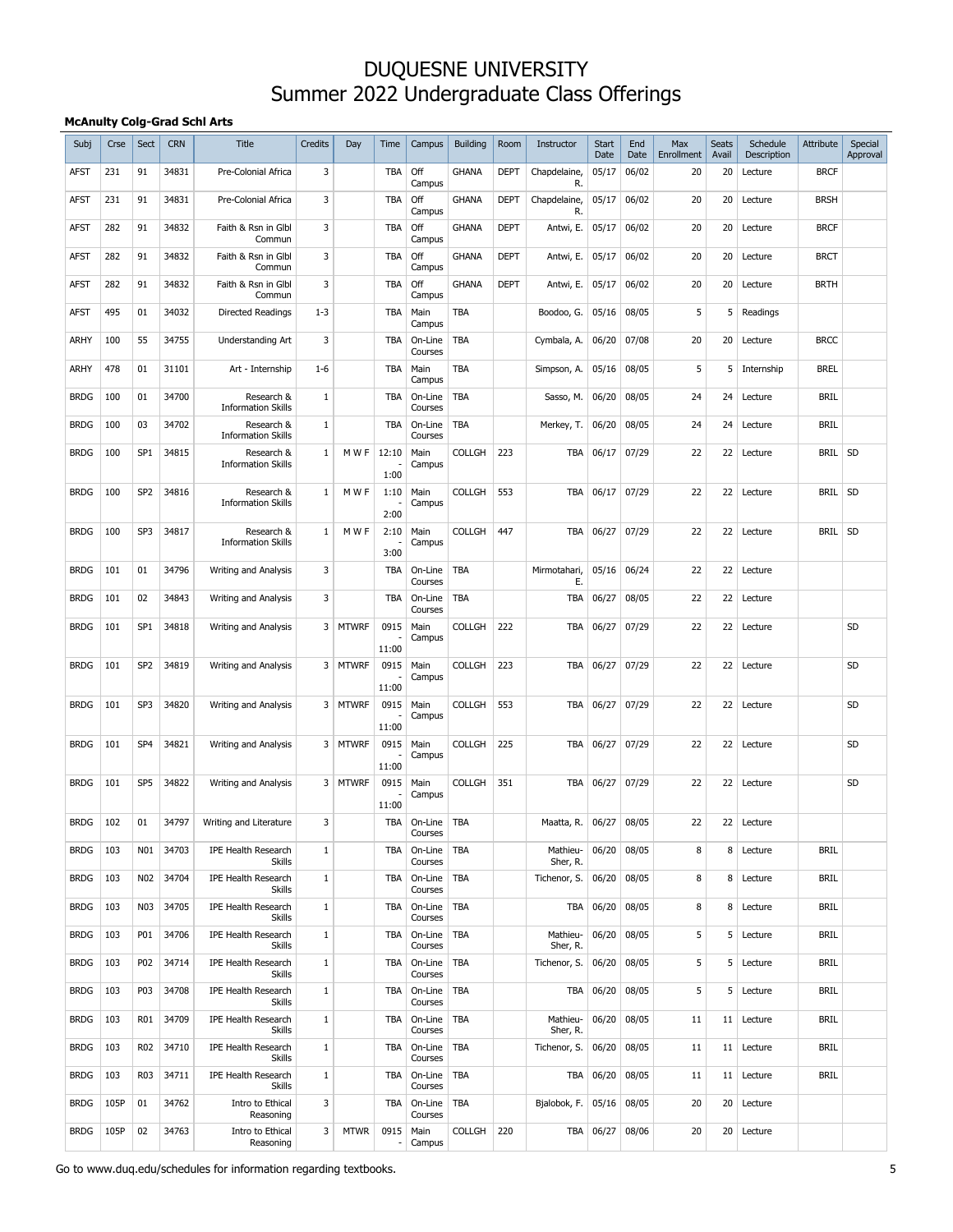#### **McAnulty Colg-Grad Schl Arts**

| Subj        | Crse | Sect            | <b>CRN</b> | <b>Title</b>                                | <b>Credits</b> | Day          | Time                             | Campus                | <b>Building</b> | Room        | Instructor                 | <b>Start</b><br>Date | End<br>Date | Max<br>Enrollment | <b>Seats</b><br>Avail | Schedule<br>Description | <b>Attribute</b> | Special<br>Approval |
|-------------|------|-----------------|------------|---------------------------------------------|----------------|--------------|----------------------------------|-----------------------|-----------------|-------------|----------------------------|----------------------|-------------|-------------------|-----------------------|-------------------------|------------------|---------------------|
| AFST        | 231  | 91              | 34831      | Pre-Colonial Africa                         | 3              |              | <b>TBA</b>                       | Off<br>Campus         | <b>GHANA</b>    | <b>DEPT</b> | Chapdelaine,<br>R.         | 05/17                | 06/02       | 20                | 20                    | Lecture                 | <b>BRCF</b>      |                     |
| <b>AFST</b> | 231  | 91              | 34831      | Pre-Colonial Africa                         | 3              |              | <b>TBA</b>                       | Off<br>Campus         | <b>GHANA</b>    | <b>DEPT</b> | Chapdelaine,<br>R.         | 05/17                | 06/02       | 20                | 20                    | Lecture                 | <b>BRSH</b>      |                     |
| <b>AFST</b> | 282  | 91              | 34832      | Faith & Rsn in Glbl<br>Commun               | 3              |              | TBA                              | Off<br>Campus         | <b>GHANA</b>    | <b>DEPT</b> | Antwi, E.                  | 05/17                | 06/02       | 20                | 20                    | Lecture                 | <b>BRCF</b>      |                     |
| <b>AFST</b> | 282  | 91              | 34832      | Faith & Rsn in Glbl<br>Commun               | 3              |              | <b>TBA</b>                       | Off<br>Campus         | <b>GHANA</b>    | <b>DEPT</b> | Antwi, E.                  | 05/17                | 06/02       | 20                | 20                    | Lecture                 | <b>BRCT</b>      |                     |
| <b>AFST</b> | 282  | 91              | 34832      | Faith & Rsn in Glbl<br>Commun               | 3              |              | TBA                              | Off<br>Campus         | <b>GHANA</b>    | <b>DEPT</b> | Antwi, E.                  | 05/17                | 06/02       | 20                | 20                    | Lecture                 | <b>BRTH</b>      |                     |
| <b>AFST</b> | 495  | 01              | 34032      | <b>Directed Readings</b>                    | $1 - 3$        |              | TBA                              | Main<br>Campus        | <b>TBA</b>      |             | Boodoo, G.                 | 05/16                | 08/05       | 5                 | 5                     | Readings                |                  |                     |
| ARHY        | 100  | 55              | 34755      | Understanding Art                           | 3              |              | TBA                              | On-Line<br>Courses    | <b>TBA</b>      |             | Cymbala, A.                | 06/20                | 07/08       | 20                | 20                    | Lecture                 | <b>BRCC</b>      |                     |
| ARHY        | 478  | 01              | 31101      | Art - Internship                            | $1 - 6$        |              | <b>TBA</b>                       | Main<br>Campus        | <b>TBA</b>      |             | Simpson, A.                | 05/16                | 08/05       | 5                 | 5                     | Internship              | <b>BREL</b>      |                     |
| <b>BRDG</b> | 100  | 01              | 34700      | Research &<br><b>Information Skills</b>     | $\mathbf{1}$   |              | TBA                              | On-Line<br>Courses    | <b>TBA</b>      |             | Sasso, M.                  | 06/20                | 08/05       | 24                | 24                    | Lecture                 | <b>BRIL</b>      |                     |
| <b>BRDG</b> | 100  | 03              | 34702      | Research &<br><b>Information Skills</b>     | $\mathbf{1}$   |              | <b>TBA</b>                       | On-Line<br>Courses    | <b>TBA</b>      |             | Merkey, T.                 | 06/20                | 08/05       | 24                | 24                    | Lecture                 | <b>BRIL</b>      |                     |
| <b>BRDG</b> | 100  | SP <sub>1</sub> | 34815      | Research &<br><b>Information Skills</b>     | 1              | M W F        | 12:10<br>1:00                    | Main<br>Campus        | <b>COLLGH</b>   | 223         | TBA                        | 06/17                | 07/29       | 22                | 22                    | Lecture                 | BRIL SD          |                     |
| <b>BRDG</b> | 100  | SP <sub>2</sub> | 34816      | Research &<br><b>Information Skills</b>     | 1              | M W F        | 1:10<br>2:00                     | Main<br>Campus        | <b>COLLGH</b>   | 553         | <b>TBA</b>                 | 06/17                | 07/29       | 22                |                       | 22 Lecture              | BRIL SD          |                     |
| <b>BRDG</b> | 100  | SP <sub>3</sub> | 34817      | Research &<br><b>Information Skills</b>     | 1              | M W F        | 2:10<br>3:00                     | Main<br>Campus        | <b>COLLGH</b>   | 447         | TBA                        | 06/27                | 07/29       | 22                | 22                    | Lecture                 | BRIL SD          |                     |
| <b>BRDG</b> | 101  | 01              | 34796      | <b>Writing and Analysis</b>                 | 3              |              | <b>TBA</b>                       | On-Line<br>Courses    | <b>TBA</b>      |             | Mirmotahari,<br>Е.         | 05/16                | 06/24       | 22                | 22                    | Lecture                 |                  |                     |
| <b>BRDG</b> | 101  | 02              | 34843      | <b>Writing and Analysis</b>                 | 3              |              | <b>TBA</b>                       | On-Line<br>Courses    | <b>TBA</b>      |             | TBA                        | 06/27                | 08/05       | 22                | 22                    | Lecture                 |                  |                     |
| <b>BRDG</b> | 101  | SP <sub>1</sub> | 34818      | <b>Writing and Analysis</b>                 | 3              | <b>MTWRF</b> | 0915                             | Main<br>Campus        | <b>COLLGH</b>   | 222         | TBA                        | 06/27                | 07/29       | 22                |                       | 22 Lecture              |                  | <b>SD</b>           |
| <b>BRDG</b> | 101  | SP <sub>2</sub> | 34819      | Writing and Analysis                        |                | 3 MTWRF      | 11:00<br>0915                    | Main                  | <b>COLLGH</b>   | 223         | TBA                        | 06/27                | 07/29       | 22                | 22                    | Lecture                 |                  | SD                  |
|             |      |                 |            |                                             |                |              | 11:00                            | Campus                |                 |             |                            |                      |             |                   |                       |                         |                  |                     |
| <b>BRDG</b> | 101  | SP <sub>3</sub> | 34820      | Writing and Analysis                        |                | 3 MTWRF      | 0915<br>11:00                    | Main<br>Campus        | <b>COLLGH</b>   | 553         | <b>TBA</b>                 | 06/27                | 07/29       | 22                | 22                    | Lecture                 |                  | SD                  |
| <b>BRDG</b> | 101  | SP <sub>4</sub> | 34821      | <b>Writing and Analysis</b>                 |                | 3 MTWRF      | 0915<br>11:00                    | Main<br>Campus        | <b>COLLGH</b>   | 225         | <b>TBA</b>                 | 06/27                | 07/29       | 22                | 22                    | Lecture                 |                  | SD                  |
| <b>BRDG</b> | 101  | SP <sub>5</sub> | 34822      | <b>Writing and Analysis</b>                 |                | 3 MTWRF      | 0915<br>11:00                    | Main<br>Campus        | <b>COLLGH</b>   | 351         | TBA                        | 06/27                | 07/29       | 22                | 22                    | Lecture                 |                  | SD                  |
| <b>BRDG</b> | 102  | 01              | 34797      | Writing and Literature                      | 3              |              | <b>TBA</b>                       | On-Line<br>Courses    | <b>TBA</b>      |             | Maatta, R.                 | 06/27                | 08/05       | 22                |                       | 22 Lecture              |                  |                     |
| <b>BRDG</b> | 103  | N01             | 34703      | <b>IPE Health Research</b><br>Skills        | $\mathbf{1}$   |              | <b>TBA</b>                       | On-Line<br>Courses    | <b>TBA</b>      |             | Mathieu-<br>Sher, R.       | 06/20                | 08/05       | 8                 | 8                     | Lecture                 | <b>BRIL</b>      |                     |
| <b>BRDG</b> | 103  | N02             | 34704      | <b>IPE Health Research</b><br><b>Skills</b> | $\mathbf{1}$   |              | TBA                              | On-Line<br>Courses    | <b>TBA</b>      |             | Tichenor, S. $ 06/20$      |                      | 08/05       | 8                 |                       | 8 Lecture               | <b>BRIL</b>      |                     |
| <b>BRDG</b> | 103  | N03             | 34705      | <b>IPE Health Research</b><br>Skills        | $\mathbf{1}$   |              | <b>TBA</b>                       | On-Line<br>Courses    | <b>TBA</b>      |             |                            | TBA 06/20            | 08/05       | 8                 |                       | 8 Lecture               | <b>BRIL</b>      |                     |
| <b>BRDG</b> | 103  | P01             | 34706      | <b>IPE Health Research</b><br><b>Skills</b> | $\mathbf{1}$   |              | TBA                              | On-Line<br>Courses    | <b>TBA</b>      |             | Mathieu-<br>Sher, R.       | 06/20                | 08/05       | 5                 |                       | 5 Lecture               | <b>BRIL</b>      |                     |
| <b>BRDG</b> | 103  | P02             | 34714      | <b>IPE Health Research</b><br>Skills        | $\mathbf{1}$   |              | <b>TBA</b>                       | On-Line<br>Courses    | TBA             |             | Tichenor, S.               | 06/20                | 08/05       | 5                 |                       | 5 Lecture               | <b>BRIL</b>      |                     |
| <b>BRDG</b> | 103  | P03             | 34708      | <b>IPE Health Research</b><br><b>Skills</b> | $\mathbf{1}$   |              | TBA                              | On-Line<br>Courses    | TBA             |             |                            | TBA 06/20            | 08/05       | 5                 |                       | 5 Lecture               | <b>BRIL</b>      |                     |
| <b>BRDG</b> | 103  | <b>R01</b>      | 34709      | <b>IPE Health Research</b><br>Skills        | $\mathbf{1}$   |              | <b>TBA</b>                       | On-Line<br>Courses    | TBA             |             | Mathieu-<br>Sher, R.       | 06/20                | 08/05       | 11                |                       | 11 Lecture              | <b>BRIL</b>      |                     |
| <b>BRDG</b> | 103  | <b>R02</b>      | 34710      | <b>IPE Health Research</b><br><b>Skills</b> | $\mathbf{1}$   |              | TBA                              | $On$ -Line<br>Courses | TBA             |             | Tichenor, S.               | 06/20                | 08/05       | 11                |                       | 11 Lecture              | <b>BRIL</b>      |                     |
| <b>BRDG</b> | 103  | R <sub>03</sub> | 34711      | IPE Health Research<br>Skills               | $\mathbf{1}$   |              | <b>TBA</b>                       | $On$ -Line<br>Courses | TBA             |             |                            | TBA 06/20            | 08/05       | 11                |                       | 11 Lecture              | <b>BRIL</b>      |                     |
| <b>BRDG</b> | 105P | 01              | 34762      | Intro to Ethical<br>Reasoning               | 3              |              | TBA                              | On-Line<br>Courses    | TBA             |             | Bjalobok, F. $\vert$ 05/16 |                      | 08/05       | 20                |                       | 20 Lecture              |                  |                     |
| <b>BRDG</b> | 105P | 02              | 34763      | Intro to Ethical<br>Reasoning               | 3              | <b>MTWR</b>  | 0915<br>$\overline{\phantom{a}}$ | Main<br>Campus        | <b>COLLGH</b>   | 220         |                            | TBA 06/27            | 08/06       | 20                |                       | 20 Lecture              |                  |                     |

Go to www.duq.edu/schedules for information regarding textbooks. 5  $5$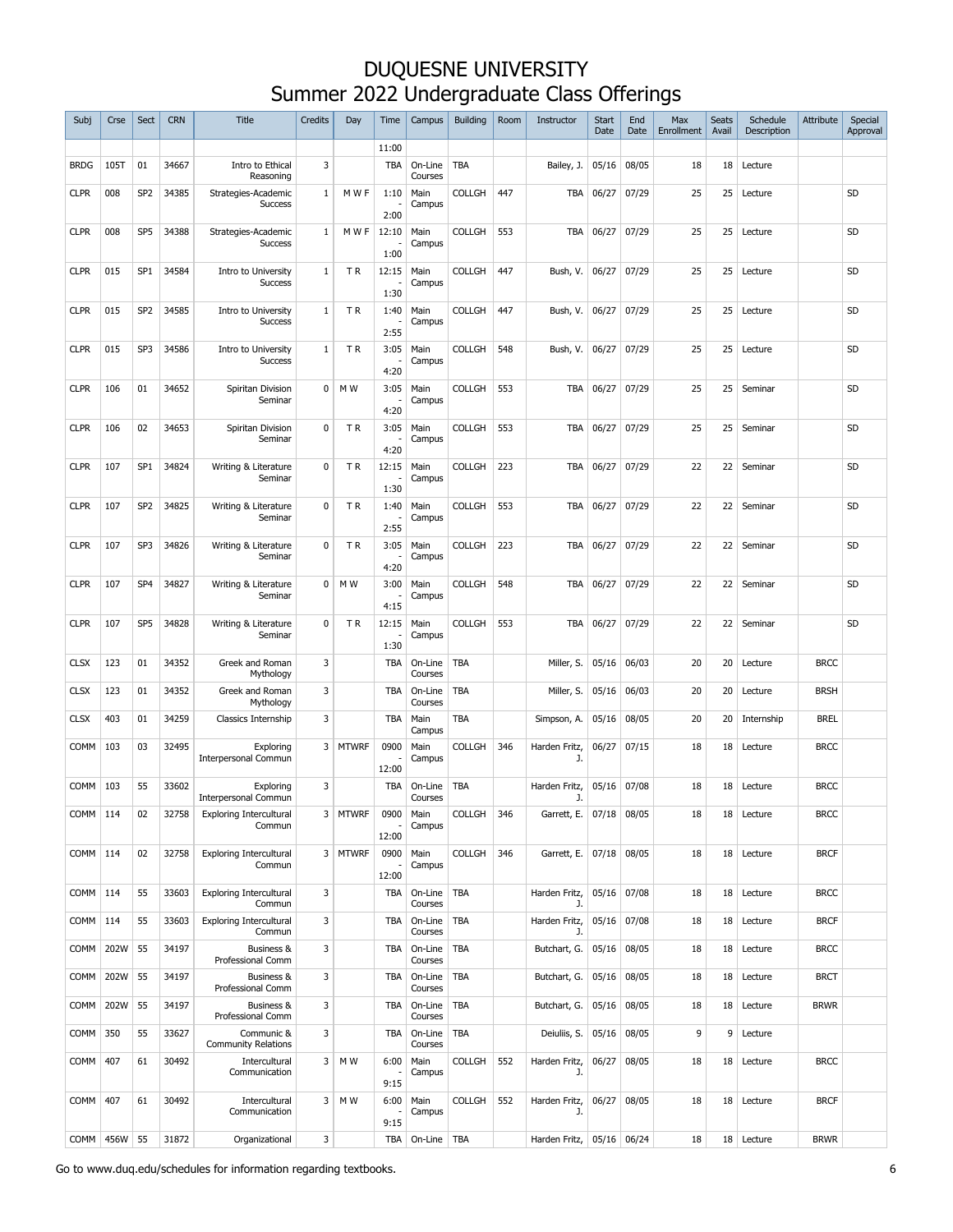| Subj        | Crse | Sect            | <b>CRN</b> | <b>Title</b>                             | Credits        | Day       | Time          | Campus                   | <b>Building</b> | Room | Instructor                  | <b>Start</b><br>Date | End<br>Date | Max<br>Enrollment | <b>Seats</b><br>Avail | Schedule<br>Description | Attribute   | Special<br>Approval |
|-------------|------|-----------------|------------|------------------------------------------|----------------|-----------|---------------|--------------------------|-----------------|------|-----------------------------|----------------------|-------------|-------------------|-----------------------|-------------------------|-------------|---------------------|
|             |      |                 |            |                                          |                |           | 11:00         |                          |                 |      |                             |                      |             |                   |                       |                         |             |                     |
| <b>BRDG</b> | 105T | 01              | 34667      | Intro to Ethical<br>Reasoning            | 3              |           | <b>TBA</b>    | On-Line<br>Courses       | <b>TBA</b>      |      | Bailey, J.                  | 05/16                | 08/05       | 18                | 18                    | Lecture                 |             |                     |
| <b>CLPR</b> | 008  | SP <sub>2</sub> | 34385      | Strategies-Academic<br><b>Success</b>    | 1              | M W F     | 1:10<br>2:00  | Main<br>Campus           | <b>COLLGH</b>   | 447  | TBA                         | 06/27                | 07/29       | 25                | 25                    | Lecture                 |             | SD                  |
| <b>CLPR</b> | 008  | SP <sub>5</sub> | 34388      | Strategies-Academic<br><b>Success</b>    | $\mathbf{1}$   | M W F     | 12:10<br>1:00 | Main<br>Campus           | <b>COLLGH</b>   | 553  | TBA                         | 06/27                | 07/29       | 25                | 25                    | Lecture                 |             | SD                  |
| <b>CLPR</b> | 015  | SP <sub>1</sub> | 34584      | Intro to University                      | 1              | TR        | 12:15         | Main                     | <b>COLLGH</b>   | 447  | Bush, V.                    | 06/27                | 07/29       | 25                | 25                    | Lecture                 |             | SD                  |
|             |      |                 |            | <b>Success</b>                           |                |           | 1:30          | Campus                   |                 |      |                             |                      |             |                   |                       |                         |             |                     |
| <b>CLPR</b> | 015  | SP <sub>2</sub> | 34585      | Intro to University<br><b>Success</b>    | 1              | TR        | 1:40<br>2:55  | Main<br>Campus           | <b>COLLGH</b>   | 447  | Bush, V.                    | 06/27                | 07/29       | 25                | 25                    | Lecture                 |             | SD                  |
| <b>CLPR</b> | 015  | SP3             | 34586      | Intro to University<br><b>Success</b>    | $\mathbf{1}$   | TR.       | 3:05<br>4:20  | Main<br>Campus           | <b>COLLGH</b>   | 548  | Bush, V.                    | 06/27                | 07/29       | 25                | 25                    | Lecture                 |             | SD                  |
| <b>CLPR</b> | 106  | 01              | 34652      | Spiritan Division<br>Seminar             | 0              | M W       | 3:05<br>4:20  | Main<br>Campus           | <b>COLLGH</b>   | 553  | TBA                         | 06/27                | 07/29       | 25                | 25                    | Seminar                 |             | SD                  |
| <b>CLPR</b> | 106  | 02              | 34653      | Spiritan Division<br>Seminar             | $\mathbf 0$    | TR.       | 3:05<br>4:20  | Main<br>Campus           | <b>COLLGH</b>   | 553  | <b>TBA</b>                  | 06/27                | 07/29       | 25                | 25                    | Seminar                 |             | SD                  |
| <b>CLPR</b> | 107  | SP <sub>1</sub> | 34824      | Writing & Literature<br>Seminar          | 0              | TR        | 12:15<br>1:30 | Main<br>Campus           | <b>COLLGH</b>   | 223  | TBA                         | 06/27                | 07/29       | 22                | 22                    | Seminar                 |             | SD                  |
| <b>CLPR</b> | 107  | SP <sub>2</sub> | 34825      | Writing & Literature<br>Seminar          | $\mathbf 0$    | TR        | 1:40<br>2:55  | Main<br>Campus           | <b>COLLGH</b>   | 553  | TBA                         | 06/27                | 07/29       | 22                | 22 <sup>1</sup>       | Seminar                 |             | SD                  |
| <b>CLPR</b> | 107  | SP3             | 34826      | Writing & Literature<br>Seminar          | $\mathbf 0$    | TR.       | 3:05<br>4:20  | Main<br>Campus           | <b>COLLGH</b>   | 223  | TBA                         | 06/27                | 07/29       | 22                | 22                    | Seminar                 |             | SD                  |
| <b>CLPR</b> | 107  | SP <sub>4</sub> | 34827      | Writing & Literature<br>Seminar          | 0              | M W       | 3:00<br>4:15  | Main<br>Campus           | <b>COLLGH</b>   | 548  | TBA                         | 06/27                | 07/29       | 22                | 22                    | Seminar                 |             | SD                  |
| <b>CLPR</b> | 107  | SP <sub>5</sub> | 34828      | Writing & Literature<br>Seminar          | $\Omega$       | TR        | 12:15<br>1:30 | Main<br>Campus           | <b>COLLGH</b>   | 553  | <b>TBA</b>                  | 06/27                | 07/29       | 22                | 22                    | Seminar                 |             | SD                  |
| <b>CLSX</b> | 123  | 01              | 34352      | Greek and Roman<br>Mythology             | $\overline{3}$ |           | <b>TBA</b>    | On-Line<br>Courses       | <b>TBA</b>      |      | Miller, S.                  | 05/16                | 06/03       | 20                | 20                    | Lecture                 | <b>BRCC</b> |                     |
| <b>CLSX</b> | 123  | 01              | 34352      | Greek and Roman<br>Mythology             | 3              |           | <b>TBA</b>    | On-Line<br>Courses       | TBA             |      | Miller, S.                  | 05/16                | 06/03       | 20                | 20                    | Lecture                 | <b>BRSH</b> |                     |
| <b>CLSX</b> | 403  | 01              | 34259      | Classics Internship                      | 3              |           | <b>TBA</b>    | Main<br>Campus           | <b>TBA</b>      |      | Simpson, A.                 | 05/16                | 08/05       | 20                | 20                    | Internship              | <b>BREL</b> |                     |
| <b>COMM</b> | 103  | 03              | 32495      | Exploring<br>Interpersonal Commun        |                | 3 MTWRF   | 0900<br>12:00 | Main<br>Campus           | <b>COLLGH</b>   | 346  | Harden Fritz,<br>J.         | 06/27                | 07/15       | 18                | 18                    | Lecture                 | <b>BRCC</b> |                     |
| COMM        | 103  | 55              | 33602      | Exploring<br><b>Interpersonal Commun</b> | 3              |           | <b>TBA</b>    | On-Line<br>Courses       | <b>TBA</b>      |      | Harden Fritz,<br>J.         | 05/16 07/08          |             | 18                | 18                    | Lecture                 | <b>BRCC</b> |                     |
| COMM 114    |      | 02              | 32758      | <b>Exploring Intercultural</b><br>Commun |                | 3   MTWRF | 0900<br>12:00 | Main<br>Campus           | <b>COLLGH</b>   | 346  | Garrett, E.   07/18   08/05 |                      |             | 18                |                       | 18 Lecture              | <b>BRCC</b> |                     |
| COMM 114    |      | 02              | 32758      | <b>Exploring Intercultural</b><br>Commun |                | 3 MTWRF   | 0900<br>12:00 | Main<br>Campus           | <b>COLLGH</b>   | 346  | Garrett, E.                 | $07/18$ 08/05        |             | 18                |                       | 18 Lecture              | <b>BRCF</b> |                     |
| COMM 114    |      | 55              | 33603      | <b>Exploring Intercultural</b><br>Commun | 3              |           | TBA           | On-Line<br>Courses       | <b>TBA</b>      |      | Harden Fritz,<br>J.         | 05/16 07/08          |             | 18                |                       | 18 Lecture              | <b>BRCC</b> |                     |
| <b>COMM</b> | 114  | 55              | 33603      | <b>Exploring Intercultural</b><br>Commun | 3              |           | TBA           | On-Line<br>Courses       | <b>TBA</b>      |      | Harden Fritz,<br>J.         | 05/16 07/08          |             | 18                | 18                    | Lecture                 | <b>BRCF</b> |                     |
| COMM        | 202W | 55              | 34197      | Business &<br>Professional Comm          | 3              |           | TBA           | On-Line   TBA<br>Courses |                 |      | Butchart, G.                | 05/16                | 08/05       | 18                |                       | 18 Lecture              | <b>BRCC</b> |                     |
| COMM        | 202W | 55              | 34197      | Business &<br>Professional Comm          | 3              |           | TBA           | On-Line<br>Courses       | <b>TBA</b>      |      | Butchart, G.                | 05/16                | 08/05       | 18                |                       | 18 Lecture              | <b>BRCT</b> |                     |
| <b>COMM</b> | 202W | 55              | 34197      | Business &<br>Professional Comm          | 3              |           | TBA           | On-Line<br>Courses       | TBA             |      | Butchart, G.                | 05/16                | 08/05       | 18                |                       | 18 Lecture              | <b>BRWR</b> |                     |
| COMM        | 350  | 55              | 33627      | Communic &<br><b>Community Relations</b> | 3              |           | TBA           | On-Line<br>Courses       | <b>TBA</b>      |      | Deiuliis, S.                | 05/16                | 08/05       | 9                 | 9 <sup>1</sup>        | Lecture                 |             |                     |
| COMM        | 407  | 61              | 30492      | Intercultural<br>Communication           |                | $3$ MW    | 6:00<br>9:15  | Main<br>Campus           | <b>COLLGH</b>   | 552  | Harden Fritz,<br>J.         | 06/27                | 08/05       | 18                |                       | 18 Lecture              | <b>BRCC</b> |                     |
| COMM        | 407  | 61              | 30492      | Intercultural<br>Communication           | 3              | M W       | 6:00          | Main<br>Campus           | <b>COLLGH</b>   | 552  | Harden Fritz,<br>J.         | 06/27                | 08/05       | 18                |                       | 18 Lecture              | <b>BRCF</b> |                     |
| COMM 456W   |      | 55              | 31872      | Organizational                           | 3              |           | 9:15<br>TBA   | On-Line   TBA            |                 |      | Harden Fritz,               | $05/16$ 06/24        |             | 18                |                       | 18 Lecture              | <b>BRWR</b> |                     |

Go to www.duq.edu/schedules for information regarding textbooks. 6  $\sim$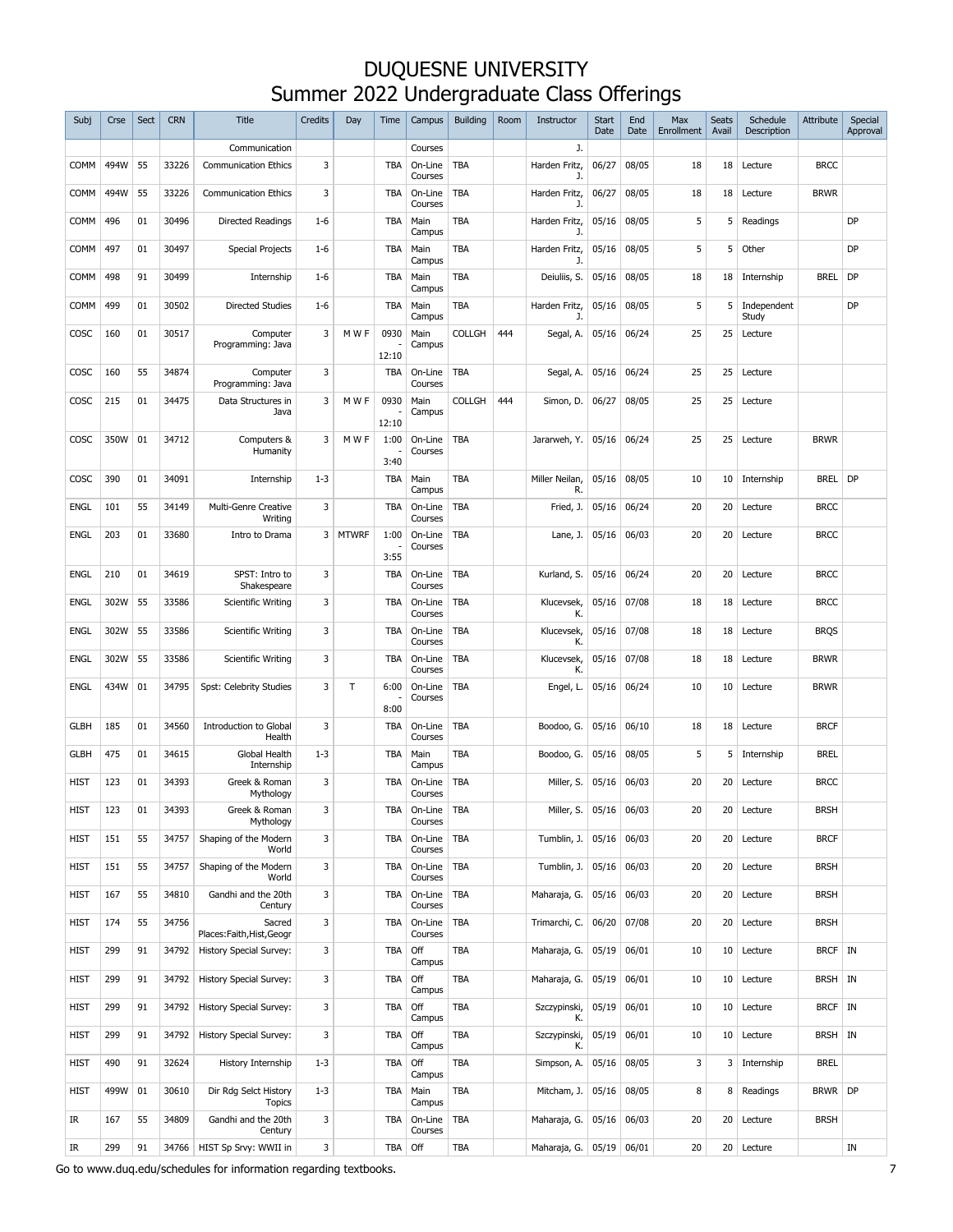| Subj        | Crse | Sect | <b>CRN</b> | <b>Title</b>                           | Credits | Day     | Time          | Campus             | <b>Building</b> | Room | Instructor                   | <b>Start</b><br>Date | End<br>Date | Max<br>Enrollment | <b>Seats</b><br>Avail | Schedule<br>Description | Attribute   | Special<br>Approval |
|-------------|------|------|------------|----------------------------------------|---------|---------|---------------|--------------------|-----------------|------|------------------------------|----------------------|-------------|-------------------|-----------------------|-------------------------|-------------|---------------------|
|             |      |      |            | Communication                          |         |         |               | Courses            |                 |      | J.                           |                      |             |                   |                       |                         |             |                     |
| <b>COMM</b> | 494W | 55   | 33226      | <b>Communication Ethics</b>            | 3       |         | <b>TBA</b>    | On-Line<br>Courses | TBA             |      | Harden Fritz,<br>J.          | 06/27                | 08/05       | 18                | 18                    | Lecture                 | <b>BRCC</b> |                     |
| <b>COMM</b> | 494W | 55   | 33226      | <b>Communication Ethics</b>            | 3       |         | <b>TBA</b>    | On-Line<br>Courses | TBA             |      | Harden Fritz,<br>J.          | 06/27                | 08/05       | 18                | 18                    | Lecture                 | <b>BRWR</b> |                     |
| <b>COMM</b> | 496  | 01   | 30496      | Directed Readings                      | $1 - 6$ |         | TBA           | Main<br>Campus     | TBA             |      | Harden Fritz,<br>J.          | 05/16                | 08/05       | 5                 | 5                     | Readings                |             | DP                  |
| <b>COMM</b> | 497  | 01   | 30497      | <b>Special Projects</b>                | $1 - 6$ |         | TBA           | Main<br>Campus     | <b>TBA</b>      |      | Harden Fritz,<br>J.          | 05/16                | 08/05       | 5                 | 5                     | Other                   |             | DP                  |
| <b>COMM</b> | 498  | 91   | 30499      | Internship                             | $1 - 6$ |         | TBA           | Main<br>Campus     | TBA             |      | Deiuliis, S.                 | 05/16                | 08/05       | 18                | 18                    | Internship              | <b>BREL</b> | DP                  |
| <b>COMM</b> | 499  | 01   | 30502      | <b>Directed Studies</b>                | $1 - 6$ |         | TBA           | Main<br>Campus     | TBA             |      | Harden Fritz,<br>J.          | 05/16                | 08/05       | 5                 | 5                     | Independent<br>Study    |             | DP                  |
| COSC        | 160  | 01   | 30517      | Computer<br>Programming: Java          | 3       | M W F   | 0930<br>12:10 | Main<br>Campus     | <b>COLLGH</b>   | 444  | Segal, A.                    | 05/16                | 06/24       | 25                | 25                    | Lecture                 |             |                     |
| COSC        | 160  | 55   | 34874      | Computer<br>Programming: Java          | 3       |         | TBA           | On-Line<br>Courses | <b>TBA</b>      |      | Segal, A.                    | 05/16                | 06/24       | 25                | 25                    | Lecture                 |             |                     |
| COSC        | 215  | 01   | 34475      | Data Structures in<br>Java             | 3       | M W F   | 0930          | Main<br>Campus     | <b>COLLGH</b>   | 444  | Simon, D.                    | 06/27                | 08/05       | 25                | 25                    | Lecture                 |             |                     |
| COSC        | 350W | 01   | 34712      | Computers &<br>Humanity                | 3       | M W F   | 12:10<br>1:00 | On-Line<br>Courses | <b>TBA</b>      |      | Jararweh, Y.                 | $05/16$ 06/24        |             | 25                | 25                    | Lecture                 | <b>BRWR</b> |                     |
| COSC        | 390  | 01   | 34091      | Internship                             | $1 - 3$ |         | 3:40<br>TBA   | Main               | <b>TBA</b>      |      | Miller Neilan,               | 05/16                | 08/05       | 10                | 10                    | Internship              | BREL DP     |                     |
| <b>ENGL</b> | 101  | 55   | 34149      | Multi-Genre Creative                   | 3       |         | <b>TBA</b>    | Campus<br>On-Line  | <b>TBA</b>      |      | R.<br>Fried, J.              | 05/16                | 06/24       | 20                | 20                    | Lecture                 | <b>BRCC</b> |                     |
| <b>ENGL</b> | 203  | 01   | 33680      | Writing<br>Intro to Drama              |         | 3 MTWRF | 1:00          | Courses<br>On-Line | <b>TBA</b>      |      | Lane, J.                     | 05/16                | 06/03       | 20                | 20                    | Lecture                 | <b>BRCC</b> |                     |
|             |      |      |            |                                        |         |         | 3:55          | Courses            |                 |      |                              |                      |             |                   |                       |                         |             |                     |
| <b>ENGL</b> | 210  | 01   | 34619      | SPST: Intro to<br>Shakespeare          | 3       |         | <b>TBA</b>    | On-Line<br>Courses | <b>TBA</b>      |      | Kurland, S.                  | 05/16                | 06/24       | 20                | 20                    | Lecture                 | <b>BRCC</b> |                     |
| <b>ENGL</b> | 302W | 55   | 33586      | Scientific Writing                     | 3       |         | <b>TBA</b>    | On-Line<br>Courses | <b>TBA</b>      |      | Klucevsek,<br>К.             | 05/16                | 07/08       | 18                | 18                    | Lecture                 | <b>BRCC</b> |                     |
| <b>ENGL</b> | 302W | 55   | 33586      | Scientific Writing                     | 3       |         | <b>TBA</b>    | On-Line<br>Courses | TBA             |      | Klucevsek,<br>К.             | 05/16                | 07/08       | 18                | 18                    | Lecture                 | <b>BRQS</b> |                     |
| <b>ENGL</b> | 302W | 55   | 33586      | Scientific Writing                     | 3       |         | <b>TBA</b>    | On-Line<br>Courses | <b>TBA</b>      |      | Klucevsek,<br>К.             | 05/16                | 07/08       | 18                | 18                    | Lecture                 | <b>BRWR</b> |                     |
| <b>ENGL</b> | 434W | 01   | 34795      | Spst: Celebrity Studies                | 3       | T.      | 6:00<br>8:00  | On-Line<br>Courses | TBA             |      | Engel, L.                    | 05/16                | 06/24       | 10                | 10                    | Lecture                 | <b>BRWR</b> |                     |
| <b>GLBH</b> | 185  | 01   | 34560      | Introduction to Global<br>Health       | 3       |         | TBA           | On-Line<br>Courses | <b>TBA</b>      |      | Boodoo, G.                   | 05/16                | 06/10       | 18                | 18                    | Lecture                 | <b>BRCF</b> |                     |
| <b>GLBH</b> | 475  | 01   | 34615      | Global Health<br>Internship            | $1 - 3$ |         | TBA           | Main<br>Campus     | TBA             |      | Boodoo, G.                   | 05/16                | 08/05       | 5                 | 5                     | Internship              | <b>BREL</b> |                     |
| <b>HIST</b> | 123  | 01   | 34393      | Greek & Roman<br>Mythology             | 3       |         | TBA           | On-Line<br>Courses | <b>TBA</b>      |      | Miller, S.                   | 05/16                | 06/03       | 20                | 20                    | Lecture                 | <b>BRCC</b> |                     |
| HIST        | 123  | 01   | 34393      | Greek & Roman<br>Mythology             | 3       |         | TBA           | On-Line<br>Courses | <b>TBA</b>      |      | Miller, S. 05/16 06/03       |                      |             | 20                |                       | 20   Lecture            | <b>BRSH</b> |                     |
| <b>HIST</b> | 151  | 55   | 34757      | Shaping of the Modern<br>World         | 3       |         | TBA           | On-Line<br>Courses | <b>TBA</b>      |      | Tumblin, J.   05/16   06/03  |                      |             | 20                | 20 <sup>1</sup>       | Lecture                 | <b>BRCF</b> |                     |
| <b>HIST</b> | 151  | 55   | 34757      | Shaping of the Modern<br>World         | 3       |         | TBA           | On-Line<br>Courses | TBA             |      | Tumblin, J. 05/16 06/03      |                      |             | 20                | 20 <sup>1</sup>       | Lecture                 | <b>BRSH</b> |                     |
| <b>HIST</b> | 167  | 55   | 34810      | Gandhi and the 20th<br>Century         | 3       |         | TBA           | On-Line<br>Courses | TBA             |      | Maharaja, G.                 | $05/16$ 06/03        |             | 20                | 20 <sup>1</sup>       | Lecture                 | <b>BRSH</b> |                     |
| HIST        | 174  | 55   | 34756      | Sacred<br>Places: Faith, Hist, Geogr   | 3       |         | TBA           | On-Line<br>Courses | <b>TBA</b>      |      | Trimarchi, C.                | 06/20 07/08          |             | 20                | 20                    | Lecture                 | <b>BRSH</b> |                     |
| <b>HIST</b> | 299  | 91   | 34792      | History Special Survey:                | 3       |         | TBA           | Off<br>Campus      | TBA             |      | Maharaja, G.                 | 05/19 06/01          |             | 10                |                       | 10 Lecture              | BRCF IN     |                     |
| HIST        | 299  | 91   | 34792      | History Special Survey:                | 3       |         | TBA           | Off<br>Campus      | <b>TBA</b>      |      | Maharaja, G.                 | 05/19                | 06/01       | 10                | 10 <sup>1</sup>       | Lecture                 | BRSH IN     |                     |
| <b>HIST</b> | 299  | 91   | 34792      | History Special Survey:                | 3       |         | TBA           | Off<br>Campus      | <b>TBA</b>      |      | Szczypinski,<br>К.           | 05/19                | 06/01       | 10                |                       | 10 Lecture              | BRCF IN     |                     |
| <b>HIST</b> | 299  | 91   | 34792      | History Special Survey:                | 3       |         | TBA           | Off<br>Campus      | <b>TBA</b>      |      | Szczypinski,<br>К.           | 05/19                | 06/01       | 10                |                       | 10 Lecture              | BRSH IN     |                     |
| HIST        | 490  | 91   | 32624      | History Internship                     | $1 - 3$ |         | TBA           | Off<br>Campus      | <b>TBA</b>      |      | Simpson, A.                  | 05/16 08/05          |             | 3                 |                       | 3 Internship            | <b>BREL</b> |                     |
| <b>HIST</b> | 499W | 01   | 30610      | Dir Rdg Selct History<br><b>Topics</b> | $1 - 3$ |         | TBA           | Main<br>Campus     | <b>TBA</b>      |      | Mitcham, J.                  | 05/16 08/05          |             | 8                 | 8                     | Readings                | BRWR DP     |                     |
| IR          | 167  | 55   | 34809      | Gandhi and the 20th<br>Century         | 3       |         | TBA           | On-Line<br>Courses | TBA             |      | Maharaja, G.                 | $05/16$ 06/03        |             | 20                | 20 <sup>1</sup>       | Lecture                 | <b>BRSH</b> |                     |
| IR          | 299  | 91   | 34766      | HIST Sp Srvy: WWII in                  | 3       |         | TBA Off       |                    | TBA             |      | Maharaja, G.   05/19   06/01 |                      |             | 20                |                       | 20 Lecture              |             | IN                  |

Go to www.duq.edu/schedules for information regarding textbooks. **7** and the state of the state of the state of the state of the state of the state of the state of the state of the state of the state of the state of the st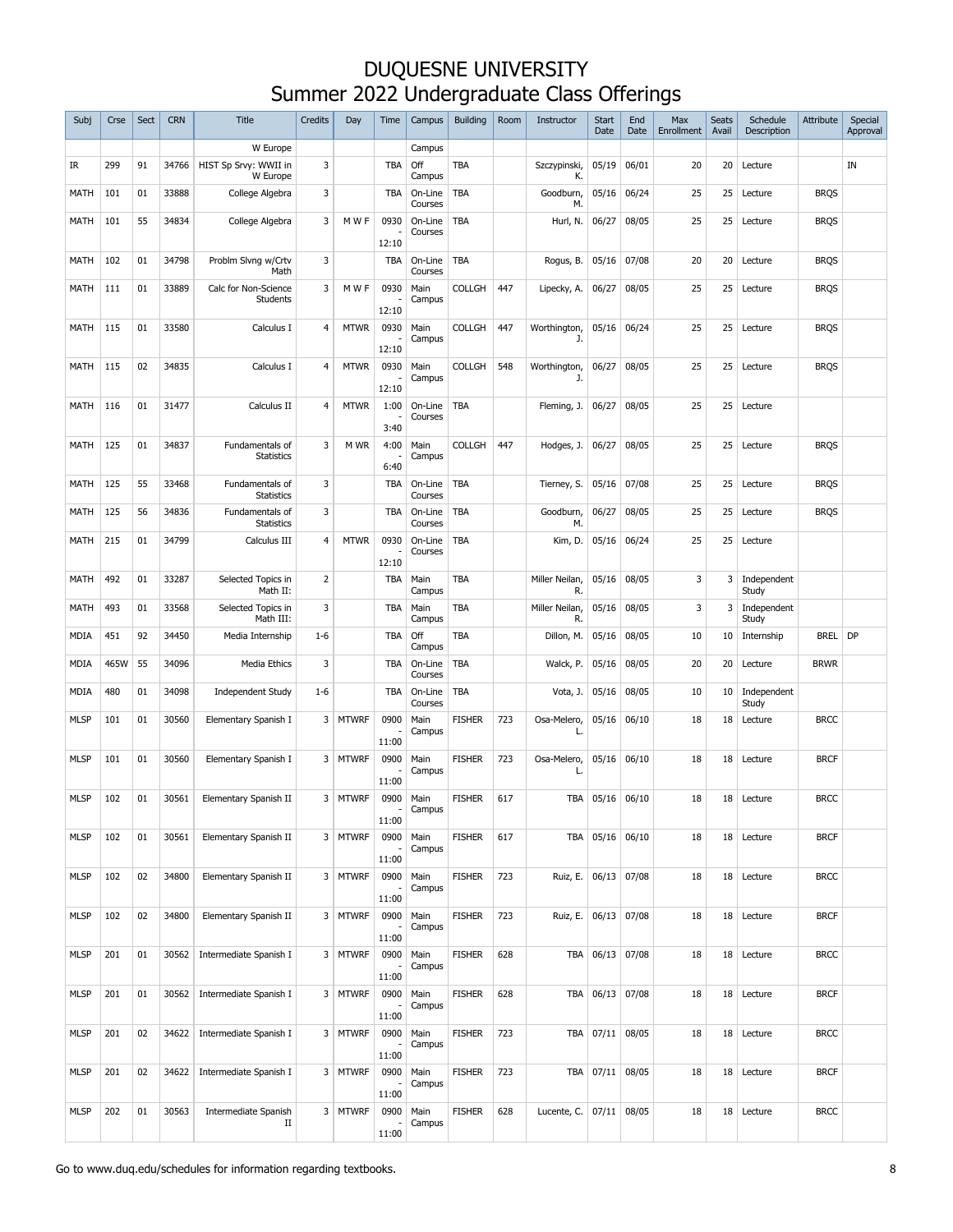| Subj        | Crse | Sect | <b>CRN</b> | <b>Title</b>                         | Credits        | Day         | Time          | Campus             | <b>Building</b> | Room | Instructor           | <b>Start</b><br>Date | End<br>Date   | Max<br>Enrollment | <b>Seats</b><br>Avail | Schedule<br>Description | Attribute   | Special<br>Approval |
|-------------|------|------|------------|--------------------------------------|----------------|-------------|---------------|--------------------|-----------------|------|----------------------|----------------------|---------------|-------------------|-----------------------|-------------------------|-------------|---------------------|
|             |      |      |            | W Europe                             |                |             |               | Campus             |                 |      |                      |                      |               |                   |                       |                         |             |                     |
| IR          | 299  | 91   | 34766      | HIST Sp Srvy: WWII in<br>W Europe    | 3              |             | TBA           | Off<br>Campus      | TBA             |      | Szczypinski,<br>К.   | 05/19                | 06/01         | 20                | 20                    | Lecture                 |             | IN                  |
| MATH        | 101  | 01   | 33888      | College Algebra                      | 3              |             | TBA           | On-Line<br>Courses | TBA             |      | Goodburn,<br>М.      | 05/16                | 06/24         | 25                | 25                    | Lecture                 | <b>BRQS</b> |                     |
| MATH        | 101  | 55   | 34834      | College Algebra                      | 3              | M W F       | 0930<br>12:10 | On-Line<br>Courses | TBA             |      | Hurl, N.             | 06/27                | 08/05         | 25                | 25                    | Lecture                 | <b>BRQS</b> |                     |
| MATH        | 102  | 01   | 34798      | Problm Slvng w/Crtv<br>Math          | 3              |             | <b>TBA</b>    | On-Line<br>Courses | <b>TBA</b>      |      | Rogus, B.            | 05/16                | 07/08         | 20                | 20                    | Lecture                 | <b>BRQS</b> |                     |
| MATH        | 111  | 01   | 33889      | Calc for Non-Science<br>Students     | 3              | M W F       | 0930          | Main<br>Campus     | <b>COLLGH</b>   | 447  | Lipecky, A.          | 06/27                | 08/05         | 25                | 25                    | Lecture                 | <b>BRQS</b> |                     |
| MATH        | 115  | 01   | 33580      | Calculus I                           | $\overline{4}$ | <b>MTWR</b> | 12:10<br>0930 | Main<br>Campus     | <b>COLLGH</b>   | 447  | Worthington,<br>J.   | 05/16                | 06/24         | 25                | 25                    | Lecture                 | <b>BRQS</b> |                     |
| MATH        | 115  | 02   | 34835      | Calculus I                           | $\overline{4}$ | <b>MTWR</b> | 12:10<br>0930 | Main               | <b>COLLGH</b>   | 548  | Worthington,         | 06/27                | 08/05         | 25                | 25                    | Lecture                 | <b>BRQS</b> |                     |
|             |      |      |            |                                      |                |             | 12:10         | Campus             |                 |      | J.                   |                      |               |                   |                       |                         |             |                     |
| MATH        | 116  | 01   | 31477      | Calculus II                          | $\overline{4}$ | <b>MTWR</b> | 1:00<br>3:40  | On-Line<br>Courses | TBA             |      | Fleming, J.          | 06/27                | 08/05         | 25                | 25                    | Lecture                 |             |                     |
| MATH        | 125  | 01   | 34837      | Fundamentals of<br><b>Statistics</b> | 3              | M WR        | 4:00<br>6:40  | Main<br>Campus     | <b>COLLGH</b>   | 447  | Hodges, J.           | 06/27                | 08/05         | 25                | 25                    | Lecture                 | <b>BRQS</b> |                     |
| MATH        | 125  | 55   | 33468      | Fundamentals of<br><b>Statistics</b> | 3              |             | TBA           | On-Line<br>Courses | <b>TBA</b>      |      | Tierney, S.          | 05/16                | 07/08         | 25                | 25                    | Lecture                 | <b>BRQS</b> |                     |
| MATH        | 125  | 56   | 34836      | Fundamentals of<br><b>Statistics</b> | 3              |             | TBA           | On-Line<br>Courses | <b>TBA</b>      |      | Goodburn,<br>M.      | 06/27                | 08/05         | 25                | 25                    | Lecture                 | <b>BRQS</b> |                     |
| MATH        | 215  | 01   | 34799      | Calculus III                         | $\overline{4}$ | <b>MTWR</b> | 0930<br>12:10 | On-Line<br>Courses | <b>TBA</b>      |      | Kim, D.              | 05/16                | 06/24         | 25                | 25                    | Lecture                 |             |                     |
| MATH        | 492  | 01   | 33287      | Selected Topics in<br>Math II:       | $\overline{2}$ |             | TBA           | Main<br>Campus     | TBA             |      | Miller Neilan,<br>R. | 05/16                | 08/05         | 3                 | 3                     | Independent<br>Study    |             |                     |
| <b>MATH</b> | 493  | 01   | 33568      | Selected Topics in<br>Math III:      | 3              |             | TBA           | Main<br>Campus     | <b>TBA</b>      |      | Miller Neilan,<br>R. | 05/16                | 08/05         | 3                 | 3                     | Independent<br>Study    |             |                     |
| <b>MDIA</b> | 451  | 92   | 34450      | Media Internship                     | $1 - 6$        |             | TBA           | Off<br>Campus      | TBA             |      | Dillon, M.           | 05/16                | 08/05         | 10                | 10                    | Internship              | <b>BREL</b> | DP                  |
| <b>MDIA</b> | 465W | 55   | 34096      | Media Ethics                         | 3              |             | TBA           | On-Line<br>Courses | TBA             |      | Walck, P.            | 05/16                | 08/05         | 20                | 20                    | Lecture                 | <b>BRWR</b> |                     |
| <b>MDIA</b> | 480  | 01   | 34098      | <b>Independent Study</b>             | $1 - 6$        |             | TBA           | On-Line<br>Courses | <b>TBA</b>      |      | Vota, J.             | 05/16                | 08/05         | 10                | 10                    | Independent<br>Study    |             |                     |
| <b>MLSP</b> | 101  | 01   | 30560      | Elementary Spanish I                 |                | 3 MTWRF     | 0900<br>11:00 | Main<br>Campus     | <b>FISHER</b>   | 723  | Osa-Melero,<br>L.    |                      | $05/16$ 06/10 | 18                | 18                    | Lecture                 | <b>BRCC</b> |                     |
| <b>MLSP</b> | 101  | 01   | 30560      | Elementary Spanish I                 |                | 3 MTWRF     | 0900<br>11:00 | Main<br>Campus     | <b>FISHER</b>   | 723  | Osa-Melero,<br>L     |                      | $05/16$ 06/10 | 18                | 18                    | Lecture                 | <b>BRCF</b> |                     |
| <b>MLSP</b> | 102  | 01   | 30561      | Elementary Spanish II                |                | 3 MTWRF     | 0900<br>11:00 | Main<br>Campus     | <b>FISHER</b>   | 617  | TBA                  | $05/16$ 06/10        |               | 18                | 18                    | Lecture                 | <b>BRCC</b> |                     |
| MLSP        | 102  | 01   | 30561      | Elementary Spanish II                |                | 3 MTWRF     | 0900          | Main<br>Campus     | <b>FISHER</b>   | 617  |                      | TBA 05/16 06/10      |               | 18                |                       | 18 Lecture              | <b>BRCF</b> |                     |
| MLSP        | 102  | 02   | 34800      | Elementary Spanish II                |                | 3 MTWRF     | 11:00<br>0900 | Main<br>Campus     | <b>FISHER</b>   | 723  | Ruiz, E.             | 06/13 07/08          |               | 18                | 18                    | Lecture                 | <b>BRCC</b> |                     |
| <b>MLSP</b> | 102  | 02   | 34800      | Elementary Spanish II                |                | 3 MTWRF     | 11:00<br>0900 | Main               | <b>FISHER</b>   | 723  | Ruiz, E.             | 06/13 07/08          |               | 18                | 18                    | Lecture                 | <b>BRCF</b> |                     |
| <b>MLSP</b> | 201  | 01   | 30562      | Intermediate Spanish I               |                | 3 MTWRF     | 11:00<br>0900 | Campus<br>Main     | <b>FISHER</b>   | 628  |                      | TBA 06/13 07/08      |               | 18                |                       | 18 Lecture              | <b>BRCC</b> |                     |
|             |      |      |            |                                      |                |             | 11:00         | Campus             |                 |      |                      |                      |               |                   |                       |                         |             |                     |
| MLSP        | 201  | 01   | 30562      | Intermediate Spanish I               |                | 3 MTWRF     | 0900<br>11:00 | Main<br>Campus     | <b>FISHER</b>   | 628  | TBA                  | 06/13 07/08          |               | 18                | 18                    | Lecture                 | <b>BRCF</b> |                     |
| <b>MLSP</b> | 201  | 02   | 34622      | Intermediate Spanish I               |                | 3 MTWRF     | 0900<br>11:00 | Main<br>Campus     | <b>FISHER</b>   | 723  | TBA                  | $07/11$ 08/05        |               | 18                |                       | 18 Lecture              | <b>BRCC</b> |                     |
| <b>MLSP</b> | 201  | 02   | 34622      | Intermediate Spanish I               |                | 3 MTWRF     | 0900<br>11:00 | Main<br>Campus     | <b>FISHER</b>   | 723  |                      | TBA 07/11 08/05      |               | 18                |                       | 18 Lecture              | <b>BRCF</b> |                     |
| <b>MLSP</b> | 202  | 01   | 30563      | Intermediate Spanish<br>П            |                | 3 MTWRF     | 0900          | Main<br>Campus     | <b>FISHER</b>   | 628  | Lucente, C.          | $07/11$ 08/05        |               | 18                | 18                    | Lecture                 | <b>BRCC</b> |                     |
|             |      |      |            |                                      |                |             | 11:00         |                    |                 |      |                      |                      |               |                   |                       |                         |             |                     |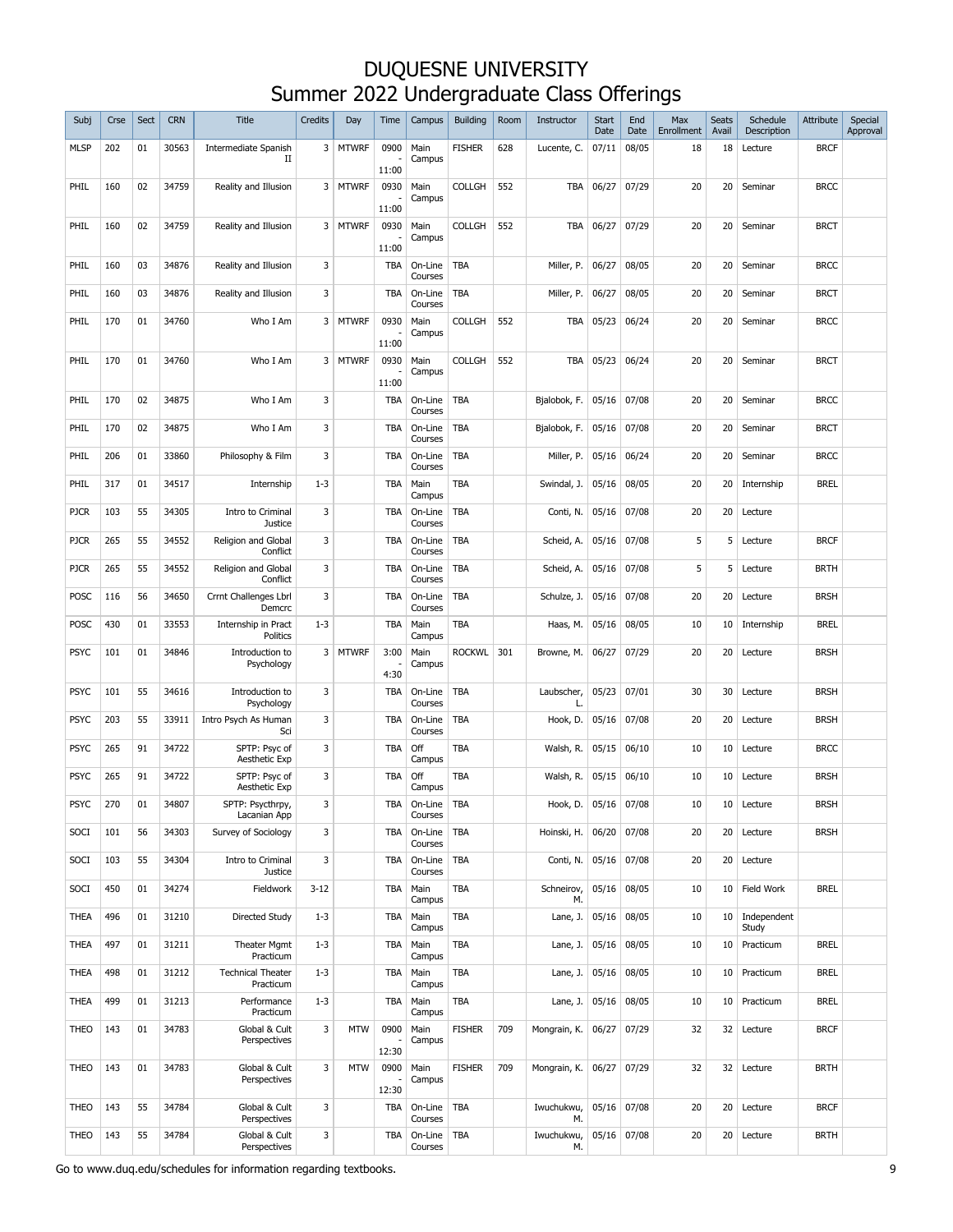| Subj        | Crse | Sect | <b>CRN</b> | <b>Title</b>                          | Credits  | Day          | Time          | Campus                   | <b>Building</b> | Room | Instructor       | <b>Start</b><br>Date | End<br>Date   | Max<br>Enrollment | <b>Seats</b><br>Avail | Schedule<br>Description | Attribute   | Special<br>Approval |
|-------------|------|------|------------|---------------------------------------|----------|--------------|---------------|--------------------------|-----------------|------|------------------|----------------------|---------------|-------------------|-----------------------|-------------------------|-------------|---------------------|
| <b>MLSP</b> | 202  | 01   | 30563      | <b>Intermediate Spanish</b><br>П      |          | 3 MTWRF      | 0900<br>11:00 | Main<br>Campus           | <b>FISHER</b>   | 628  | Lucente, C.      | 07/11                | 08/05         | 18                | 18                    | Lecture                 | <b>BRCF</b> |                     |
| PHIL        | 160  | 02   | 34759      | Reality and Illusion                  |          | 3 MTWRF      | 0930<br>11:00 | Main<br>Campus           | <b>COLLGH</b>   | 552  | TBA              | 06/27                | 07/29         | 20                | 20                    | Seminar                 | <b>BRCC</b> |                     |
| PHIL        | 160  | 02   | 34759      | Reality and Illusion                  |          | 3 MTWRF      | 0930<br>11:00 | Main<br>Campus           | <b>COLLGH</b>   | 552  | <b>TBA</b>       | 06/27                | 07/29         | 20                | 20                    | Seminar                 | <b>BRCT</b> |                     |
| PHIL        | 160  | 03   | 34876      | Reality and Illusion                  | 3        |              | <b>TBA</b>    | On-Line<br>Courses       | TBA             |      | Miller, P.       | 06/27                | 08/05         | 20                | 20                    | Seminar                 | <b>BRCC</b> |                     |
| PHIL        | 160  | 03   | 34876      | Reality and Illusion                  | 3        |              | <b>TBA</b>    | On-Line<br>Courses       | <b>TBA</b>      |      | Miller, P.       | 06/27                | 08/05         | 20                | 20                    | Seminar                 | <b>BRCT</b> |                     |
| PHIL        | 170  | 01   | 34760      | Who I Am                              |          | 3 MTWRF      | 0930<br>11:00 | Main<br>Campus           | <b>COLLGH</b>   | 552  | TBA              | 05/23                | 06/24         | 20                | 20                    | Seminar                 | <b>BRCC</b> |                     |
| PHIL        | 170  | 01   | 34760      | Who I Am                              | 3        | <b>MTWRF</b> | 0930<br>11:00 | Main<br>Campus           | <b>COLLGH</b>   | 552  | TBA              | 05/23                | 06/24         | 20                | 20                    | Seminar                 | <b>BRCT</b> |                     |
| PHIL        | 170  | 02   | 34875      | Who I Am                              | 3        |              | <b>TBA</b>    | On-Line<br>Courses       | <b>TBA</b>      |      | Bjalobok, F.     | 05/16                | 07/08         | 20                | 20                    | Seminar                 | <b>BRCC</b> |                     |
| PHIL        | 170  | 02   | 34875      | Who I Am                              | 3        |              | <b>TBA</b>    | On-Line<br>Courses       | TBA             |      | Bjalobok, F.     | $05/16$ 07/08        |               | 20                | 20                    | Seminar                 | <b>BRCT</b> |                     |
| PHIL        | 206  | 01   | 33860      | Philosophy & Film                     | 3        |              | <b>TBA</b>    | On-Line<br>Courses       | TBA             |      | Miller, P.       | $05/16$ 06/24        |               | 20                | 20                    | Seminar                 | <b>BRCC</b> |                     |
| PHIL        | 317  | 01   | 34517      | Internship                            | $1 - 3$  |              | <b>TBA</b>    | Main<br>Campus           | <b>TBA</b>      |      | Swindal, J.      | 05/16 08/05          |               | 20                | 20                    | Internship              | <b>BREL</b> |                     |
| <b>PJCR</b> | 103  | 55   | 34305      | Intro to Criminal<br>Justice          | 3        |              | <b>TBA</b>    | On-Line<br>Courses       | TBA             |      | Conti, N.        | $05/16$ 07/08        |               | 20                | 20                    | Lecture                 |             |                     |
| <b>PJCR</b> | 265  | 55   | 34552      | Religion and Global<br>Conflict       | 3        |              | <b>TBA</b>    | On-Line<br>Courses       | TBA             |      | Scheid, A.       |                      | $05/16$ 07/08 | 5                 | 5                     | Lecture                 | <b>BRCF</b> |                     |
| <b>PJCR</b> | 265  | 55   | 34552      | Religion and Global<br>Conflict       | 3        |              | <b>TBA</b>    | On-Line<br>Courses       | TBA             |      | Scheid, A.       | $05/16$ 07/08        |               | 5                 | 5                     | Lecture                 | <b>BRTH</b> |                     |
| POSC        | 116  | 56   | 34650      | Crrnt Challenges Lbrl<br>Demcrc       | 3        |              | <b>TBA</b>    | On-Line<br>Courses       | <b>TBA</b>      |      | Schulze, J.      | $05/16$ 07/08        |               | 20                | 20                    | Lecture                 | <b>BRSH</b> |                     |
| <b>POSC</b> | 430  | 01   | 33553      | Internship in Pract<br>Politics       | $1 - 3$  |              | <b>TBA</b>    | Main<br>Campus           | <b>TBA</b>      |      | Haas, M.         | 05/16 08/05          |               | 10                | 10                    | Internship              | <b>BREL</b> |                     |
| <b>PSYC</b> | 101  | 01   | 34846      | Introduction to<br>Psychology         |          | 3 MTWRF      | 3:00<br>4:30  | Main<br>Campus           | <b>ROCKWL</b>   | 301  | Browne, M.       | 06/27                | 07/29         | 20                | 20                    | Lecture                 | <b>BRSH</b> |                     |
| <b>PSYC</b> | 101  | 55   | 34616      | Introduction to<br>Psychology         | 3        |              | TBA           | On-Line<br>Courses       | <b>TBA</b>      |      | Laubscher,<br>L. |                      | $05/23$ 07/01 | 30                | 30                    | Lecture                 | <b>BRSH</b> |                     |
| PSYC        | 203  | 55   | 33911      | Intro Psych As Human<br>Sci           | 3        |              | <b>TBA</b>    | On-Line<br>Courses       | TBA             |      | Hook, D.         | $05/16$ 07/08        |               | 20                | 20                    | Lecture                 | <b>BRSH</b> |                     |
| PSYC        | 265  | 91   | 34722      | SPTP: Psyc of<br>Aesthetic Exp        | 3        |              | <b>TBA</b>    | Off<br>Campus            | TBA             |      | Walsh, R.        | $05/15$ 06/10        |               | 10                | 10                    | Lecture                 | <b>BRCC</b> |                     |
| <b>PSYC</b> | 265  | 91   | 34722      | SPTP: Psyc of<br>Aesthetic Exp        | 3        |              | TBA           | Off<br>Campus            | TBA             |      | Walsh, R.        | $05/15$ 06/10        |               | 10                | $10-10$               | Lecture                 | <b>BRSH</b> |                     |
| <b>PSYC</b> | 270  | 01   | 34807      | SPTP: Psycthrpy,<br>Lacanian App      | 3        |              | TBA           | On-Line   TBA<br>Courses |                 |      | Hook, $D.$       | 05/16 07/08          |               | 10                | 10                    | Lecture                 | <b>BRSH</b> |                     |
| <b>SOCI</b> | 101  | 56   | 34303      | Survey of Sociology                   | 3        |              | TBA           | On-Line<br>Courses       | <b>TBA</b>      |      | Hoinski, H.      | 06/20 07/08          |               | 20                | 20                    | Lecture                 | <b>BRSH</b> |                     |
| <b>SOCI</b> | 103  | 55   | 34304      | Intro to Criminal<br>Justice          | 3        |              | TBA           | On-Line<br>Courses       | TBA             |      | Conti, N.        | 05/16 07/08          |               | 20                | 20                    | Lecture                 |             |                     |
| <b>SOCI</b> | 450  | 01   | 34274      | Fieldwork                             | $3 - 12$ |              | TBA           | Main<br>Campus           | TBA             |      | Schneirov,<br>М. |                      | 05/16 08/05   | 10                | 10 <sup>1</sup>       | Field Work              | <b>BREL</b> |                     |
| <b>THEA</b> | 496  | 01   | 31210      | Directed Study                        | $1 - 3$  |              | <b>TBA</b>    | Main<br>Campus           | <b>TBA</b>      |      | Lane, J.         | 05/16                | 08/05         | 10                | 10 <sup>1</sup>       | Independent<br>Study    |             |                     |
| <b>THEA</b> | 497  | 01   | 31211      | Theater Mgmt<br>Practicum             | $1 - 3$  |              | <b>TBA</b>    | Main<br>Campus           | TBA             |      | Lane, J.         | 05/16 08/05          |               | 10                | 10                    | Practicum               | <b>BREL</b> |                     |
| <b>THEA</b> | 498  | 01   | 31212      | <b>Technical Theater</b><br>Practicum | $1 - 3$  |              | TBA           | Main<br>Campus           | <b>TBA</b>      |      | Lane, J.         | 05/16 08/05          |               | 10                | 10                    | Practicum               | <b>BREL</b> |                     |
| <b>THEA</b> | 499  | 01   | 31213      | Performance<br>Practicum              | $1 - 3$  |              | <b>TBA</b>    | Main<br>Campus           | TBA             |      | Lane, J.         | 05/16 08/05          |               | 10                | 10                    | Practicum               | <b>BREL</b> |                     |
| <b>THEO</b> | 143  | 01   | 34783      | Global & Cult<br>Perspectives         | 3        | <b>MTW</b>   | 0900<br>12:30 | Main<br>Campus           | <b>FISHER</b>   | 709  | Mongrain, K.     | 06/27                | 07/29         | 32                | 32                    | Lecture                 | <b>BRCF</b> |                     |
| <b>THEO</b> | 143  | 01   | 34783      | Global & Cult<br>Perspectives         | 3        | <b>MTW</b>   | 0900<br>12:30 | Main<br>Campus           | <b>FISHER</b>   | 709  | Mongrain, K.     | 06/27                | 07/29         | 32                | 32                    | Lecture                 | <b>BRTH</b> |                     |
| THEO        | 143  | 55   | 34784      | Global & Cult<br>Perspectives         | 3        |              | <b>TBA</b>    | On-Line<br>Courses       | <b>TBA</b>      |      | Iwuchukwu,<br>М. |                      | 05/16 07/08   | 20                | 20 <sup>1</sup>       | Lecture                 | <b>BRCF</b> |                     |
| <b>THEO</b> | 143  | 55   | 34784      | Global & Cult<br>Perspectives         | 3        |              | TBA           | On-Line<br>Courses       | TBA             |      | Iwuchukwu,<br>М. |                      | 05/16 07/08   | 20                | 20 <sup>1</sup>       | Lecture                 | <b>BRTH</b> |                     |

Go to www.duq.edu/schedules for information regarding textbooks. 9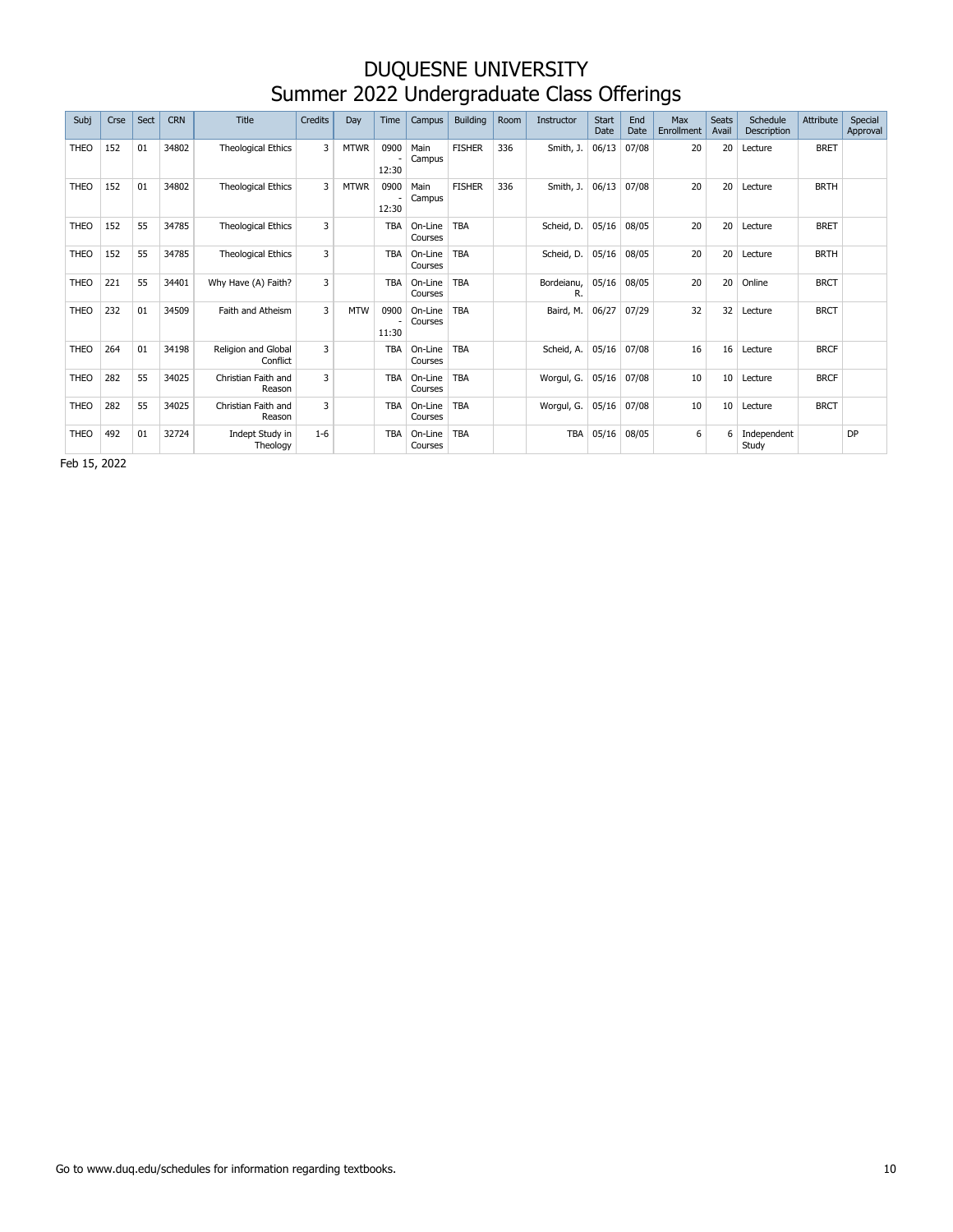| Subj        | Crse | Sect | <b>CRN</b> | <b>Title</b>                    | Credits      | Day         | <b>Time</b>   | Campus             | <b>Building</b> | Room | Instructor       | Start<br>Date | End<br>Date | Max<br>Enrollment | <b>Seats</b><br>Avail | Schedule<br>Description | Attribute   | Special<br>Approval |
|-------------|------|------|------------|---------------------------------|--------------|-------------|---------------|--------------------|-----------------|------|------------------|---------------|-------------|-------------------|-----------------------|-------------------------|-------------|---------------------|
| <b>THEO</b> | 152  | 01   | 34802      | <b>Theological Ethics</b>       | 3            | <b>MTWR</b> | 0900<br>12:30 | Main<br>Campus     | <b>FISHER</b>   | 336  | Smith, J.        | 06/13         | 07/08       | 20                | 20                    | Lecture                 | <b>BRET</b> |                     |
| <b>THEO</b> | 152  | 01   | 34802      | <b>Theological Ethics</b>       | 3            | <b>MTWR</b> | 0900<br>12:30 | Main<br>Campus     | <b>FISHER</b>   | 336  | Smith, J.        | 06/13         | 07/08       | 20                | 20                    | Lecture                 | <b>BRTH</b> |                     |
| <b>THEO</b> | 152  | 55   | 34785      | <b>Theological Ethics</b>       | 3            |             | <b>TBA</b>    | On-Line<br>Courses | <b>TBA</b>      |      | Scheid, D.       | 05/16         | 08/05       | 20                | 20                    | Lecture                 | <b>BRET</b> |                     |
| <b>THEO</b> | 152  | 55   | 34785      | <b>Theological Ethics</b>       | 3            |             | <b>TBA</b>    | On-Line<br>Courses | <b>TBA</b>      |      | Scheid, D.       | 05/16         | 08/05       | 20                | 20                    | Lecture                 | <b>BRTH</b> |                     |
| <b>THEO</b> | 221  | 55   | 34401      | Why Have (A) Faith?             | 3            |             | <b>TBA</b>    | On-Line<br>Courses | <b>TBA</b>      |      | Bordeianu,<br>R. | 05/16         | 08/05       | 20                | 20                    | Online                  | <b>BRCT</b> |                     |
| <b>THEO</b> | 232  | 01   | 34509      | Faith and Atheism               | 3            | <b>MTW</b>  | 0900<br>11:30 | On-Line<br>Courses | <b>TBA</b>      |      | Baird, M.        | 06/27         | 07/29       | 32                | 32                    | Lecture                 | <b>BRCT</b> |                     |
| <b>THEO</b> | 264  | 01   | 34198      | Religion and Global<br>Conflict | 3            |             | <b>TBA</b>    | On-Line<br>Courses | <b>TBA</b>      |      | Scheid, A.       | 05/16         | 07/08       | 16                | 16                    | Lecture                 | <b>BRCF</b> |                     |
| <b>THEO</b> | 282  | 55   | 34025      | Christian Faith and<br>Reason   | $\mathbf{3}$ |             | <b>TBA</b>    | On-Line<br>Courses | <b>TBA</b>      |      | Worgul, G.       | 05/16         | 07/08       | 10                | 10 <sup>°</sup>       | Lecture                 | <b>BRCF</b> |                     |
| <b>THEO</b> | 282  | 55   | 34025      | Christian Faith and<br>Reason   | 3            |             | <b>TBA</b>    | On-Line<br>Courses | <b>TBA</b>      |      | Worgul, G.       | 05/16         | 07/08       | 10                | 10                    | Lecture                 | <b>BRCT</b> |                     |
| <b>THEO</b> | 492  | 01   | 32724      | Indept Study in<br>Theology     | $1 - 6$      |             | <b>TBA</b>    | On-Line<br>Courses | <b>TBA</b>      |      | TBA              | 05/16         | 08/05       | 6                 | 6                     | Independent<br>Study    |             | DP                  |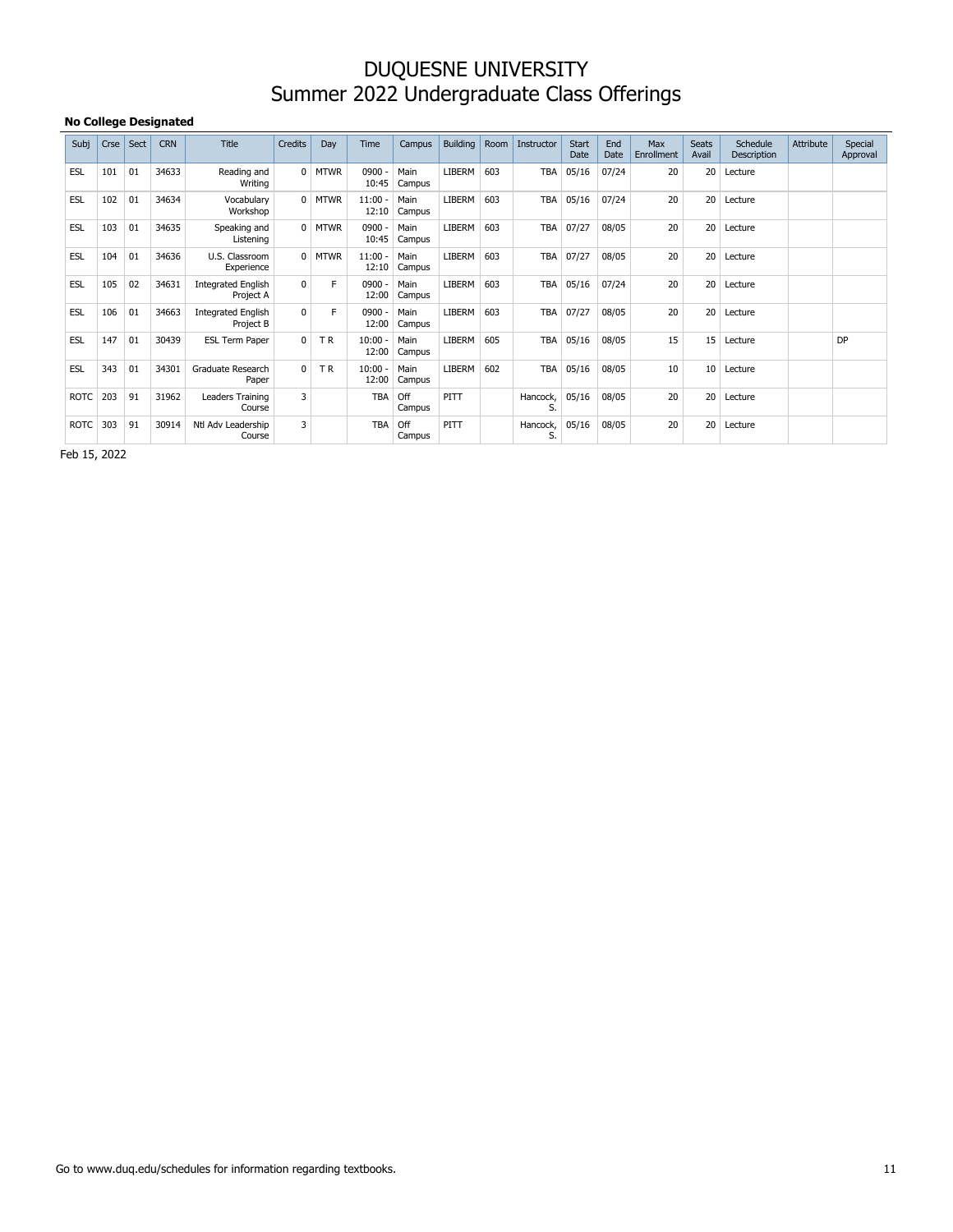#### **No College Designated**

| Subj        | Crse | Sect | <b>CRN</b> | <b>Title</b>                           | Credits      | Day         | Time           | Campus         | Building      | Room | Instructor     | Start<br>Date | End<br>Date | Max<br>Enrollment | <b>Seats</b><br>Avail | Schedule<br>Description | Attribute | Special<br>Approval |
|-------------|------|------|------------|----------------------------------------|--------------|-------------|----------------|----------------|---------------|------|----------------|---------------|-------------|-------------------|-----------------------|-------------------------|-----------|---------------------|
| <b>ESL</b>  | 101  | 01   | 34633      | Reading and<br>Writing                 | $\Omega$     | <b>MTWR</b> | 0900<br>10:45  | Main<br>Campus | <b>LIBERM</b> | 603  | <b>TBA</b>     | 05/16         | 07/24       | 20                | 20                    | Lecture                 |           |                     |
| ESL         | 102  | 01   | 34634      | Vocabulary<br>Workshop                 | $\Omega$     | <b>MTWR</b> | 11:00<br>12:10 | Main<br>Campus | LIBERM        | 603  | <b>TBA</b>     | 05/16         | 07/24       | 20                | 20                    | Lecture                 |           |                     |
| <b>ESL</b>  | 103  | 01   | 34635      | Speaking and<br>Listening              | $\mathbf{0}$ | <b>MTWR</b> | 0900<br>10:45  | Main<br>Campus | LIBERM        | 603  | <b>TBA</b>     | 07/27         | 08/05       | 20                | 20                    | Lecture                 |           |                     |
| <b>ESL</b>  | 104  | 01   | 34636      | U.S. Classroom<br>Experience           | $\Omega$     | <b>MTWR</b> | 11:00<br>12:10 | Main<br>Campus | <b>LIBERM</b> | 603  | <b>TBA</b>     | 07/27         | 08/05       | 20                | 20                    | Lecture                 |           |                     |
| ESL         | 105  | 02   | 34631      | <b>Integrated English</b><br>Project A | $\Omega$     | F           | 0900<br>12:00  | Main<br>Campus | <b>LIBERM</b> | 603  | <b>TBA</b>     | 05/16         | 07/24       | 20                | 20                    | Lecture                 |           |                     |
| <b>ESL</b>  | 106  | 01   | 34663      | <b>Integrated English</b><br>Project B | $\Omega$     | F           | 0900<br>12:00  | Main<br>Campus | <b>LIBERM</b> | 603  | TBA            | 07/27         | 08/05       | 20                | 20                    | Lecture                 |           |                     |
| <b>ESL</b>  | 147  | 01   | 30439      | <b>ESL Term Paper</b>                  | $\Omega$     | <b>TR</b>   | 10:00<br>12:00 | Main<br>Campus | LIBERM        | 605  | <b>TBA</b>     | 05/16         | 08/05       | 15                | 15                    | Lecture                 |           | <b>DP</b>           |
| <b>ESL</b>  | 343  | 01   | 34301      | Graduate Research<br>Paper             | $\Omega$     | <b>TR</b>   | 10:00<br>12:00 | Main<br>Campus | LIBERM        | 602  | <b>TBA</b>     | 05/16         | 08/05       | 10                | 10                    | Lecture                 |           |                     |
| <b>ROTC</b> | 203  | 91   | 31962      | Leaders Training<br>Course             | 3            |             | <b>TBA</b>     | Off<br>Campus  | PITT          |      | Hancock,<br>S. | 05/16         | 08/05       | 20                | 20                    | Lecture                 |           |                     |
| <b>ROTC</b> | 303  | 91   | 30914      | Ntl Adv Leadership<br>Course           | 3            |             | <b>TBA</b>     | Off<br>Campus  | PITT          |      | Hancock,<br>S. | 05/16         | 08/05       | 20                | 20                    | Lecture                 |           |                     |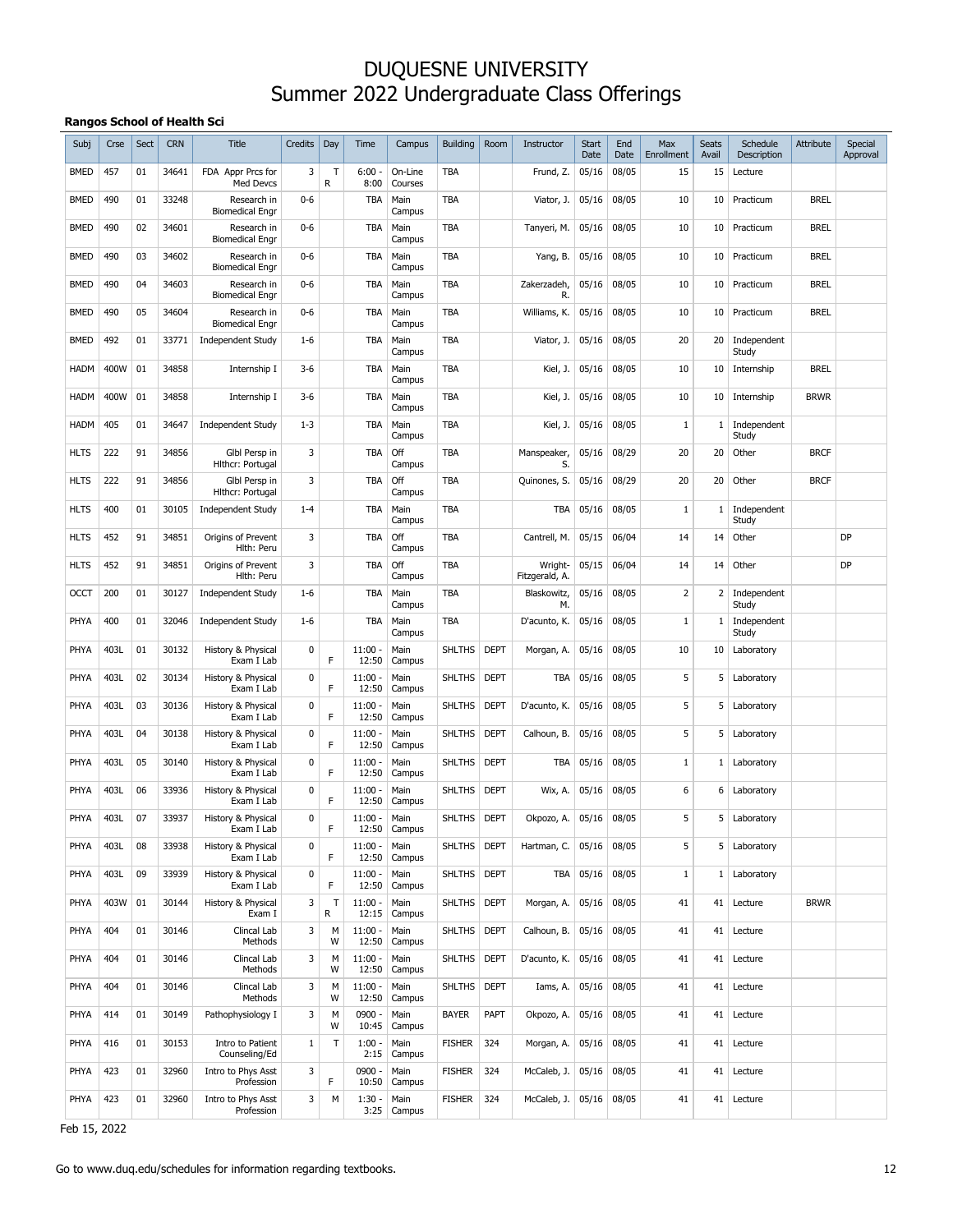#### **Rangos School of Health Sci**

| Subj        | Crse | Sect | <b>CRN</b> | Title                                 | Credits     | Day         | Time               | Campus             | <b>Building</b> | Room        | Instructor                | Start<br>Date | End<br>Date | Max<br>Enrollment | Seats<br>Avail | Schedule<br>Description | Attribute   | Special<br>Approval |
|-------------|------|------|------------|---------------------------------------|-------------|-------------|--------------------|--------------------|-----------------|-------------|---------------------------|---------------|-------------|-------------------|----------------|-------------------------|-------------|---------------------|
| BMED        | 457  | 01   | 34641      | FDA Appr Prcs for<br>Med Devcs        | 3           | T<br>R      | $6:00 -$<br>8:00   | On-Line<br>Courses | <b>TBA</b>      |             | Frund, Z.                 | 05/16         | 08/05       | 15                | 15             | Lecture                 |             |                     |
| BMED        | 490  | 01   | 33248      | Research in<br><b>Biomedical Engr</b> | $0 - 6$     |             | TBA                | Main<br>Campus     | <b>TBA</b>      |             | Viator, J.                | 05/16         | 08/05       | 10                | 10             | Practicum               | <b>BREL</b> |                     |
| BMED        | 490  | 02   | 34601      | Research in<br><b>Biomedical Engr</b> | $0 - 6$     |             | TBA                | Main<br>Campus     | <b>TBA</b>      |             | Tanyeri, M.               | 05/16         | 08/05       | 10                | 10             | Practicum               | <b>BREL</b> |                     |
| BMED        | 490  | 03   | 34602      | Research in<br><b>Biomedical Engr</b> | $0 - 6$     |             | TBA                | Main<br>Campus     | <b>TBA</b>      |             | Yang, B.                  | 05/16         | 08/05       | 10                | 10             | Practicum               | <b>BREL</b> |                     |
| BMED        | 490  | 04   | 34603      | Research in<br><b>Biomedical Engr</b> | $0 - 6$     |             | TBA                | Main<br>Campus     | <b>TBA</b>      |             | Zakerzadeh,<br>R.         | 05/16         | 08/05       | 10                | 10             | Practicum               | <b>BREL</b> |                     |
| BMED        | 490  | 05   | 34604      | Research in<br><b>Biomedical Engr</b> | $0 - 6$     |             | TBA                | Main<br>Campus     | TBA             |             | Williams, K.              | 05/16         | 08/05       | 10                | 10             | Practicum               | <b>BREL</b> |                     |
| BMED        | 492  | 01   | 33771      | <b>Independent Study</b>              | $1 - 6$     |             | TBA                | Main<br>Campus     | TBA             |             | Viator, J.                | 05/16         | 08/05       | 20                | 20             | Independent<br>Study    |             |                     |
| <b>HADM</b> | 400W | 01   | 34858      | Internship I                          | $3-6$       |             | TBA                | Main<br>Campus     | TBA             |             | Kiel, J.                  | 05/16         | 08/05       | 10                | 10             | Internship              | <b>BREL</b> |                     |
| <b>HADM</b> | 400W | 01   | 34858      | Internship I                          | $3 - 6$     |             | TBA                | Main<br>Campus     | TBA             |             | Kiel, J.                  | 05/16         | 08/05       | 10                | 10             | Internship              | <b>BRWR</b> |                     |
| <b>HADM</b> | 405  | 01   | 34647      | <b>Independent Study</b>              | $1 - 3$     |             | TBA                | Main<br>Campus     | TBA             |             | Kiel, J.                  | 05/16         | 08/05       | $\mathbf{1}$      | 1              | Independent<br>Study    |             |                     |
| <b>HLTS</b> | 222  | 91   | 34856      | Glbl Persp in<br>Hithcr: Portugal     | 3           |             | TBA                | Off<br>Campus      | TBA             |             | Manspeaker,<br>S.         | 05/16         | 08/29       | 20                | 20             | Other                   | <b>BRCF</b> |                     |
| <b>HLTS</b> | 222  | 91   | 34856      | Glbl Persp in<br>Hithcr: Portugal     | 3           |             | TBA                | Off<br>Campus      | TBA             |             | Quinones, S.              | 05/16         | 08/29       | 20                | 20             | Other                   | <b>BRCF</b> |                     |
| <b>HLTS</b> | 400  | 01   | 30105      | <b>Independent Study</b>              | $1 - 4$     |             | TBA                | Main<br>Campus     | TBA             |             | TBA                       | 05/16         | 08/05       | $1\,$             | 1              | Independent<br>Study    |             |                     |
| <b>HLTS</b> | 452  | 91   | 34851      | Origins of Prevent<br>Hlth: Peru      | 3           |             | TBA                | Off<br>Campus      | TBA             |             | Cantrell, M.              | 05/15         | 06/04       | 14                | 14             | Other                   |             | DP                  |
| <b>HLTS</b> | 452  | 91   | 34851      | Origins of Prevent<br>Hlth: Peru      | 3           |             | TBA                | Off<br>Campus      | TBA             |             | Wright-<br>Fitzgerald, A. | 05/15         | 06/04       | 14                | 14             | Other                   |             | DP                  |
| <b>OCCT</b> | 200  | 01   | 30127      | <b>Independent Study</b>              | $1 - 6$     |             | TBA                | Main<br>Campus     | TBA             |             | Blaskowitz,<br>М.         | 05/16         | 08/05       | 2                 | 2              | Independent<br>Study    |             |                     |
| PHYA        | 400  | 01   | 32046      | <b>Independent Study</b>              | $1 - 6$     |             | TBA                | Main<br>Campus     | TBA             |             | D'acunto, K.              | 05/16         | 08/05       | $1\,$             | 1              | Independent<br>Study    |             |                     |
| PHYA        | 403L | 01   | 30132      | History & Physical<br>Exam I Lab      | 0           | F           | $11:00 -$<br>12:50 | Main<br>Campus     | <b>SHLTHS</b>   | <b>DEPT</b> | Morgan, A.                | 05/16         | 08/05       | 10                | 10             | Laboratory              |             |                     |
| PHYA        | 403L | 02   | 30134      | History & Physical<br>Exam I Lab      | 0           | F           | $11:00 -$<br>12:50 | Main<br>Campus     | <b>SHLTHS</b>   | <b>DEPT</b> | TBA                       | 05/16         | 08/05       | 5                 | 5              | Laboratory              |             |                     |
| PHYA        | 403L | 03   | 30136      | History & Physical<br>Exam I Lab      | 0           | F           | $11:00 -$<br>12:50 | Main<br>Campus     | <b>SHLTHS</b>   | <b>DEPT</b> | D'acunto, K.              | 05/16         | 08/05       | 5                 | 5              | Laboratory              |             |                     |
| PHYA        | 403L | 04   | 30138      | History & Physical<br>Exam I Lab      | 0           | F           | $11:00 -$<br>12:50 | Main<br>Campus     | <b>SHLTHS</b>   | <b>DEPT</b> | Calhoun, B.               | 05/16         | 08/05       | 5                 | 5              | Laboratory              |             |                     |
| PHYA        | 403L | 05   | 30140      | History & Physical<br>Exam I Lab      | 0           | F           | $11:00 -$<br>12:50 | Main<br>Campus     | <b>SHLTHS</b>   | <b>DEPT</b> | TBA                       | 05/16         | 08/05       | $\mathbf{1}$      | 1              | Laboratory              |             |                     |
| PHYA        | 403L | 06   | 33936      | History & Physical<br>Exam I Lab      | 0           | F           | $11:00 -$<br>12:50 | Main<br>Campus     | <b>SHLTHS</b>   | <b>DEPT</b> | Wix, A.                   | 05/16         | 08/05       | 6                 | 6              | Laboratory              |             |                     |
| PHYA        | 403L | 07   | 33937      | History & Physical<br>Exam I Lab      | 0           | F           | $11:00 -$<br>12:50 | Main<br>Campus     | <b>SHLTHS</b>   | <b>DEPT</b> | Okpozo, A.                | 05/16         | 08/05       | 5                 | 5              | Laboratory              |             |                     |
| PHYA        | 403L | 08   | 33938      | History & Physical<br>Exam I Lab      | 0           | F           | $11:00 -$<br>12:50 | Main<br>Campus     | SHLTHS DEPT     |             | Hartman, C.               | 05/16         | 08/05       | 5                 | 5              | Laboratory              |             |                     |
| PHYA        | 403L | 09   | 33939      | History & Physical<br>Exam I Lab      | $\pmb{0}$   | F           | $11:00 -$<br>12:50 | Main<br>Campus     | SHLTHS DEPT     |             | TBA                       | 05/16         | 08/05       | $1\,$             | 1              | Laboratory              |             |                     |
| PHYA        | 403W | 01   | 30144      | History & Physical<br>Exam I          | 3           | T<br>R      | $11:00 -$<br>12:15 | Main<br>Campus     | SHLTHS DEPT     |             | Morgan, A.                | 05/16         | 08/05       | 41                | 41             | Lecture                 | <b>BRWR</b> |                     |
| PHYA        | 404  | 01   | 30146      | Clincal Lab<br>Methods                | 3           | M<br>W      | $11:00 -$<br>12:50 | Main<br>Campus     | SHLTHS          | <b>DEPT</b> | Calhoun, B.               | 05/16         | 08/05       | 41                | 41             | Lecture                 |             |                     |
| PHYA        | 404  | 01   | 30146      | Clincal Lab<br>Methods                | 3           | M<br>W      | $11:00 -$<br>12:50 | Main<br>Campus     | SHLTHS          | <b>DEPT</b> | D'acunto, K.              | 05/16         | 08/05       | 41                | 41             | Lecture                 |             |                     |
| PHYA        | 404  | 01   | 30146      | Clincal Lab<br>Methods                | 3           | M<br>W      | $11:00 -$<br>12:50 | Main<br>Campus     | <b>SHLTHS</b>   | <b>DEPT</b> | Iams, A.                  | 05/16         | 08/05       | 41                | 41             | Lecture                 |             |                     |
| PHYA        | 414  | 01   | 30149      | Pathophysiology I                     | 3           | M<br>W      | 0900 -<br>10:45    | Main<br>Campus     | <b>BAYER</b>    | PAPT        | Okpozo, A.                | 05/16         | 08/05       | 41                | 41             | Lecture                 |             |                     |
| PHYA        | 416  | 01   | 30153      | Intro to Patient<br>Counseling/Ed     | $1\,$       | $\mathsf T$ | $1:00 -$<br>2:15   | Main<br>Campus     | <b>FISHER</b>   | 324         | Morgan, A.                | 05/16         | 08/05       | 41                | 41             | Lecture                 |             |                     |
| PHYA        | 423  | 01   | 32960      | Intro to Phys Asst<br>Profession      | $\mathsf 3$ | F           | 0900 -<br>10:50    | Main<br>Campus     | <b>FISHER</b>   | 324         | McCaleb, J.               | 05/16         | 08/05       | 41                | 41             | Lecture                 |             |                     |
| PHYA        | 423  | 01   | 32960      | Intro to Phys Asst<br>Profession      | 3           | M           | $1:30 -$<br>3:25   | Main<br>Campus     | <b>FISHER</b>   | 324         | McCaleb, J.               | 05/16         | 08/05       | 41                | 41             | Lecture                 |             |                     |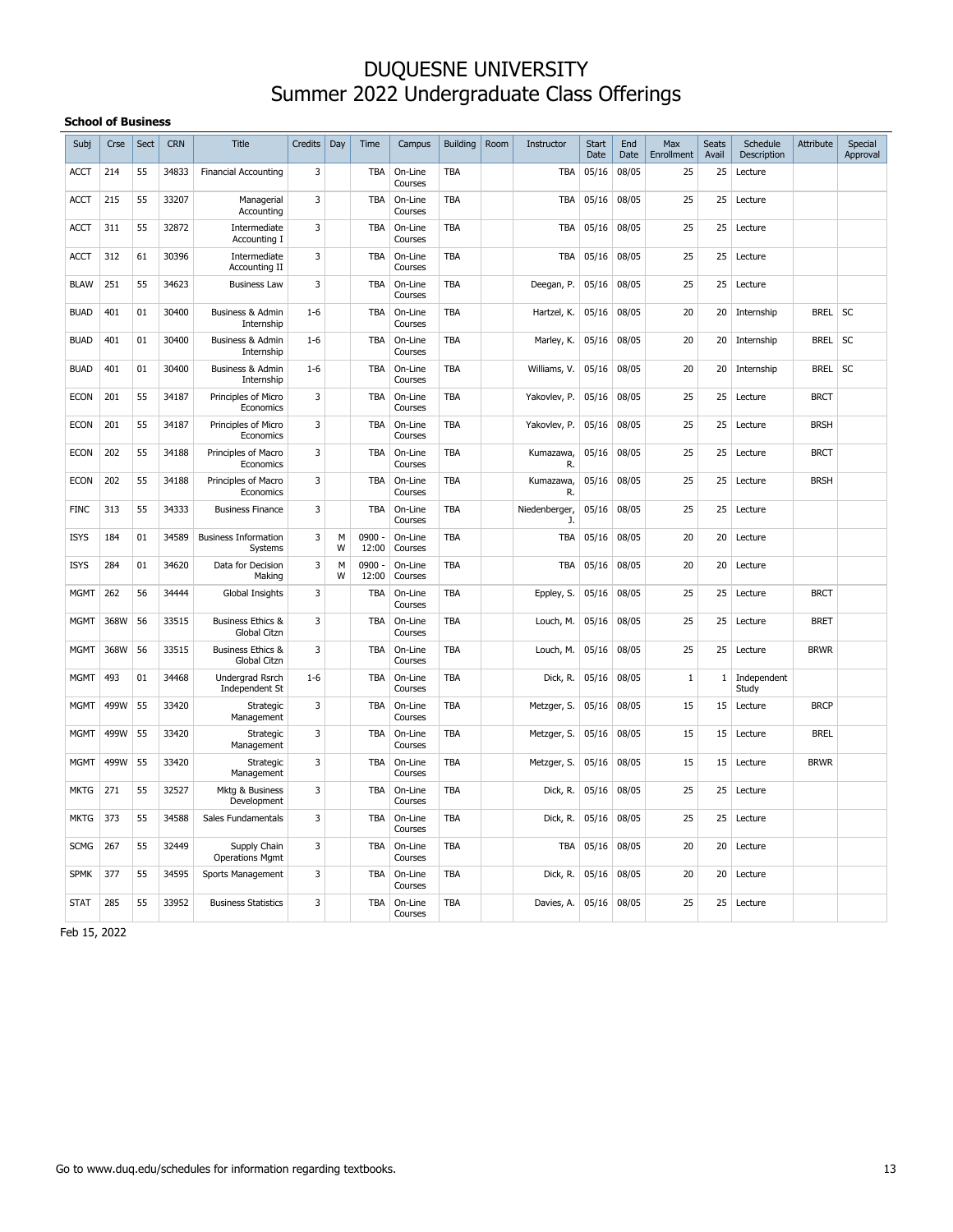#### **School of Business**

| Subj        | Crse | Sect | <b>CRN</b> | <b>Title</b>                                        | <b>Credits</b> | Day    | Time              | Campus             | <b>Building</b> | Room | Instructor          | <b>Start</b><br>Date | End<br>Date | Max<br>Enrollment | Seats<br>Avail | Schedule<br>Description | <b>Attribute</b> | Special<br>Approval |
|-------------|------|------|------------|-----------------------------------------------------|----------------|--------|-------------------|--------------------|-----------------|------|---------------------|----------------------|-------------|-------------------|----------------|-------------------------|------------------|---------------------|
| ACCT        | 214  | 55   | 34833      | <b>Financial Accounting</b>                         | 3              |        | <b>TBA</b>        | On-Line<br>Courses | <b>TBA</b>      |      | <b>TBA</b>          | 05/16                | 08/05       | 25                | 25             | Lecture                 |                  |                     |
| <b>ACCT</b> | 215  | 55   | 33207      | Managerial<br>Accounting                            | 3              |        | TBA               | On-Line<br>Courses | <b>TBA</b>      |      | <b>TBA</b>          | 05/16                | 08/05       | 25                | 25             | Lecture                 |                  |                     |
| <b>ACCT</b> | 311  | 55   | 32872      | Intermediate<br>Accounting I                        | 3              |        | TBA               | On-Line<br>Courses | <b>TBA</b>      |      | TBA                 | 05/16                | 08/05       | 25                | 25             | Lecture                 |                  |                     |
| <b>ACCT</b> | 312  | 61   | 30396      | Intermediate<br>Accounting II                       | 3              |        | TBA               | On-Line<br>Courses | TBA             |      | <b>TBA</b>          | 05/16                | 08/05       | 25                | 25             | Lecture                 |                  |                     |
| <b>BLAW</b> | 251  | 55   | 34623      | <b>Business Law</b>                                 | 3              |        | TBA               | On-Line<br>Courses | <b>TBA</b>      |      | Deegan, P.          | 05/16                | 08/05       | 25                | 25             | Lecture                 |                  |                     |
| <b>BUAD</b> | 401  | 01   | 30400      | <b>Business &amp; Admin</b><br>Internship           | $1 - 6$        |        | <b>TBA</b>        | On-Line<br>Courses | <b>TBA</b>      |      | Hartzel, K.         | 05/16                | 08/05       | 20                | 20             | Internship              | <b>BREL</b>      | <b>SC</b>           |
| <b>BUAD</b> | 401  | 01   | 30400      | <b>Business &amp; Admin</b><br>Internship           | $1 - 6$        |        | <b>TBA</b>        | On-Line<br>Courses | <b>TBA</b>      |      | Marley, K.          | 05/16                | 08/05       | 20                | 20             | Internship              | <b>BREL</b>      | SC                  |
| <b>BUAD</b> | 401  | 01   | 30400      | <b>Business &amp; Admin</b><br>Internship           | $1 - 6$        |        | <b>TBA</b>        | On-Line<br>Courses | <b>TBA</b>      |      | Williams, V.        | 05/16                | 08/05       | 20                | 20             | Internship              | <b>BREL</b>      | <b>SC</b>           |
| <b>ECON</b> | 201  | 55   | 34187      | Principles of Micro<br>Economics                    | 3              |        | <b>TBA</b>        | On-Line<br>Courses | <b>TBA</b>      |      | Yakovlev, P.        | 05/16                | 08/05       | 25                | 25             | Lecture                 | <b>BRCT</b>      |                     |
| <b>ECON</b> | 201  | 55   | 34187      | Principles of Micro<br>Economics                    | 3              |        | TBA               | On-Line<br>Courses | TBA             |      | Yakovlev, P.        | 05/16                | 08/05       | 25                | 25             | Lecture                 | <b>BRSH</b>      |                     |
| <b>ECON</b> | 202  | 55   | 34188      | Principles of Macro<br>Economics                    | 3              |        | <b>TBA</b>        | On-Line<br>Courses | <b>TBA</b>      |      | Kumazawa,<br>R.     | 05/16                | 08/05       | 25                | 25             | Lecture                 | <b>BRCT</b>      |                     |
| <b>ECON</b> | 202  | 55   | 34188      | Principles of Macro<br>Economics                    | 3              |        | <b>TBA</b>        | On-Line<br>Courses | <b>TBA</b>      |      | Kumazawa,<br>R.     | 05/16                | 08/05       | 25                | 25             | Lecture                 | <b>BRSH</b>      |                     |
| <b>FINC</b> | 313  | 55   | 34333      | <b>Business Finance</b>                             | 3              |        | <b>TBA</b>        | On-Line<br>Courses | <b>TBA</b>      |      | Niedenberger,<br>J. | 05/16                | 08/05       | 25                | 25             | Lecture                 |                  |                     |
| <b>ISYS</b> | 184  | 01   | 34589      | <b>Business Information</b><br>Systems              | 3              | м<br>W | $0900 -$<br>12:00 | On-Line<br>Courses | <b>TBA</b>      |      | <b>TBA</b>          | 05/16                | 08/05       | 20                | 20             | Lecture                 |                  |                     |
| <b>ISYS</b> | 284  | 01   | 34620      | Data for Decision<br>Making                         | 3              | М<br>W | 0900<br>12:00     | On-Line<br>Courses | TBA             |      | <b>TBA</b>          | 05/16                | 08/05       | 20                | 20             | Lecture                 |                  |                     |
| <b>MGMT</b> | 262  | 56   | 34444      | Global Insights                                     | 3              |        | TBA               | On-Line<br>Courses | <b>TBA</b>      |      | Eppley, S.          | 05/16                | 08/05       | 25                | 25             | Lecture                 | <b>BRCT</b>      |                     |
| <b>MGMT</b> | 368W | 56   | 33515      | <b>Business Ethics &amp;</b><br><b>Global Citzn</b> | 3              |        | <b>TBA</b>        | On-Line<br>Courses | <b>TBA</b>      |      | Louch, M.           | 05/16                | 08/05       | 25                | 25             | Lecture                 | <b>BRET</b>      |                     |
| <b>MGMT</b> | 368W | 56   | 33515      | <b>Business Ethics &amp;</b><br>Global Citzn        | 3              |        | <b>TBA</b>        | On-Line<br>Courses | <b>TBA</b>      |      | Louch, M.           | 05/16                | 08/05       | 25                | 25             | Lecture                 | <b>BRWR</b>      |                     |
| <b>MGMT</b> | 493  | 01   | 34468      | Undergrad Rsrch<br>Independent St                   | $1 - 6$        |        | TBA               | On-Line<br>Courses | <b>TBA</b>      |      | Dick, R.            | 05/16                | 08/05       | 1                 | 1              | Independent<br>Study    |                  |                     |
| <b>MGMT</b> | 499W | 55   | 33420      | Strategic<br>Management                             | 3              |        | <b>TBA</b>        | On-Line<br>Courses | <b>TBA</b>      |      | Metzger, S.         | 05/16                | 08/05       | 15                | 15             | Lecture                 | <b>BRCP</b>      |                     |
| <b>MGMT</b> | 499W | 55   | 33420      | Strategic<br>Management                             | 3              |        | <b>TBA</b>        | On-Line<br>Courses | <b>TBA</b>      |      | Metzger, S.         | 05/16                | 08/05       | 15                | 15             | Lecture                 | <b>BREL</b>      |                     |
| <b>MGMT</b> | 499W | 55   | 33420      | Strategic<br>Management                             | 3              |        | <b>TBA</b>        | On-Line<br>Courses | <b>TBA</b>      |      | Metzger, S.         | 05/16                | 08/05       | 15                | 15             | Lecture                 | <b>BRWR</b>      |                     |
| <b>MKTG</b> | 271  | 55   | 32527      | Mktg & Business<br>Development                      | 3              |        | <b>TBA</b>        | On-Line<br>Courses | <b>TBA</b>      |      | Dick, R.            | 05/16                | 08/05       | 25                | 25             | Lecture                 |                  |                     |
| <b>MKTG</b> | 373  | 55   | 34588      | Sales Fundamentals                                  | $\overline{3}$ |        | <b>TBA</b>        | On-Line<br>Courses | <b>TBA</b>      |      | Dick, R.            | 05/16                | 08/05       | 25                | 25             | Lecture                 |                  |                     |
| <b>SCMG</b> | 267  | 55   | 32449      | Supply Chain<br><b>Operations Mgmt</b>              | 3              |        | TBA               | On-Line<br>Courses | <b>TBA</b>      |      | TBA                 | 05/16                | 08/05       | 20                | 20             | Lecture                 |                  |                     |
| <b>SPMK</b> | 377  | 55   | 34595      | Sports Management                                   | 3              |        | <b>TBA</b>        | On-Line<br>Courses | <b>TBA</b>      |      | Dick, R.            | 05/16                | 08/05       | 20                | 20             | Lecture                 |                  |                     |
| <b>STAT</b> | 285  | 55   | 33952      | <b>Business Statistics</b>                          | 3              |        | TBA               | On-Line<br>Courses | TBA             |      | Davies, A.          | 05/16                | 08/05       | 25                | 25             | Lecture                 |                  |                     |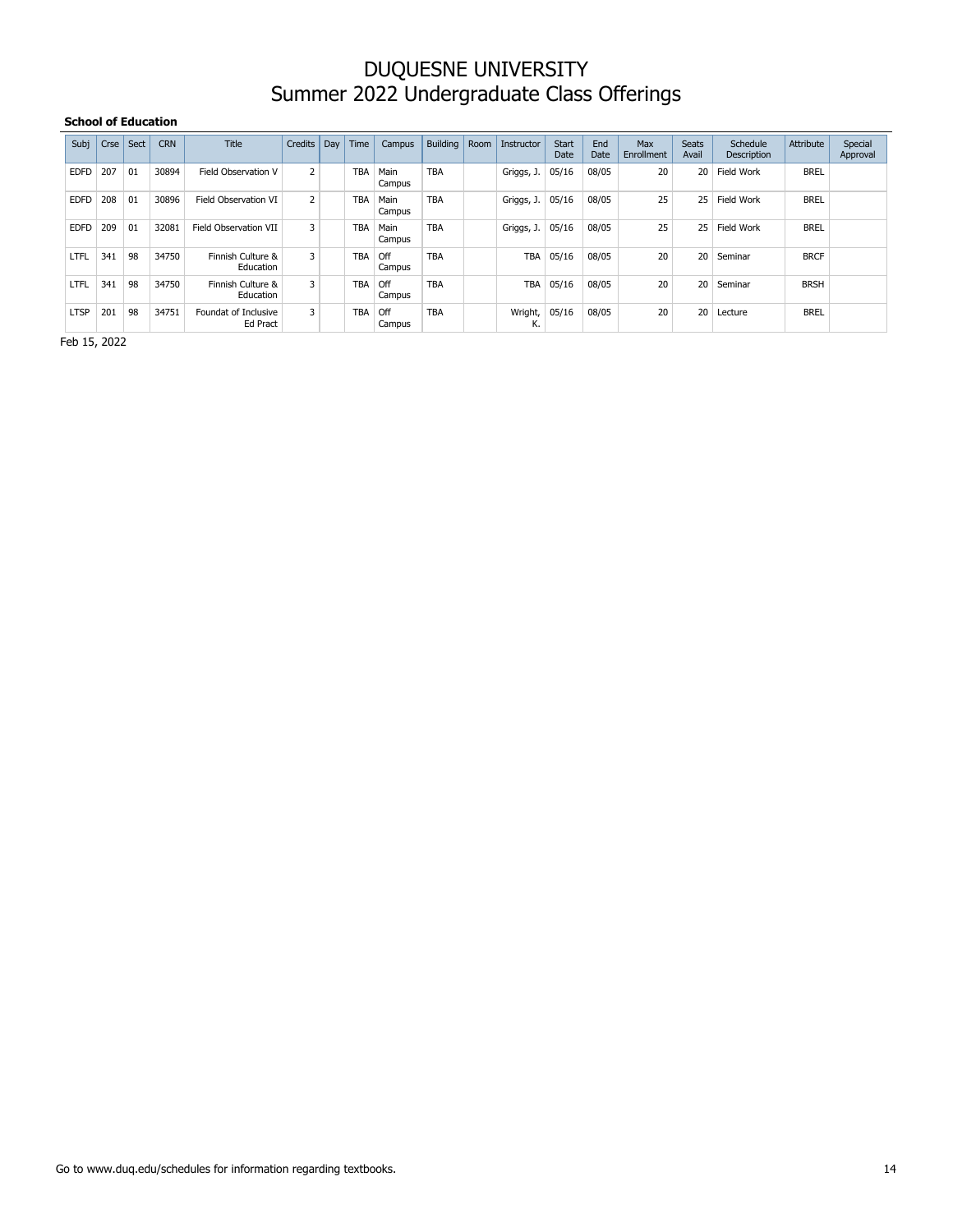#### **School of Education**

| Subj        | Crse | Sect | <b>CRN</b> | <b>Title</b>                     | Credits | Day | Time       | Campus         | Building   | Room | Instructor    | <b>Start</b><br>Date | End<br>Date | Max<br>Enrollment | <b>Seats</b><br>Avail | Schedule<br>Description | Attribute   | Special<br>Approval |
|-------------|------|------|------------|----------------------------------|---------|-----|------------|----------------|------------|------|---------------|----------------------|-------------|-------------------|-----------------------|-------------------------|-------------|---------------------|
| <b>EDFD</b> | 207  | 01   | 30894      | Field Observation V              | 2       |     | <b>TBA</b> | Main<br>Campus | <b>TBA</b> |      | Griggs, J.    | 05/16                | 08/05       | 20                | 20                    | Field Work              | <b>BREL</b> |                     |
| <b>EDFD</b> | 208  | 01   | 30896      | Field Observation VI             | 2       |     | <b>TBA</b> | Main<br>Campus | <b>TBA</b> |      | Griggs, J.    | 05/16                | 08/05       | 25                | 25                    | Field Work              | <b>BREL</b> |                     |
| <b>EDFD</b> | 209  | 01   | 32081      | Field Observation VII            | 3       |     | <b>TBA</b> | Main<br>Campus | <b>TBA</b> |      | Griggs, J.    | 05/16                | 08/05       | 25                | 25                    | <b>Field Work</b>       | <b>BREL</b> |                     |
| LTFL        | 341  | 98   | 34750      | Finnish Culture &<br>Education   | 3       |     | <b>TBA</b> | Off<br>Campus  | <b>TBA</b> |      | <b>TBA</b>    | 05/16                | 08/05       | 20                | 20                    | Seminar                 | <b>BRCF</b> |                     |
| LTFL        | 341  | 98   | 34750      | Finnish Culture &<br>Education   | 3       |     | <b>TBA</b> | Off<br>Campus  | <b>TBA</b> |      | <b>TBA</b>    | 05/16                | 08/05       | 20                | 20                    | Seminar                 | <b>BRSH</b> |                     |
| <b>LTSP</b> | 201  | 98   | 34751      | Foundat of Inclusive<br>Ed Pract | 3       |     | <b>TBA</b> | Off<br>Campus  | <b>TBA</b> |      | Wright,<br>К. | 05/16                | 08/05       | 20                | 20                    | Lecture                 | <b>BREL</b> |                     |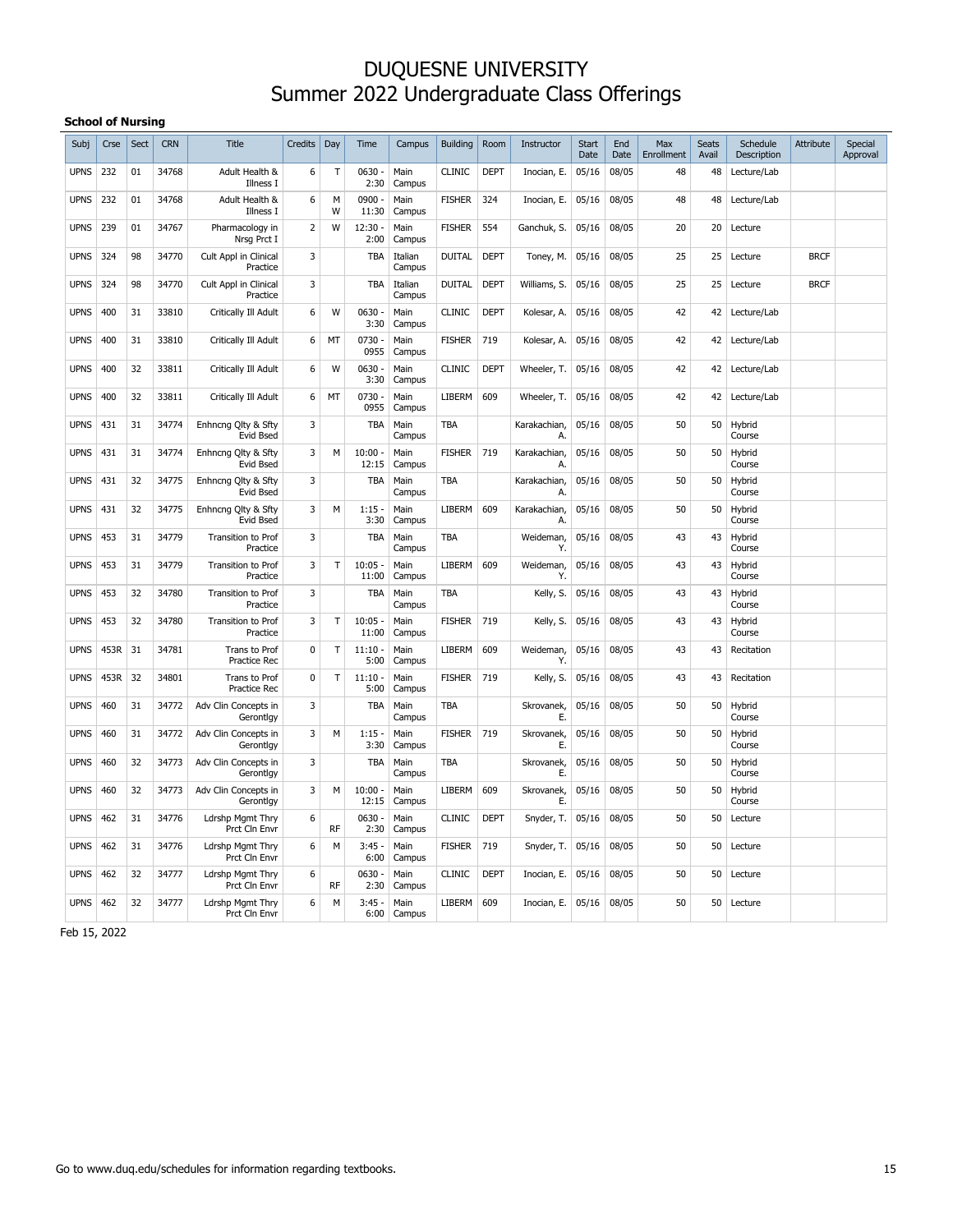#### **School of Nursing**

| Subj        | Crse | Sect | <b>CRN</b> | Title                                    | Credits        | Day       | Time               | Campus            | <b>Building</b> | Room        | Instructor         | <b>Start</b><br>Date | End<br>Date | Max<br>Enrollment | <b>Seats</b><br>Avail | Schedule<br>Description | Attribute   | Special<br>Approval |
|-------------|------|------|------------|------------------------------------------|----------------|-----------|--------------------|-------------------|-----------------|-------------|--------------------|----------------------|-------------|-------------------|-----------------------|-------------------------|-------------|---------------------|
| <b>UPNS</b> | 232  | 01   | 34768      | Adult Health &<br>Illness I              | 6              | Τ         | $0630 -$<br>2:30   | Main<br>Campus    | <b>CLINIC</b>   | <b>DEPT</b> | Inocian, E.        | 05/16                | 08/05       | 48                | 48                    | Lecture/Lab             |             |                     |
| <b>UPNS</b> | 232  | 01   | 34768      | Adult Health &<br>Illness I              | 6              | м<br>W    | $0900 -$<br>11:30  | Main<br>Campus    | <b>FISHER</b>   | 324         | Inocian, E.        | 05/16                | 08/05       | 48                | 48                    | Lecture/Lab             |             |                     |
| <b>UPNS</b> | 239  | 01   | 34767      | Pharmacology in<br>Nrsg Prct I           | $\overline{2}$ | W         | 12:30<br>2:00      | Main<br>Campus    | <b>FISHER</b>   | 554         | Ganchuk, S.        | 05/16                | 08/05       | 20                | 20                    | Lecture                 |             |                     |
| <b>UPNS</b> | 324  | 98   | 34770      | Cult Appl in Clinical<br>Practice        | 3              |           | <b>TBA</b>         | Italian<br>Campus | <b>DUITAL</b>   | <b>DEPT</b> | Toney, M.          | 05/16                | 08/05       | 25                | 25                    | Lecture                 | <b>BRCF</b> |                     |
| <b>UPNS</b> | 324  | 98   | 34770      | Cult Appl in Clinical<br>Practice        | 3              |           | <b>TBA</b>         | Italian<br>Campus | <b>DUITAL</b>   | <b>DEPT</b> | Williams, S.       | 05/16                | 08/05       | 25                | 25                    | Lecture                 | <b>BRCF</b> |                     |
| <b>UPNS</b> | 400  | 31   | 33810      | Critically Ill Adult                     | 6              | W         | $0630 -$<br>3:30   | Main<br>Campus    | <b>CLINIC</b>   | <b>DEPT</b> | Kolesar, A.        | 05/16                | 08/05       | 42                | 42                    | Lecture/Lab             |             |                     |
| <b>UPNS</b> | 400  | 31   | 33810      | Critically Ill Adult                     | 6              | MT        | 0730<br>0955       | Main<br>Campus    | <b>FISHER</b>   | 719         | Kolesar, A.        | 05/16                | 08/05       | 42                | 42                    | Lecture/Lab             |             |                     |
| <b>UPNS</b> | 400  | 32   | 33811      | Critically Ill Adult                     | 6              | W         | $0630 -$<br>3:30   | Main<br>Campus    | <b>CLINIC</b>   | <b>DEPT</b> | Wheeler, T.        | 05/16                | 08/05       | 42                | 42                    | Lecture/Lab             |             |                     |
| <b>UPNS</b> | 400  | 32   | 33811      | Critically Ill Adult                     | 6              | MT        | 0730<br>0955       | Main<br>Campus    | LIBERM          | 609         | Wheeler, T.        | 05/16                | 08/05       | 42                | 42                    | Lecture/Lab             |             |                     |
| <b>UPNS</b> | 431  | 31   | 34774      | Enhncng Qlty & Sfty<br>Evid Bsed         | 3              |           | TBA                | Main<br>Campus    | TBA             |             | Karakachian,<br>А. | 05/16                | 08/05       | 50                | 50                    | Hybrid<br>Course        |             |                     |
| <b>UPNS</b> | 431  | 31   | 34774      | Enhncng Qlty & Sfty<br>Evid Bsed         | 3              | M         | $10:00 -$<br>12:15 | Main<br>Campus    | <b>FISHER</b>   | 719         | Karakachian,<br>Α. | 05/16                | 08/05       | 50                | 50                    | Hybrid<br>Course        |             |                     |
| <b>UPNS</b> | 431  | 32   | 34775      | Enhncng Qlty & Sfty<br>Evid Bsed         | 3              |           | <b>TBA</b>         | Main<br>Campus    | <b>TBA</b>      |             | Karakachian,<br>Α. | 05/16                | 08/05       | 50                | 50                    | Hybrid<br>Course        |             |                     |
| <b>UPNS</b> | 431  | 32   | 34775      | Enhncng Qlty & Sfty<br>Evid Bsed         | 3              | М         | 1:15<br>ä,<br>3:30 | Main<br>Campus    | <b>LIBERM</b>   | 609         | Karakachian,<br>A. | 05/16                | 08/05       | 50                | 50                    | Hybrid<br>Course        |             |                     |
| <b>UPNS</b> | 453  | 31   | 34779      | Transition to Prof<br>Practice           | 3              |           | TBA                | Main<br>Campus    | TBA             |             | Weideman,<br>Y.    | 05/16                | 08/05       | 43                | 43                    | Hybrid<br>Course        |             |                     |
| <b>UPNS</b> | 453  | 31   | 34779      | Transition to Prof<br>Practice           | 3              | T         | $10:05 -$<br>11:00 | Main<br>Campus    | <b>LIBERM</b>   | 609         | Weideman,<br>Y.    | 05/16                | 08/05       | 43                | 43                    | Hybrid<br>Course        |             |                     |
| <b>UPNS</b> | 453  | 32   | 34780      | Transition to Prof<br>Practice           | 3              |           | TBA                | Main<br>Campus    | TBA             |             | Kelly, S.          | 05/16                | 08/05       | 43                | 43                    | Hybrid<br>Course        |             |                     |
| <b>UPNS</b> | 453  | 32   | 34780      | Transition to Prof<br>Practice           | 3              | T         | $10:05 -$<br>11:00 | Main<br>Campus    | <b>FISHER</b>   | 719         | Kelly, S.          | 05/16                | 08/05       | 43                | 43                    | Hybrid<br>Course        |             |                     |
| <b>UPNS</b> | 453R | 31   | 34781      | Trans to Prof<br><b>Practice Rec</b>     | $\mathbf 0$    | T         | 11:10<br>5:00      | Main<br>Campus    | LIBERM          | 609         | Weideman,<br>Y.    | 05/16                | 08/05       | 43                | 43                    | Recitation              |             |                     |
| <b>UPNS</b> | 453R | 32   | 34801      | Trans to Prof<br>Practice Rec            | 0              | T         | 11:10<br>5:00      | Main<br>Campus    | <b>FISHER</b>   | 719         | Kelly, S.          | 05/16                | 08/05       | 43                | 43                    | Recitation              |             |                     |
| <b>UPNS</b> | 460  | 31   | 34772      | Adv Clin Concepts in<br>Gerontlgy        | 3              |           | TBA                | Main<br>Campus    | TBA             |             | Skrovanek,<br>Е.   | 05/16                | 08/05       | 50                | 50                    | Hybrid<br>Course        |             |                     |
| <b>UPNS</b> | 460  | 31   | 34772      | Adv Clin Concepts in<br>Gerontlgy        | 3              | M         | $1:15 -$<br>3:30   | Main<br>Campus    | <b>FISHER</b>   | 719         | Skrovanek,<br>Е.   | 05/16                | 08/05       | 50                | 50                    | Hybrid<br>Course        |             |                     |
| <b>UPNS</b> | 460  | 32   | 34773      | Adv Clin Concepts in<br>Gerontlgy        | 3              |           | TBA                | Main<br>Campus    | TBA             |             | Skrovanek,<br>Е.   | 05/16                | 08/05       | 50                | 50                    | Hybrid<br>Course        |             |                     |
| <b>UPNS</b> | 460  | 32   | 34773      | Adv Clin Concepts in<br>Gerontlgy        | 3              | M         | $10:00 -$<br>12:15 | Main<br>Campus    | <b>LIBERM</b>   | 609         | Skrovanek,<br>Е.   | 05/16                | 08/05       | 50                | 50                    | Hybrid<br>Course        |             |                     |
| <b>UPNS</b> | 462  | 31   | 34776      | Ldrshp Mgmt Thry<br>Prct Cln Envr        | 6              | <b>RF</b> | $0630 -$<br>2:30   | Main<br>Campus    | <b>CLINIC</b>   | <b>DEPT</b> | Snyder, T.         | 05/16                | 08/05       | 50                | 50                    | Lecture                 |             |                     |
| <b>UPNS</b> | 462  | 31   | 34776      | Ldrshp Mgmt Thry<br>Prct Cln Envr        | 6              | м         | 3:45<br>6:00       | Main<br>Campus    | <b>FISHER</b>   | 719         | Snyder, T.         | 05/16                | 08/05       | 50                | 50                    | Lecture                 |             |                     |
| <b>UPNS</b> | 462  | 32   | 34777      | <b>Ldrshp Mgmt Thry</b><br>Prct Cln Envr | 6              | <b>RF</b> | $0630 -$<br>2:30   | Main<br>Campus    | <b>CLINIC</b>   | <b>DEPT</b> | Inocian, E.        | 05/16                | 08/05       | 50                | 50                    | Lecture                 |             |                     |
| <b>UPNS</b> | 462  | 32   | 34777      | Ldrshp Mgmt Thry<br>Prct Cln Envr        | 6              | M         | $3:45 -$<br>6:00   | Main<br>Campus    | LIBERM          | 609         | Inocian, E.        | 05/16                | 08/05       | 50                | 50                    | Lecture                 |             |                     |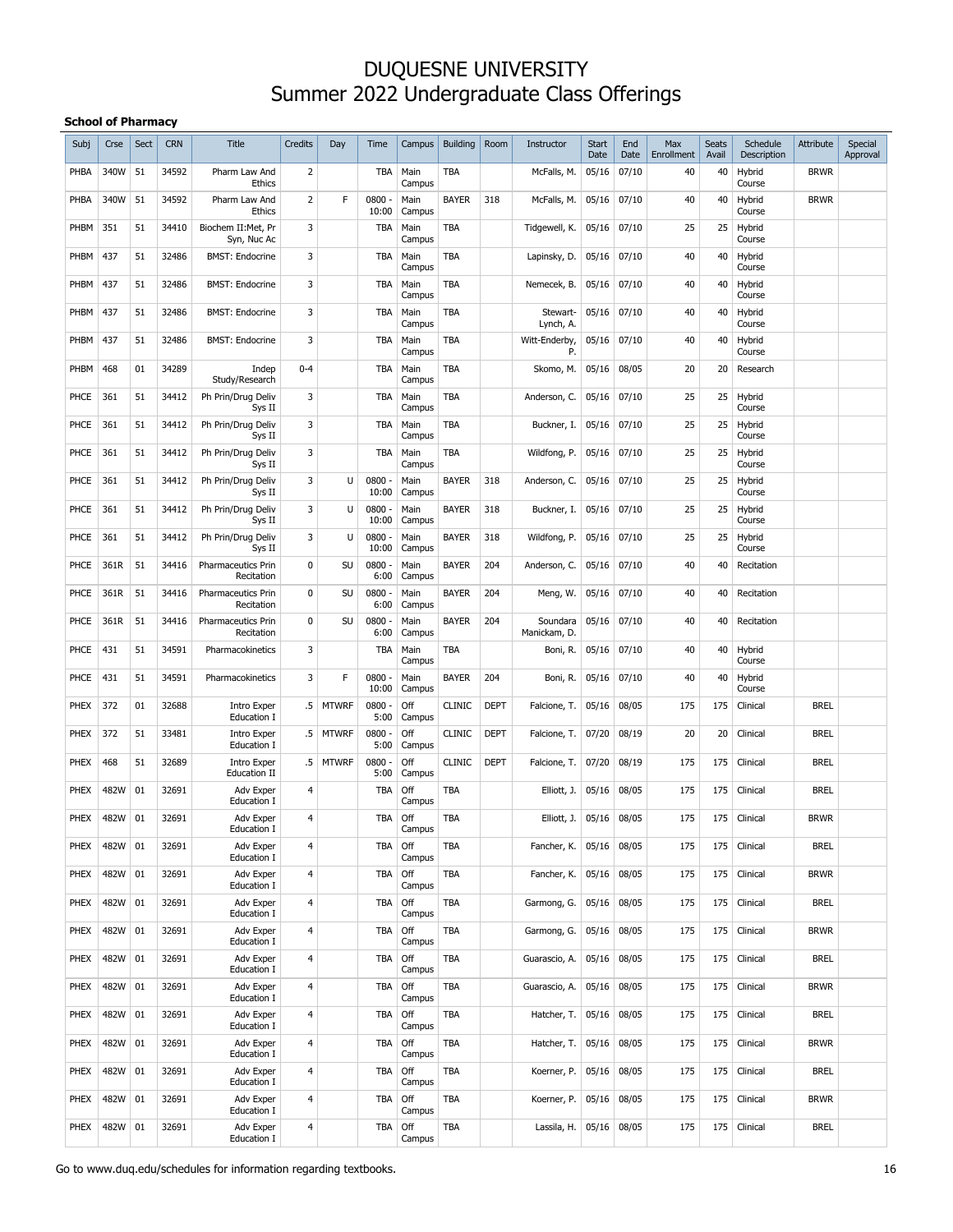#### **School of Pharmacy**

| Subj        | Crse | Sect | <b>CRN</b> | <b>Title</b>                       | Credits         | Day          | Time              | Campus         | <b>Building</b> | Room        | Instructor               | <b>Start</b><br>Date | End<br>Date | Max<br>Enrollment | <b>Seats</b><br>Avail | Schedule<br>Description | Attribute   | Special<br>Approval |
|-------------|------|------|------------|------------------------------------|-----------------|--------------|-------------------|----------------|-----------------|-------------|--------------------------|----------------------|-------------|-------------------|-----------------------|-------------------------|-------------|---------------------|
| PHBA        | 340W | 51   | 34592      | Pharm Law And<br><b>Ethics</b>     | 2               |              | <b>TBA</b>        | Main<br>Campus | TBA             |             | McFalls, M.              | 05/16                | 07/10       | 40                | 40                    | Hybrid<br>Course        | <b>BRWR</b> |                     |
| PHBA        | 340W | 51   | 34592      | Pharm Law And<br>Ethics            | 2               | F            | 0800 -<br>10:00   | Main<br>Campus | <b>BAYER</b>    | 318         | McFalls, M.              | 05/16                | 07/10       | 40                | 40                    | Hybrid<br>Course        | <b>BRWR</b> |                     |
| PHBM        | 351  | 51   | 34410      | Biochem II: Met, Pr<br>Syn, Nuc Ac | 3               |              | <b>TBA</b>        | Main<br>Campus | TBA             |             | Tidgewell, K.            | 05/16                | 07/10       | 25                | 25                    | Hybrid<br>Course        |             |                     |
| PHBM        | 437  | 51   | 32486      | <b>BMST: Endocrine</b>             | 3               |              | <b>TBA</b>        | Main<br>Campus | TBA             |             | Lapinsky, D.             | 05/16                | 07/10       | 40                | 40                    | Hybrid<br>Course        |             |                     |
| PHBM        | 437  | 51   | 32486      | <b>BMST: Endocrine</b>             | 3               |              | <b>TBA</b>        | Main<br>Campus | TBA             |             | Nemecek, B.              | 05/16                | 07/10       | 40                | 40                    | Hybrid<br>Course        |             |                     |
| PHBM        | 437  | 51   | 32486      | <b>BMST: Endocrine</b>             | 3               |              | <b>TBA</b>        | Main<br>Campus | <b>TBA</b>      |             | Stewart-<br>Lynch, A.    | 05/16                | 07/10       | 40                | 40                    | Hybrid<br>Course        |             |                     |
| PHBM        | 437  | 51   | 32486      | <b>BMST: Endocrine</b>             | 3               |              | <b>TBA</b>        | Main<br>Campus | TBA             |             | Witt-Enderby,<br>Р.      | 05/16                | 07/10       | 40                | 40                    | Hybrid<br>Course        |             |                     |
| PHBM        | 468  | 01   | 34289      | Indep<br>Study/Research            | $0 - 4$         |              | <b>TBA</b>        | Main<br>Campus | <b>TBA</b>      |             | Skomo, M.                | 05/16                | 08/05       | 20                | 20                    | Research                |             |                     |
| PHCE        | 361  | 51   | 34412      | Ph Prin/Drug Deliv<br>Sys II       | 3               |              | <b>TBA</b>        | Main<br>Campus | TBA             |             | Anderson, C.             | 05/16                | 07/10       | 25                | 25                    | Hybrid<br>Course        |             |                     |
| PHCE        | 361  | 51   | 34412      | Ph Prin/Drug Deliv<br>Sys II       | 3               |              | <b>TBA</b>        | Main<br>Campus | <b>TBA</b>      |             | Buckner, I.              | 05/16                | 07/10       | 25                | 25                    | Hybrid<br>Course        |             |                     |
| PHCE        | 361  | 51   | 34412      | Ph Prin/Drug Deliv<br>Sys II       | 3               |              | <b>TBA</b>        | Main<br>Campus | TBA             |             | Wildfong, P.             | 05/16                | 07/10       | 25                | 25                    | Hybrid<br>Course        |             |                     |
| PHCE        | 361  | 51   | 34412      | Ph Prin/Drug Deliv<br>Sys II       | 3               | U            | $0800 -$<br>10:00 | Main<br>Campus | <b>BAYER</b>    | 318         | Anderson, C.             | 05/16                | 07/10       | 25                | 25                    | Hybrid<br>Course        |             |                     |
| PHCE        | 361  | 51   | 34412      | Ph Prin/Drug Deliv<br>Sys II       | 3               | U            | $0800 -$<br>10:00 | Main<br>Campus | <b>BAYER</b>    | 318         | Buckner, I.              | 05/16                | 07/10       | 25                | 25                    | Hybrid<br>Course        |             |                     |
| PHCE        | 361  | 51   | 34412      | Ph Prin/Drug Deliv<br>Sys II       | 3               | U            | $0800 -$<br>10:00 | Main<br>Campus | <b>BAYER</b>    | 318         | Wildfong, P.             | 05/16                | 07/10       | 25                | 25                    | Hybrid<br>Course        |             |                     |
| PHCE        | 361R | 51   | 34416      | Pharmaceutics Prin<br>Recitation   | 0               | SU           | $0800 -$<br>6:00  | Main<br>Campus | <b>BAYER</b>    | 204         | Anderson, C.             | 05/16                | 07/10       | 40                | 40                    | Recitation              |             |                     |
| PHCE        | 361R | 51   | 34416      | Pharmaceutics Prin<br>Recitation   | 0               | SU           | $0800 -$<br>6:00  | Main<br>Campus | <b>BAYER</b>    | 204         | Meng, W.                 | 05/16                | 07/10       | 40                | 40                    | Recitation              |             |                     |
| PHCE        | 361R | 51   | 34416      | Pharmaceutics Prin<br>Recitation   | 0               | SU           | $0800 -$<br>6:00  | Main<br>Campus | <b>BAYER</b>    | 204         | Soundara<br>Manickam, D. | 05/16                | 07/10       | 40                | 40                    | Recitation              |             |                     |
| PHCE        | 431  | 51   | 34591      | Pharmacokinetics                   | 3               |              | <b>TBA</b>        | Main<br>Campus | TBA             |             | Boni, R.                 | 05/16                | 07/10       | 40                | 40                    | Hybrid<br>Course        |             |                     |
| PHCE        | 431  | 51   | 34591      | Pharmacokinetics                   | 3               | F            | $0800 -$<br>10:00 | Main<br>Campus | <b>BAYER</b>    | 204         | Boni, R.                 | 05/16                | 07/10       | 40                | 40                    | Hybrid<br>Course        |             |                     |
| <b>PHEX</b> | 372  | 01   | 32688      | Intro Exper<br>Education I         | $.5\,$          | <b>MTWRF</b> | $0800 -$<br>5:00  | Off<br>Campus  | <b>CLINIC</b>   | <b>DEPT</b> | Falcione, T.             | 05/16                | 08/05       | 175               | 175                   | Clinical                | <b>BREL</b> |                     |
| PHEX        | 372  | 51   | 33481      | Intro Exper<br>Education I         | .5              | <b>MTWRF</b> | $0800 -$<br>5:00  | Off<br>Campus  | <b>CLINIC</b>   | <b>DEPT</b> | Falcione, T.             | 07/20                | 08/19       | 20                | 20                    | Clinical                | <b>BREL</b> |                     |
| <b>PHEX</b> | 468  | 51   | 32689      | Intro Exper<br><b>Education II</b> | $.5\phantom{0}$ | <b>MTWRF</b> | $0800 -$<br>5:00  | Off<br>Campus  | <b>CLINIC</b>   | <b>DEPT</b> | Falcione, T.             | 07/20                | 08/19       | 175               | 175                   | Clinical                | <b>BREL</b> |                     |
| <b>PHEX</b> | 482W | 01   | 32691      | Adv Exper<br>Education I           | 4               |              | <b>TBA</b>        | Off<br>Campus  | TBA             |             | Elliott, J.              | 05/16                | 08/05       | 175               | 175                   | Clinical                | <b>BREL</b> |                     |
| <b>PHEX</b> | 482W | 01   | 32691      | Adv Exper<br>Education I           | 4               |              | <b>TBA</b>        | Off<br>Campus  | TBA             |             | Elliott, J.              | 05/16                | 08/05       | 175               | 175                   | Clinical                | <b>BRWR</b> |                     |
| PHEX        | 482W | 01   | 32691      | Adv Exper<br>Education I           | 4               |              | <b>TBA</b>        | Off<br>Campus  | TBA             |             | Fancher, K.              | 05/16                | 08/05       | 175               | 175                   | Clinical                | <b>BREL</b> |                     |
| PHEX        | 482W | 01   | 32691      | Adv Exper<br>Education I           | 4               |              | TBA               | Off<br>Campus  | <b>TBA</b>      |             | Fancher, K.              | 05/16                | 08/05       | 175               | 175                   | Clinical                | <b>BRWR</b> |                     |
| PHEX        | 482W | 01   | 32691      | Adv Exper<br>Education I           | 4               |              | TBA               | Off<br>Campus  | <b>TBA</b>      |             | Garmong, G.              | 05/16                | 08/05       | 175               | 175                   | Clinical                | <b>BREL</b> |                     |
| PHEX        | 482W | 01   | 32691      | Adv Exper<br>Education I           | 4               |              | TBA               | Off<br>Campus  | TBA             |             | Garmong, G.              | 05/16                | 08/05       | 175               | 175                   | Clinical                | <b>BRWR</b> |                     |
| PHEX        | 482W | 01   | 32691      | Adv Exper<br>Education I           | $\overline{4}$  |              | TBA               | Off<br>Campus  | TBA             |             | Guarascio, A.            | 05/16                | 08/05       | 175               | 175                   | Clinical                | <b>BREL</b> |                     |
| PHEX        | 482W | 01   | 32691      | Adv Exper<br>Education I           | 4               |              | TBA               | Off<br>Campus  | TBA             |             | Guarascio, A.            | 05/16                | 08/05       | 175               | 175                   | Clinical                | <b>BRWR</b> |                     |
| PHEX        | 482W | 01   | 32691      | Adv Exper<br>Education I           | $\overline{4}$  |              | TBA               | Off<br>Campus  | TBA             |             | Hatcher, T.              | 05/16                | 08/05       | 175               | 175                   | Clinical                | <b>BREL</b> |                     |
| PHEX        | 482W | 01   | 32691      | Adv Exper<br>Education I           | 4               |              | TBA               | Off<br>Campus  | TBA             |             | Hatcher, T.              | 05/16                | 08/05       | 175               | 175                   | Clinical                | <b>BRWR</b> |                     |
| PHEX        | 482W | 01   | 32691      | Adv Exper<br>Education I           | $\overline{4}$  |              | TBA               | Off<br>Campus  | TBA             |             | Koerner, P.              | 05/16                | 08/05       | 175               | 175                   | Clinical                | <b>BREL</b> |                     |
| PHEX        | 482W | 01   | 32691      | Adv Exper<br>Education I           | $\overline{4}$  |              | <b>TBA</b>        | Off<br>Campus  | TBA             |             | Koerner, P.              | 05/16                | 08/05       | 175               | 175                   | Clinical                | <b>BRWR</b> |                     |
| PHEX        | 482W | 01   | 32691      | Adv Exper<br>Education I           | 4               |              | <b>TBA</b>        | Off<br>Campus  | TBA             |             | Lassila, H.              | 05/16                | 08/05       | 175               | 175                   | Clinical                | <b>BREL</b> |                     |

Go to www.duq.edu/schedules for information regarding textbooks. 16 16 16 16 17 18 18 19 19 19 19 19 19 19 19 1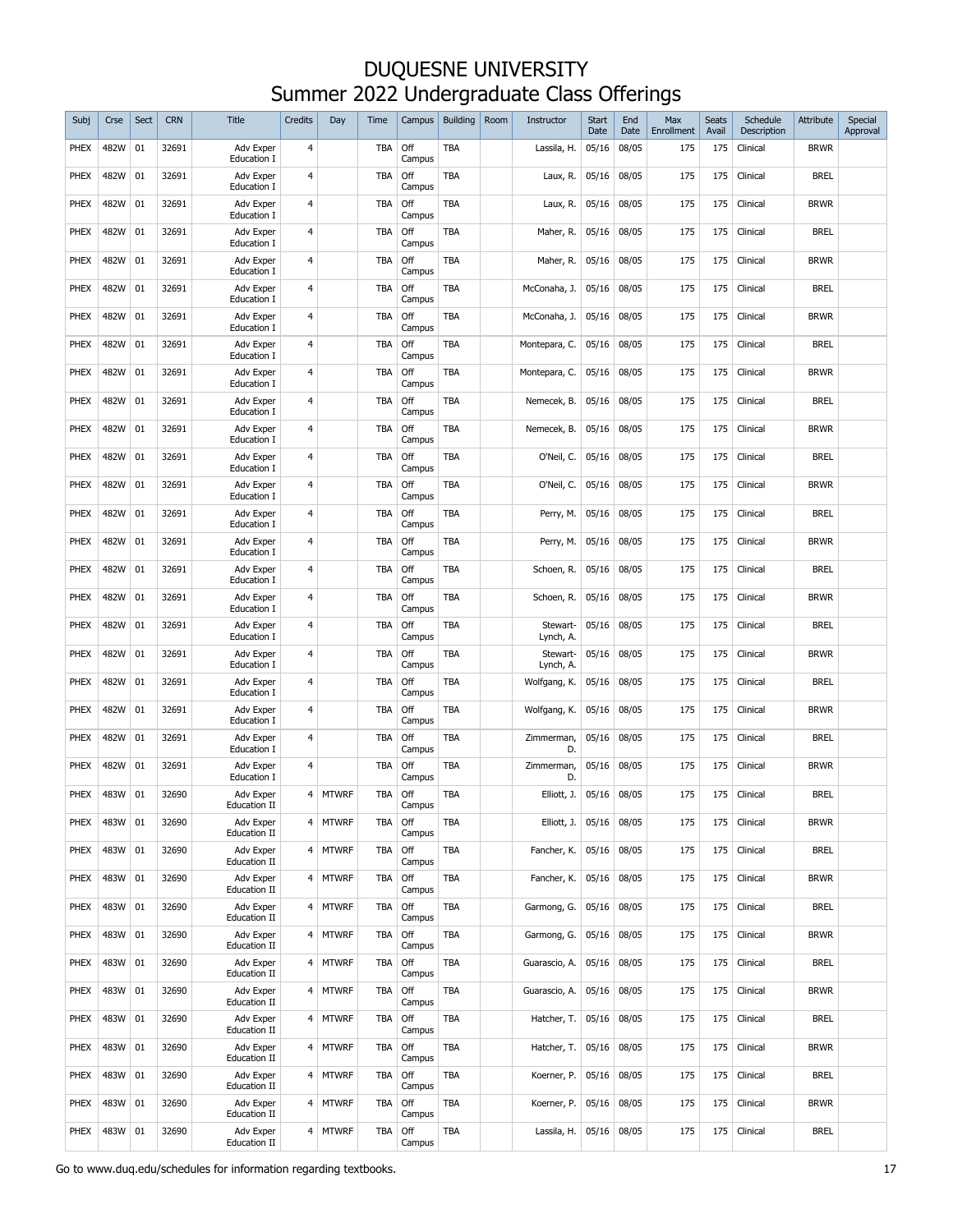| Subj        | Crse | Sect | <b>CRN</b> | <b>Title</b>                     | <b>Credits</b> | Day          | Time       | Campus        | <b>Building</b> | Room | Instructor           | <b>Start</b><br>Date | End<br>Date | Max<br>Enrollment | Seats<br>Avail | Schedule<br>Description | Attribute   | Special<br>Approval |
|-------------|------|------|------------|----------------------------------|----------------|--------------|------------|---------------|-----------------|------|----------------------|----------------------|-------------|-------------------|----------------|-------------------------|-------------|---------------------|
| PHEX        | 482W | 01   | 32691      | Adv Exper<br>Education I         | 4              |              | <b>TBA</b> | Off<br>Campus | <b>TBA</b>      |      | Lassila, H.          | 05/16                | 08/05       | 175               | 175            | Clinical                | <b>BRWR</b> |                     |
| PHEX        | 482W | 01   | 32691      | Adv Exper<br>Education I         | 4              |              | <b>TBA</b> | Off<br>Campus | TBA             |      | Laux, R.             | 05/16                | 08/05       | 175               | 175            | Clinical                | <b>BREL</b> |                     |
| PHEX        | 482W | 01   | 32691      | Adv Exper<br>Education I         | $\overline{4}$ |              | <b>TBA</b> | Off<br>Campus | TBA             |      | Laux, R.             | 05/16                | 08/05       | 175               | 175            | Clinical                | <b>BRWR</b> |                     |
| PHEX        | 482W | 01   | 32691      | Adv Exper<br>Education I         | $\overline{4}$ |              | <b>TBA</b> | Off<br>Campus | TBA             |      | Maher, R.            | 05/16                | 08/05       | 175               | 175            | Clinical                | <b>BREL</b> |                     |
| PHEX        | 482W | 01   | 32691      | Adv Exper<br>Education I         | $\overline{4}$ |              | <b>TBA</b> | Off<br>Campus | TBA             |      | Maher, R.            | 05/16                | 08/05       | 175               | 175            | Clinical                | <b>BRWR</b> |                     |
| PHEX        | 482W | 01   | 32691      | Adv Exper<br>Education I         | $\overline{4}$ |              | <b>TBA</b> | Off<br>Campus | TBA             |      | McConaha, J.         | 05/16                | 08/05       | 175               | 175            | Clinical                | <b>BREL</b> |                     |
| PHEX        | 482W | 01   | 32691      | Adv Exper<br>Education I         | $\overline{4}$ |              | <b>TBA</b> | Off<br>Campus | TBA             |      | McConaha, J.         | 05/16                | 08/05       | 175               | 175            | Clinical                | <b>BRWR</b> |                     |
| PHEX        | 482W | 01   | 32691      | Adv Exper<br>Education I         | 4              |              | <b>TBA</b> | Off<br>Campus | <b>TBA</b>      |      | Montepara, C.        | 05/16                | 08/05       | 175               | 175            | Clinical                | <b>BREL</b> |                     |
| PHEX        | 482W | 01   | 32691      | Adv Exper<br>Education I         | 4              |              | <b>TBA</b> | Off<br>Campus | TBA             |      | Montepara, C.        | 05/16                | 08/05       | 175               | 175            | Clinical                | <b>BRWR</b> |                     |
| PHEX        | 482W | 01   | 32691      | Adv Exper<br><b>Education I</b>  | 4              |              | <b>TBA</b> | Off<br>Campus | <b>TBA</b>      |      | Nemecek, B.          | 05/16                | 08/05       | 175               | 175            | Clinical                | <b>BREL</b> |                     |
| PHEX        | 482W | 01   | 32691      | Adv Exper<br>Education I         | 4              |              | <b>TBA</b> | Off<br>Campus | <b>TBA</b>      |      | Nemecek, B.          | 05/16                | 08/05       | 175               | 175            | Clinical                | <b>BRWR</b> |                     |
| PHEX        | 482W | 01   | 32691      | Adv Exper<br><b>Education I</b>  | 4              |              | <b>TBA</b> | Off<br>Campus | TBA             |      | O'Neil, C.           | 05/16                | 08/05       | 175               | 175            | Clinical                | <b>BREL</b> |                     |
| PHEX        | 482W | 01   | 32691      | Adv Exper<br>Education I         | $\overline{4}$ |              | <b>TBA</b> | Off<br>Campus | TBA             |      | O'Neil, C.           | 05/16                | 08/05       | 175               | 175            | Clinical                | <b>BRWR</b> |                     |
| PHEX        | 482W | 01   | 32691      | Adv Exper<br>Education I         | 4              |              | <b>TBA</b> | Off<br>Campus | TBA             |      | Perry, M.            | 05/16                | 08/05       | 175               | 175            | Clinical                | <b>BREL</b> |                     |
| PHEX        | 482W | 01   | 32691      | Adv Exper<br>Education I         | $\overline{4}$ |              | <b>TBA</b> | Off<br>Campus | TBA             |      | Perry, M.            | 05/16                | 08/05       | 175               | 175            | Clinical                | <b>BRWR</b> |                     |
| PHEX        | 482W | 01   | 32691      | Adv Exper<br>Education I         | 4              |              | <b>TBA</b> | Off<br>Campus | TBA             |      | Schoen, R.           | 05/16                | 08/05       | 175               | 175            | Clinical                | <b>BREL</b> |                     |
| PHEX        | 482W | 01   | 32691      | Adv Exper<br>Education I         | 4              |              | TBA        | Off<br>Campus | TBA             |      | Schoen, R.           | 05/16                | 08/05       | 175               | 175            | Clinical                | <b>BRWR</b> |                     |
| PHEX        | 482W | 01   | 32691      | Adv Exper<br>Education I         | 4              |              | <b>TBA</b> | Off<br>Campus | TBA             |      | Stewart-<br>Lynch, A | 05/16                | 08/05       | 175               | 175            | Clinical                | <b>BREL</b> |                     |
| PHEX        | 482W | 01   | 32691      | Adv Exper<br>Education I         | 4              |              | <b>TBA</b> | Off<br>Campus | <b>TBA</b>      |      | Stewart-<br>Lynch, A | 05/16                | 08/05       | 175               | 175            | Clinical                | <b>BRWR</b> |                     |
| <b>PHEX</b> | 482W | 01   | 32691      | Adv Exper<br>Education I         | 4              |              | <b>TBA</b> | Off<br>Campus | <b>TBA</b>      |      | Wolfgang, K.         | 05/16                | 08/05       | 175               | 175            | Clinical                | <b>BREL</b> |                     |
| <b>PHEX</b> | 482W | 01   | 32691      | <b>Adv Exper</b><br>Education I  | 4              |              | <b>TBA</b> | Off<br>Campus | <b>TBA</b>      |      | Wolfgang, K.         | 05/16                | 08/05       | 175               | 175            | Clinical                | <b>BRWR</b> |                     |
| PHEX        | 482W | 01   | 32691      | Adv Exper<br>Education I         | 4              |              | <b>TBA</b> | Off<br>Campus | <b>TBA</b>      |      | Zimmerman,<br>D.     | 05/16                | 08/05       | 175               | 175            | Clinical                | <b>BREL</b> |                     |
| <b>PHEX</b> | 482W | 01   | 32691      | <b>Adv Exper</b><br>Education I  | 4              |              | <b>TBA</b> | Off<br>Campus | <b>TBA</b>      |      | Zimmerman,<br>D.     | 05/16                | 08/05       | 175               | 175            | Clinical                | <b>BRWR</b> |                     |
| PHEX        | 483W | 01   | 32690      | Adv Exper<br><b>Education II</b> | 4              | <b>MTWRF</b> | TBA        | Off<br>Campus | <b>TBA</b>      |      | Elliott, J.          | 05/16                | 08/05       | 175               | 175            | Clinical                | <b>BREL</b> |                     |
| PHEX        | 483W | 01   | 32690      | Adv Exper<br>Education II        | 4              | <b>MTWRF</b> | TBA        | Off<br>Campus | TBA             |      | Elliott, J.          | 05/16                | 08/05       | 175               | 175            | Clinical                | <b>BRWR</b> |                     |
| PHEX        | 483W | 01   | 32690      | Adv Exper<br>Education II        | 4              | <b>MTWRF</b> | <b>TBA</b> | Off<br>Campus | TBA             |      | Fancher, K.          | 05/16                | 08/05       | 175               | 175            | Clinical                | <b>BREL</b> |                     |
| PHEX        | 483W | 01   | 32690      | Adv Exper<br>Education II        | 4              | <b>MTWRF</b> | TBA        | Off<br>Campus | TBA             |      | Fancher, K.          | 05/16                | 08/05       | 175               | 175            | Clinical                | <b>BRWR</b> |                     |
| PHEX        | 483W | 01   | 32690      | Adv Exper<br>Education II        | 4              | <b>MTWRF</b> | <b>TBA</b> | Off<br>Campus | TBA             |      | Garmong, G.          | 05/16                | 08/05       | 175               | 175            | Clinical                | <b>BREL</b> |                     |
| PHEX        | 483W | 01   | 32690      | Adv Exper<br>Education II        | 4              | <b>MTWRF</b> | <b>TBA</b> | Off<br>Campus | TBA             |      | Garmong, G.          | 05/16                | 08/05       | 175               | 175            | Clinical                | <b>BRWR</b> |                     |
| PHEX        | 483W | 01   | 32690      | Adv Exper<br>Education II        | 4              | <b>MTWRF</b> | <b>TBA</b> | Off<br>Campus | TBA             |      | Guarascio, A.        | 05/16                | 08/05       | 175               | 175            | Clinical                | <b>BREL</b> |                     |
| PHEX        | 483W | 01   | 32690      | Adv Exper<br>Education II        | 4              | <b>MTWRF</b> | <b>TBA</b> | Off<br>Campus | TBA             |      | Guarascio, A.        | 05/16                | 08/05       | 175               | 175            | Clinical                | <b>BRWR</b> |                     |
| PHEX        | 483W | 01   | 32690      | Adv Exper<br>Education II        | 4              | <b>MTWRF</b> | TBA        | Off<br>Campus | TBA             |      | Hatcher, T.          | 05/16                | 08/05       | 175               | 175            | Clinical                | <b>BREL</b> |                     |
| PHEX        | 483W | 01   | 32690      | Adv Exper<br>Education II        | 4              | <b>MTWRF</b> | <b>TBA</b> | Off<br>Campus | TBA             |      | Hatcher, T.          | 05/16                | 08/05       | 175               | 175            | Clinical                | <b>BRWR</b> |                     |
| PHEX        | 483W | 01   | 32690      | Adv Exper<br>Education II        | 4              | <b>MTWRF</b> | TBA        | Off<br>Campus | TBA             |      | Koerner, P.          | 05/16                | 08/05       | 175               | 175            | Clinical                | <b>BREL</b> |                     |
| PHEX        | 483W | 01   | 32690      | Adv Exper<br>Education II        | 4              | <b>MTWRF</b> | <b>TBA</b> | Off<br>Campus | TBA             |      | Koerner, P.          | 05/16                | 08/05       | 175               | 175            | Clinical                | <b>BRWR</b> |                     |
| PHEX        | 483W | 01   | 32690      | Adv Exper<br>Education II        | 4              | <b>MTWRF</b> | <b>TBA</b> | Off<br>Campus | TBA             |      | Lassila, H.          | 05/16                | 08/05       | 175               | 175            | Clinical                | <b>BREL</b> |                     |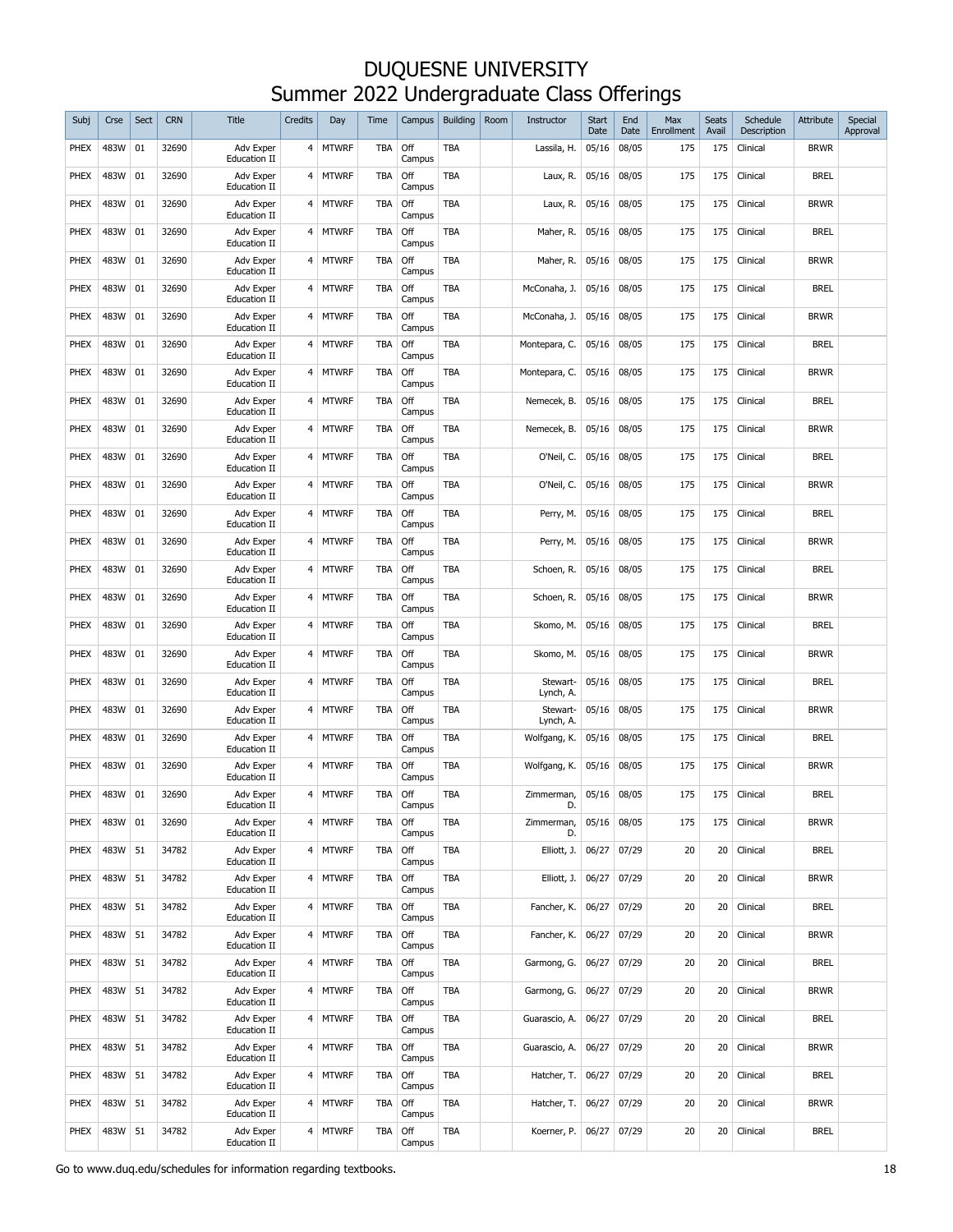| Subj        | Crse | Sect | <b>CRN</b> | <b>Title</b>                            | <b>Credits</b>   | Day          | Time       | Campus        | <b>Building</b> | Room | Instructor            | <b>Start</b><br>Date | End<br>Date | Max<br>Enrollment | <b>Seats</b><br>Avail | Schedule<br>Description | Attribute   | Special<br>Approval |
|-------------|------|------|------------|-----------------------------------------|------------------|--------------|------------|---------------|-----------------|------|-----------------------|----------------------|-------------|-------------------|-----------------------|-------------------------|-------------|---------------------|
| PHEX        | 483W | 01   | 32690      | Adv Exper<br><b>Education II</b>        |                  | 4 MTWRF      | TBA        | Off<br>Campus | TBA             |      | Lassila, H.           | 05/16                | 08/05       | 175               | 175                   | Clinical                | <b>BRWR</b> |                     |
| PHEX        | 483W | 01   | 32690      | Adv Exper<br><b>Education II</b>        | $4 \overline{ }$ | <b>MTWRF</b> | TBA        | Off<br>Campus | TBA             |      | Laux, R.              | 05/16                | 08/05       | 175               | 175                   | Clinical                | <b>BREL</b> |                     |
| PHEX        | 483W | 01   | 32690      | Adv Exper<br><b>Education II</b>        | 4                | <b>MTWRF</b> | TBA        | Off<br>Campus | TBA             |      | Laux, R.              | 05/16                | 08/05       | 175               | 175                   | Clinical                | <b>BRWR</b> |                     |
| PHEX        | 483W | 01   | 32690      | Adv Exper<br><b>Education II</b>        | 4                | <b>MTWRF</b> | TBA        | Off<br>Campus | TBA             |      | Maher, R.             | 05/16                | 08/05       | 175               | 175                   | Clinical                | <b>BREL</b> |                     |
| PHEX        | 483W | 01   | 32690      | Adv Exper<br><b>Education II</b>        | 4                | <b>MTWRF</b> | TBA        | Off<br>Campus | TBA             |      | Maher, R.             | 05/16                | 08/05       | 175               | 175                   | Clinical                | <b>BRWR</b> |                     |
| PHEX        | 483W | 01   | 32690      | Adv Exper<br><b>Education II</b>        | 4                | <b>MTWRF</b> | <b>TBA</b> | Off<br>Campus | TBA             |      | McConaha, J.          | 05/16                | 08/05       | 175               | 175                   | Clinical                | <b>BREL</b> |                     |
| PHEX        | 483W | 01   | 32690      | Adv Exper<br><b>Education II</b>        | 4                | <b>MTWRF</b> | TBA        | Off<br>Campus | TBA             |      | McConaha, J.          | 05/16                | 08/05       | 175               | 175                   | Clinical                | <b>BRWR</b> |                     |
| PHEX        | 483W | 01   | 32690      | Adv Exper<br><b>Education II</b>        | $4 \overline{ }$ | <b>MTWRF</b> | TBA        | Off<br>Campus | <b>TBA</b>      |      | Montepara, C.         | 05/16                | 08/05       | 175               | 175                   | Clinical                | <b>BREL</b> |                     |
| PHEX        | 483W | 01   | 32690      | Adv Exper<br><b>Education II</b>        | 4                | <b>MTWRF</b> | TBA        | Off<br>Campus | <b>TBA</b>      |      | Montepara, C.         | 05/16                | 08/05       | 175               | 175                   | Clinical                | <b>BRWR</b> |                     |
| PHEX        | 483W | 01   | 32690      | Adv Exper<br><b>Education II</b>        | 4                | <b>MTWRF</b> | TBA        | Off<br>Campus | TBA             |      | Nemecek, B.           | 05/16                | 08/05       | 175               | 175                   | Clinical                | <b>BREL</b> |                     |
| PHEX        | 483W | 01   | 32690      | Adv Exper<br><b>Education II</b>        | 4                | <b>MTWRF</b> | TBA        | Off<br>Campus | TBA             |      | Nemecek, B.           | 05/16                | 08/05       | 175               | 175                   | Clinical                | <b>BRWR</b> |                     |
| PHEX        | 483W | 01   | 32690      | Adv Exper<br><b>Education II</b>        | $4 \overline{ }$ | <b>MTWRF</b> | TBA        | Off<br>Campus | <b>TBA</b>      |      | O'Neil, C.            | 05/16                | 08/05       | 175               | 175                   | Clinical                | <b>BREL</b> |                     |
| <b>PHEX</b> | 483W | 01   | 32690      | <b>Adv Exper</b><br><b>Education II</b> | 4                | <b>MTWRF</b> | <b>TBA</b> | Off<br>Campus | <b>TBA</b>      |      | O'Neil, C.            | 05/16                | 08/05       | 175               | 175                   | Clinical                | Brwr        |                     |
| PHEX        | 483W | 01   | 32690      | Adv Exper<br><b>Education II</b>        | 4                | <b>MTWRF</b> | TBA        | Off<br>Campus | <b>TBA</b>      |      | Perry, M.             | 05/16                | 08/05       | 175               | 175                   | Clinical                | <b>BREL</b> |                     |
| <b>PHEX</b> | 483W | 01   | 32690      | <b>Adv Exper</b><br><b>Education II</b> | 4                | <b>MTWRF</b> | <b>TBA</b> | Off<br>Campus | <b>TBA</b>      |      | Perry, M.             | 05/16                | 08/05       | 175               | 175                   | Clinical                | <b>BRWR</b> |                     |
| <b>PHEX</b> | 483W | 01   | 32690      | Adv Exper<br><b>Education II</b>        | 4                | <b>MTWRF</b> | <b>TBA</b> | Off<br>Campus | <b>TBA</b>      |      | Schoen, R.            | 05/16                | 08/05       | 175               | 175                   | Clinical                | <b>BREL</b> |                     |
| PHEX        | 483W | 01   | 32690      | Adv Exper<br><b>Education II</b>        | 4                | MTWRF        | TBA        | Off<br>Campus | <b>TBA</b>      |      | Schoen, R.            | 05/16                | 08/05       | 175               | 175                   | Clinical                | Brwr        |                     |
| PHEX        | 483W | 01   | 32690      | Adv Exper<br><b>Education II</b>        | 4                | <b>MTWRF</b> | TBA        | Off<br>Campus | <b>TBA</b>      |      | Skomo, M.             | 05/16                | 08/05       | 175               | 175                   | Clinical                | <b>BREL</b> |                     |
| PHEX        | 483W | 01   | 32690      | Adv Exper<br><b>Education II</b>        | 4                | <b>MTWRF</b> | <b>TBA</b> | Off<br>Campus | TBA             |      | Skomo, M.             | 05/16                | 08/05       | 175               | 175                   | Clinical                | <b>BRWR</b> |                     |
| PHEX        | 483W | 01   | 32690      | Adv Exper<br><b>Education II</b>        | 4                | <b>MTWRF</b> | <b>TBA</b> | Off<br>Campus | TBA             |      | Stewart-<br>Lynch, A. | 05/16                | 08/05       | 175               | 175                   | Clinical                | <b>BREL</b> |                     |
| PHEX        | 483W | 01   | 32690      | Adv Exper<br><b>Education II</b>        | 4                | <b>MTWRF</b> | <b>TBA</b> | Off<br>Campus | TBA             |      | Stewart-<br>Lynch, A. | 05/16                | 08/05       | 175               | 175                   | Clinical                | <b>BRWR</b> |                     |
| PHEX        | 483W | 01   | 32690      | Adv Exper<br><b>Education II</b>        | 4                | <b>MTWRF</b> | <b>TBA</b> | Off<br>Campus | <b>TBA</b>      |      | Wolfgang, K.          | 05/16                | 08/05       | 175               | 175                   | Clinical                | <b>BREL</b> |                     |
| PHEX        | 483W | 01   | 32690      | Adv Exper<br><b>Education II</b>        | 4                | <b>MTWRF</b> | <b>TBA</b> | Off<br>Campus | TBA             |      | Wolfgang, K.          | 05/16                | 08/05       | 175               | 175                   | Clinical                | <b>BRWR</b> |                     |
| PHEX        | 483W | 01   | 32690      | Adv Exper<br><b>Education II</b>        | $\overline{4}$   | <b>MTWRF</b> | TBA        | Off<br>Campus | <b>TBA</b>      |      | Zimmerman,            | 05/16                | 08/05       | 175               | 175                   | Clinical                | <b>BREL</b> |                     |
| PHEX        | 483W | 01   | 32690      | Adv Exper<br>Education II               | 4                | <b>MTWRF</b> | <b>TBA</b> | Off<br>Campus | TBA             |      | Zimmerman,<br>D.      | 05/16                | 08/05       | 175               | 175                   | Clinical                | <b>BRWR</b> |                     |
| PHEX        | 483W | 51   | 34782      | Adv Exper<br><b>Education II</b>        |                  | 4 MTWRF      | <b>TBA</b> | Off<br>Campus | TBA             |      | Elliott, J.           | 06/27                | 07/29       | 20                | 20                    | Clinical                | <b>BREL</b> |                     |
| PHEX        | 483W | 51   | 34782      | Adv Exper<br>Education II               |                  | 4 MTWRF      | <b>TBA</b> | Off<br>Campus | TBA             |      | Elliott, J.           | 06/27                | 07/29       | 20                | 20                    | Clinical                | <b>BRWR</b> |                     |
| <b>PHEX</b> | 483W | 51   | 34782      | Adv Exper<br>Education II               |                  | 4 MTWRF      | <b>TBA</b> | Off<br>Campus | TBA             |      | Fancher, K.           | 06/27                | 07/29       | 20                | 20                    | Clinical                | <b>BREL</b> |                     |
| <b>PHEX</b> | 483W | 51   | 34782      | Adv Exper<br>Education II               |                  | 4 MTWRF      | <b>TBA</b> | Off<br>Campus | TBA             |      | Fancher, K.           | 06/27                | 07/29       | 20                | 20                    | Clinical                | <b>BRWR</b> |                     |
| PHEX        | 483W | 51   | 34782      | Adv Exper<br>Education II               |                  | 4 MTWRF      | <b>TBA</b> | Off<br>Campus | TBA             |      | Garmong, G.           | 06/27                | 07/29       | 20                | 20                    | Clinical                | <b>BREL</b> |                     |
| PHEX        | 483W | 51   | 34782      | Adv Exper<br>Education II               |                  | 4 MTWRF      | <b>TBA</b> | Off<br>Campus | TBA             |      | Garmong, G.           | 06/27                | 07/29       | 20                | 20                    | Clinical                | <b>BRWR</b> |                     |
| PHEX        | 483W | 51   | 34782      | Adv Exper<br>Education II               |                  | 4 MTWRF      | <b>TBA</b> | Off<br>Campus | TBA             |      | Guarascio, A.         | 06/27                | 07/29       | 20                | 20                    | Clinical                | <b>BREL</b> |                     |
| PHEX        | 483W | 51   | 34782      | Adv Exper<br>Education II               |                  | 4 MTWRF      | <b>TBA</b> | Off<br>Campus | TBA             |      | Guarascio, A.         | 06/27                | 07/29       | 20                | 20                    | Clinical                | <b>BRWR</b> |                     |
| PHEX        | 483W | 51   | 34782      | Adv Exper<br>Education II               |                  | 4 MTWRF      | <b>TBA</b> | Off<br>Campus | TBA             |      | Hatcher, T.           | 06/27                | 07/29       | 20                | 20                    | Clinical                | <b>BREL</b> |                     |
| PHEX        | 483W | 51   | 34782      | Adv Exper<br>Education II               |                  | 4 MTWRF      | <b>TBA</b> | Off<br>Campus | TBA             |      | Hatcher, T.           | 06/27                | 07/29       | 20                | 20                    | Clinical                | <b>BRWR</b> |                     |
| PHEX        | 483W | 51   | 34782      | Adv Exper<br>Education II               |                  | 4 MTWRF      | <b>TBA</b> | Off<br>Campus | TBA             |      | Koerner, P.           | 06/27                | 07/29       | 20                | 20                    | Clinical                | <b>BREL</b> |                     |

Go to www.duq.edu/schedules for information regarding textbooks. 18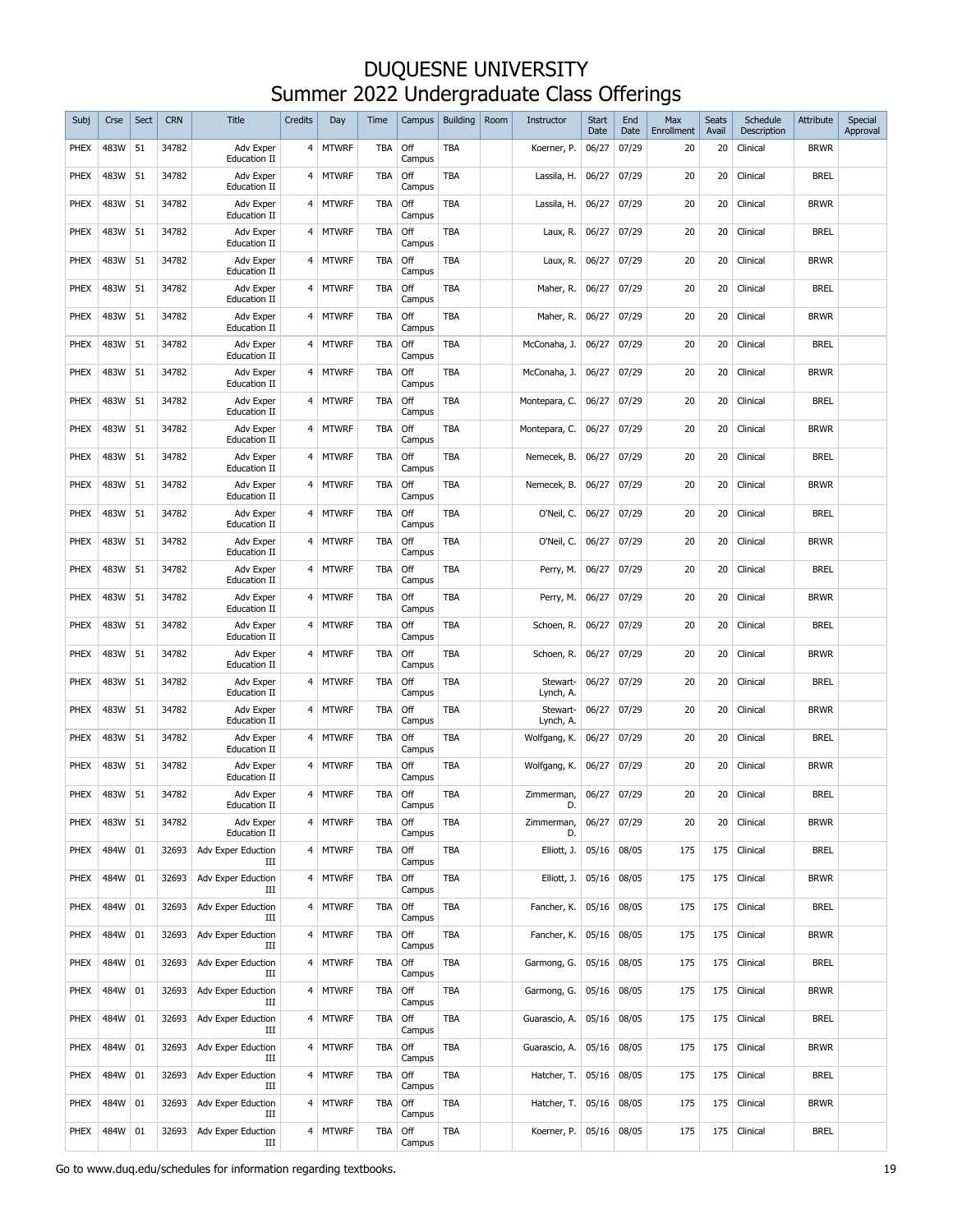| Subj        | Crse | Sect | <b>CRN</b> | <b>Title</b>                     | <b>Credits</b> | Day          | Time       | Campus        | <b>Building</b> | Room | Instructor           | <b>Start</b><br>Date | End<br>Date | Max<br><b>Enrollment</b> | <b>Seats</b><br>Avail | Schedule<br>Description | Attribute   | Special<br>Approval |
|-------------|------|------|------------|----------------------------------|----------------|--------------|------------|---------------|-----------------|------|----------------------|----------------------|-------------|--------------------------|-----------------------|-------------------------|-------------|---------------------|
| PHEX        | 483W | 51   | 34782      | Adv Exper<br><b>Education II</b> | 4              | <b>MTWRF</b> | TBA        | Off<br>Campus | TBA             |      | Koerner, P.          | 06/27                | 07/29       | 20                       | 20                    | Clinical                | <b>BRWR</b> |                     |
| PHEX        | 483W | 51   | 34782      | Adv Exper<br><b>Education II</b> | 4              | <b>MTWRF</b> | TBA        | Off<br>Campus | <b>TBA</b>      |      | Lassila, H.          | 06/27                | 07/29       | 20                       | 20                    | Clinical                | <b>BREL</b> |                     |
| PHEX        | 483W | 51   | 34782      | Adv Exper<br><b>Education II</b> | 4              | <b>MTWRF</b> | TBA        | Off<br>Campus | TBA             |      | Lassila, H.          | 06/27                | 07/29       | 20                       | 20                    | Clinical                | <b>BRWR</b> |                     |
| PHEX        | 483W | 51   | 34782      | Adv Exper<br><b>Education II</b> | 4              | <b>MTWRF</b> | TBA        | Off<br>Campus | TBA             |      | Laux, R.             | 06/27                | 07/29       | 20                       | 20                    | Clinical                | <b>BREL</b> |                     |
| PHEX        | 483W | 51   | 34782      | Adv Exper<br><b>Education II</b> | 4              | <b>MTWRF</b> | TBA        | Off<br>Campus | TBA             |      | Laux, R.             | 06/27                | 07/29       | 20                       | 20                    | Clinical                | <b>BRWR</b> |                     |
| PHEX        | 483W | 51   | 34782      | Adv Exper<br><b>Education II</b> | 4              | <b>MTWRF</b> | TBA        | Off<br>Campus | TBA             |      | Maher, R.            | 06/27                | 07/29       | 20                       | 20                    | Clinical                | <b>BREL</b> |                     |
| PHEX        | 483W | 51   | 34782      | Adv Exper<br><b>Education II</b> | 4              | <b>MTWRF</b> | TBA        | Off<br>Campus | TBA             |      | Maher, R.            | 06/27                | 07/29       | 20                       | 20                    | Clinical                | <b>BRWR</b> |                     |
| PHEX        | 483W | 51   | 34782      | Adv Exper<br><b>Education II</b> | 4              | <b>MTWRF</b> | TBA        | Off<br>Campus | TBA             |      | McConaha, J.         | 06/27                | 07/29       | 20                       | 20                    | Clinical                | <b>BREL</b> |                     |
| PHEX        | 483W | 51   | 34782      | Adv Exper<br><b>Education II</b> | 4              | <b>MTWRF</b> | TBA        | Off<br>Campus | TBA             |      | McConaha, J.         | 06/27                | 07/29       | 20                       | 20                    | Clinical                | <b>BRWR</b> |                     |
| PHEX        | 483W | 51   | 34782      | Adv Exper<br><b>Education II</b> | 4              | <b>MTWRF</b> | TBA        | Off<br>Campus | TBA             |      | Montepara, C.        | 06/27                | 07/29       | 20                       | 20                    | Clinical                | <b>BREL</b> |                     |
| PHEX        | 483W | 51   | 34782      | Adv Exper<br><b>Education II</b> | 4              | <b>MTWRF</b> | TBA        | Off<br>Campus | TBA             |      | Montepara, C.        | 06/27                | 07/29       | 20                       | 20                    | Clinical                | <b>BRWR</b> |                     |
| PHEX        | 483W | 51   | 34782      | Adv Exper<br><b>Education II</b> | 4              | <b>MTWRF</b> | TBA        | Off<br>Campus | TBA             |      | Nemecek, B.          | 06/27                | 07/29       | 20                       | 20                    | Clinical                | <b>BREL</b> |                     |
| PHEX        | 483W | 51   | 34782      | Adv Exper<br><b>Education II</b> | 4              | <b>MTWRF</b> | TBA        | Off<br>Campus | <b>TBA</b>      |      | Nemecek, B.          | 06/27                | 07/29       | 20                       | 20                    | Clinical                | <b>BRWR</b> |                     |
| PHEX        | 483W | 51   | 34782      | Adv Exper<br><b>Education II</b> | 4              | <b>MTWRF</b> | TBA        | Off<br>Campus | <b>TBA</b>      |      | O'Neil, C.           | 06/27                | 07/29       | 20                       | 20                    | Clinical                | <b>BREL</b> |                     |
| <b>PHEX</b> | 483W | 51   | 34782      | Adv Exper<br><b>Education II</b> | 4              | <b>MTWRF</b> | TBA        | Off<br>Campus | <b>TBA</b>      |      | O'Neil, C.           | 06/27                | 07/29       | 20                       | 20                    | Clinical                | <b>BRWR</b> |                     |
| PHEX        | 483W | 51   | 34782      | Adv Exper<br><b>Education II</b> | 4              | <b>MTWRF</b> | TBA        | Off<br>Campus | <b>TBA</b>      |      | Perry, M.            | 06/27                | 07/29       | 20                       | 20                    | Clinical                | <b>BREL</b> |                     |
| <b>PHEX</b> | 483W | 51   | 34782      | Adv Exper<br><b>Education II</b> | 4              | <b>MTWRF</b> | TBA        | Off<br>Campus | <b>TBA</b>      |      | Perry, M.            | 06/27                | 07/29       | 20                       | 20                    | Clinical                | <b>BRWR</b> |                     |
| PHEX        | 483W | 51   | 34782      | Adv Exper<br><b>Education II</b> | 4              | <b>MTWRF</b> | TBA        | Off<br>Campus | <b>TBA</b>      |      | Schoen, R.           | 06/27                | 07/29       | 20                       | 20                    | Clinical                | <b>BREL</b> |                     |
| <b>PHEX</b> | 483W | 51   | 34782      | Adv Exper<br><b>Education II</b> | 4              | <b>MTWRF</b> | TBA        | Off<br>Campus | TBA             |      | Schoen, R.           | 06/27                | 07/29       | 20                       | 20                    | Clinical                | <b>BRWR</b> |                     |
| <b>PHEX</b> | 483W | 51   | 34782      | Adv Exper<br><b>Education II</b> | 4              | <b>MTWRF</b> | <b>TBA</b> | Off<br>Campus | <b>TBA</b>      |      | Stewart-<br>Lynch, A | 06/27                | 07/29       | 20                       | 20                    | Clinical                | <b>BREL</b> |                     |
| <b>PHEX</b> | 483W | 51   | 34782      | Adv Exper<br><b>Education II</b> | 4              | <b>MTWRF</b> | TBA        | Off<br>Campus | TBA             |      | Stewart-<br>Lynch, A | 06/27                | 07/29       | 20                       | 20                    | Clinical                | <b>BRWR</b> |                     |
| <b>PHEX</b> | 483W | 51   | 34782      | Adv Exper<br><b>Education II</b> | 4              | <b>MTWRF</b> | <b>TBA</b> | Off<br>Campus | <b>TBA</b>      |      | Wolfgang, K.         | 06/27                | 07/29       | 20                       | 20                    | Clinical                | <b>BREL</b> |                     |
| <b>PHEX</b> | 483W | 51   | 34782      | Adv Exper<br><b>Education II</b> | 4              | <b>MTWRF</b> | TBA        | Off<br>Campus | <b>TBA</b>      |      | Wolfgang, K.         | 06/27                | 07/29       | 20                       | 20                    | Clinical                | <b>BRWR</b> |                     |
| PHEX        | 483W | 51   | 34782      | Adv Exper<br><b>Education II</b> | 4              | <b>MTWRF</b> | TBA        | Off<br>Campus | <b>TBA</b>      |      | Zimmerman,           | 06/27                | 07/29       | 20                       | 20                    | Clinical                | <b>BREL</b> |                     |
| PHEX        | 483W | 51   | 34782      | Adv Exper<br>Education II        | 4              | <b>MTWRF</b> | <b>TBA</b> | Off<br>Campus | TBA             |      | Zimmerman,<br>D.     | 06/27                | 07/29       | 20                       | 20                    | Clinical                | <b>BRWR</b> |                     |
| PHEX        | 484W | 01   | 32693      | Adv Exper Eduction<br>Ш          | 4 <sup>1</sup> | <b>MTWRF</b> | <b>TBA</b> | Off<br>Campus | TBA             |      | Elliott, J.          | 05/16                | 08/05       | 175                      | 175                   | Clinical                | <b>BREL</b> |                     |
| PHEX        | 484W | 01   | 32693      | Adv Exper Eduction<br>Ш          |                | 4 MTWRF      | <b>TBA</b> | Off<br>Campus | TBA             |      | Elliott, J.          | 05/16                | 08/05       | 175                      | 175                   | Clinical                | <b>BRWR</b> |                     |
| PHEX        | 484W | 01   | 32693      | Adv Exper Eduction<br>Ш          |                | 4 MTWRF      | <b>TBA</b> | Off<br>Campus | TBA             |      | Fancher, K.          | 05/16                | 08/05       | 175                      | 175                   | Clinical                | <b>BREL</b> |                     |
| PHEX        | 484W | 01   | 32693      | Adv Exper Eduction<br>Ш          |                | 4 MTWRF      | <b>TBA</b> | Off<br>Campus | TBA             |      | Fancher, K.          | 05/16                | 08/05       | 175                      | 175                   | Clinical                | <b>BRWR</b> |                     |
| PHEX        | 484W | 01   | 32693      | Adv Exper Eduction<br>Ш          |                | 4 MTWRF      | <b>TBA</b> | Off<br>Campus | TBA             |      | Garmong, G.          | 05/16                | 08/05       | 175                      | 175                   | Clinical                | <b>BREL</b> |                     |
| PHEX        | 484W | 01   | 32693      | Adv Exper Eduction<br>Ш          |                | 4 MTWRF      | <b>TBA</b> | Off<br>Campus | TBA             |      | Garmong, G.          | 05/16                | 08/05       | 175                      | 175                   | Clinical                | <b>BRWR</b> |                     |
| PHEX        | 484W | 01   | 32693      | Adv Exper Eduction<br>Ш          |                | 4 MTWRF      | <b>TBA</b> | Off<br>Campus | TBA             |      | Guarascio, A.        | 05/16                | 08/05       | 175                      | 175                   | Clinical                | <b>BREL</b> |                     |
| PHEX        | 484W | 01   | 32693      | Adv Exper Eduction<br>Ш          |                | 4 MTWRF      | <b>TBA</b> | Off<br>Campus | TBA             |      | Guarascio, A.        | 05/16                | 08/05       | 175                      | 175                   | Clinical                | <b>BRWR</b> |                     |
| PHEX        | 484W | 01   | 32693      | Adv Exper Eduction<br>Ш          |                | 4 MTWRF      | <b>TBA</b> | Off<br>Campus | TBA             |      | Hatcher, T.          | 05/16                | 08/05       | 175                      | 175                   | Clinical                | <b>BREL</b> |                     |
| PHEX        | 484W | 01   | 32693      | Adv Exper Eduction<br>Ш          |                | 4 MTWRF      | <b>TBA</b> | Off<br>Campus | TBA             |      | Hatcher, T.          | 05/16                | 08/05       | 175                      | 175                   | Clinical                | <b>BRWR</b> |                     |
| PHEX        | 484W | 01   | 32693      | Adv Exper Eduction<br>Ш          |                | 4 MTWRF      | TBA        | Off<br>Campus | TBA             |      | Koerner, P.          | 05/16                | 08/05       | 175                      | 175                   | Clinical                | <b>BREL</b> |                     |

Go to www.duq.edu/schedules for information regarding textbooks. 19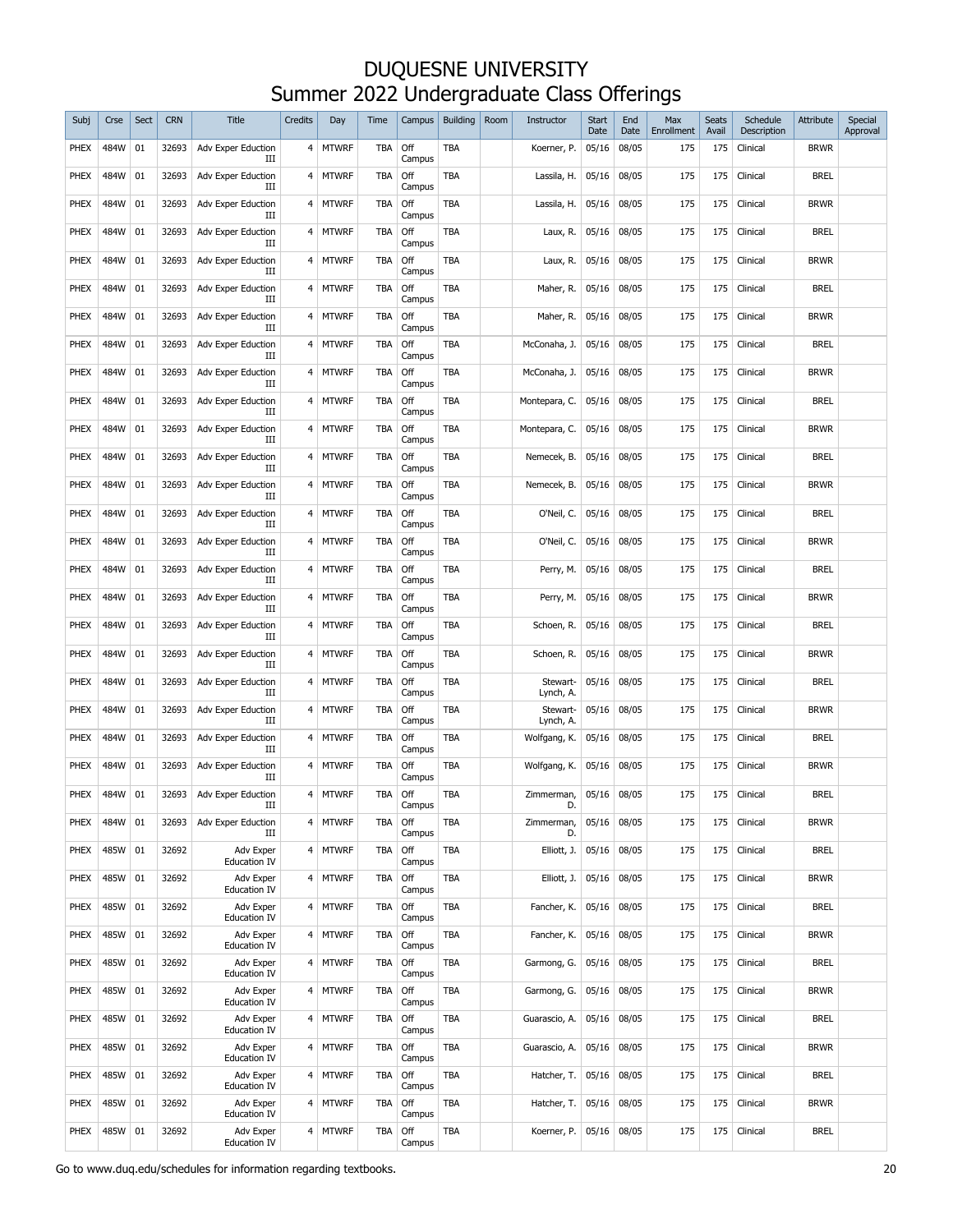| Subj        | Crse    | Sect | <b>CRN</b> | <b>Title</b>                     | Credits          | Day          | Time       | Campus        | <b>Building</b> | Room | Instructor            | <b>Start</b><br>Date | End<br>Date | Max<br>Enrollment | Seats<br>Avail | Schedule<br>Description | Attribute   | Special<br>Approval |
|-------------|---------|------|------------|----------------------------------|------------------|--------------|------------|---------------|-----------------|------|-----------------------|----------------------|-------------|-------------------|----------------|-------------------------|-------------|---------------------|
| PHEX        | 484W    | 01   | 32693      | Adv Exper Eduction<br>Ш          |                  | 4   MTWRF    | TBA        | Off<br>Campus | <b>TBA</b>      |      | Koerner, P.           | 05/16                | 08/05       | 175               | 175            | Clinical                | brwr        |                     |
| PHEX        | 484W    | 01   | 32693      | Adv Exper Eduction<br>Ш          | 4                | <b>MTWRF</b> | <b>TBA</b> | Off<br>Campus | <b>TBA</b>      |      | Lassila, H.           | 05/16                | 08/05       | 175               | 175            | Clinical                | <b>BREL</b> |                     |
| PHEX        | 484W    | 01   | 32693      | Adv Exper Eduction<br>ш          | 4                | <b>MTWRF</b> | <b>TBA</b> | Off<br>Campus | <b>TBA</b>      |      | Lassila, H.           | 05/16                | 08/05       | 175               | 175            | Clinical                | <b>BRWR</b> |                     |
| PHEX        | 484W    | 01   | 32693      | Adv Exper Eduction<br>Ш          | 4                | <b>MTWRF</b> | <b>TBA</b> | Off<br>Campus | <b>TBA</b>      |      | Laux, R.              | 05/16                | 08/05       | 175               | 175            | Clinical                | <b>BREL</b> |                     |
| PHEX        | 484W    | 01   | 32693      | Adv Exper Eduction<br>ш          | 4                | <b>MTWRF</b> | TBA        | Off<br>Campus | <b>TBA</b>      |      | Laux, R.              | 05/16                | 08/05       | 175               | 175            | Clinical                | <b>BRWR</b> |                     |
| PHEX        | 484W    | 01   | 32693      | Adv Exper Eduction<br>Ш          | 4                | <b>MTWRF</b> | <b>TBA</b> | Off<br>Campus | <b>TBA</b>      |      | Maher, R.             | 05/16                | 08/05       | 175               | 175            | Clinical                | <b>BREL</b> |                     |
| PHEX        | 484W    | 01   | 32693      | Adv Exper Eduction<br>ш          | 4                | <b>MTWRF</b> | <b>TBA</b> | Off<br>Campus | TBA             |      | Maher, R.             | 05/16                | 08/05       | 175               | 175            | Clinical                | <b>BRWR</b> |                     |
| PHEX        | 484W    | 01   | 32693      | Adv Exper Eduction<br>IΙI        | 4                | <b>MTWRF</b> | <b>TBA</b> | Off<br>Campus | TBA             |      | McConaha, J.          | 05/16                | 08/05       | 175               | 175            | Clinical                | <b>BREL</b> |                     |
| PHEX        | 484W    | 01   | 32693      | Adv Exper Eduction<br>IΙI        | 4                | <b>MTWRF</b> | <b>TBA</b> | Off<br>Campus | TBA             |      | McConaha, J.          | 05/16                | 08/05       | 175               | 175            | Clinical                | <b>BRWR</b> |                     |
| PHEX        | 484W    | 01   | 32693      | Adv Exper Eduction<br>IΙI        | 4                | <b>MTWRF</b> | <b>TBA</b> | Off<br>Campus | TBA             |      | Montepara, C.         | 05/16                | 08/05       | 175               | 175            | Clinical                | <b>BREL</b> |                     |
| PHEX        | 484W    | 01   | 32693      | Adv Exper Eduction<br>IΙI        | 4                | <b>MTWRF</b> | <b>TBA</b> | Off<br>Campus | TBA             |      | Montepara, C.         | 05/16                | 08/05       | 175               | 175            | Clinical                | <b>BRWR</b> |                     |
| PHEX        | 484W    | 01   | 32693      | Adv Exper Eduction<br>IΙI        | $4 \overline{ }$ | <b>MTWRF</b> | <b>TBA</b> | Off<br>Campus | TBA             |      | Nemecek, B.           | 05/16                | 08/05       | 175               | 175            | Clinical                | <b>BREL</b> |                     |
| PHEX        | 484W    | 01   | 32693      | Adv Exper Eduction<br>IΙI        | $4 \,$           | <b>MTWRF</b> | TBA        | Off<br>Campus | TBA             |      | Nemecek, B.           | 05/16                | 08/05       | 175               | 175            | Clinical                | <b>BRWR</b> |                     |
| PHEX        | 484W    | 01   | 32693      | Adv Exper Eduction<br>IΙI        | $4 \,$           | <b>MTWRF</b> | TBA        | Off<br>Campus | <b>TBA</b>      |      | O'Neil, C.            | 05/16                | 08/05       | 175               | 175            | Clinical                | <b>BREL</b> |                     |
| PHEX        | 484W    | 01   | 32693      | Adv Exper Eduction<br>IΙI        | 4                | <b>MTWRF</b> | TBA        | Off<br>Campus | TBA             |      | O'Neil, C.            | 05/16                | 08/05       | 175               | 175            | Clinical                | <b>BRWR</b> |                     |
| PHEX        | 484W    | 01   | 32693      | Adv Exper Eduction<br>IΙI        | $4 \,$           | <b>MTWRF</b> | TBA        | Off<br>Campus | <b>TBA</b>      |      | Perry, M.             | 05/16                | 08/05       | 175               | 175            | Clinical                | <b>BREL</b> |                     |
| PHEX        | 484W    | 01   | 32693      | Adv Exper Eduction<br>IΙI        | $4 \,$           | <b>MTWRF</b> | TBA        | Off<br>Campus | <b>TBA</b>      |      | Perry, M.             | 05/16                | 08/05       | 175               | 175            | Clinical                | <b>BRWR</b> |                     |
| PHEX        | 484W    | 01   | 32693      | Adv Exper Eduction<br>IΙI        |                  | 4 MTWRF      | TBA        | Off<br>Campus | <b>TBA</b>      |      | Schoen, R.            | 05/16                | 08/05       | 175               | 175            | Clinical                | <b>BREL</b> |                     |
| <b>PHEX</b> | 484W    | 01   | 32693      | Adv Exper Eduction<br>Ш          | 4                | <b>MTWRF</b> | <b>TBA</b> | Off<br>Campus | <b>TBA</b>      |      | Schoen, R.            | 05/16                | 08/05       | 175               | 175            | Clinical                | brwr        |                     |
| PHEX        | 484W    | 01   | 32693      | Adv Exper Eduction<br>Ш          | 4                | <b>MTWRF</b> | <b>TBA</b> | Off<br>Campus | <b>TBA</b>      |      | Stewart-<br>Lynch, A. | 05/16                | 08/05       | 175               | 175            | Clinical                | <b>BREL</b> |                     |
| PHEX        | 484W    | 01   | 32693      | Adv Exper Eduction<br>Ш          | 4                | <b>MTWRF</b> | TBA        | Off<br>Campus | <b>TBA</b>      |      | Stewart-<br>Lynch, A. | 05/16                | 08/05       | 175               | 175            | Clinical                | Brwr        |                     |
| PHEX        | 484W    | 01   | 32693      | Adv Exper Eduction<br>Ш          | 4                | <b>MTWRF</b> | <b>TBA</b> | Off<br>Campus | <b>TBA</b>      |      | Wolfgang, K.          | 05/16                | 08/05       | 175               | 175            | Clinical                | <b>BREL</b> |                     |
| PHEX        | 484W    | 01   | 32693      | Adv Exper Eduction<br>Ш          |                  | 4   MTWRF    | TBA        | Off<br>Campus | <b>TBA</b>      |      | Wolfgang, K.          | 05/16                | 08/05       | 175               | 175            | Clinical                | Brwr        |                     |
| <b>PHEX</b> | 484W    | 01   | 32693      | Adv Exper Eduction               |                  | 4 MTWRF      | TBA        | Off<br>Campus | <b>TBA</b>      |      | Zimmerman,<br>D       | 05/16                | 08/05       | 175               | 175            | Clinical                | <b>BREL</b> |                     |
| <b>PHEX</b> | 484W 01 |      | 32693      | Adv Exper Eduction<br>Ш          | $4 \overline{ }$ | <b>MTWRF</b> | <b>TBA</b> | Off<br>Campus | TBA             |      | Zimmerman,<br>D.      | 05/16                | 08/05       | 175               | 175            | Clinical                | <b>BRWR</b> |                     |
| PHEX        | 485W    | 01   | 32692      | Adv Exper<br><b>Education IV</b> |                  | 4 MTWRF      | <b>TBA</b> | Off<br>Campus | TBA             |      | Elliott, J.           | 05/16                | 08/05       | 175               | 175            | Clinical                | <b>BREL</b> |                     |
| PHEX        | 485W    | 01   | 32692      | Adv Exper<br><b>Education IV</b> |                  | 4 MTWRF      | <b>TBA</b> | Off<br>Campus | TBA             |      | Elliott, J.           | 05/16                | 08/05       | 175               | 175            | Clinical                | <b>BRWR</b> |                     |
| PHEX        | 485W    | 01   | 32692      | Adv Exper<br><b>Education IV</b> | $\overline{4}$   | <b>MTWRF</b> | <b>TBA</b> | Off<br>Campus | TBA             |      | Fancher, K.           | 05/16                | 08/05       | 175               | 175            | Clinical                | <b>BREL</b> |                     |
| <b>PHEX</b> | 485W    | 01   | 32692      | Adv Exper<br><b>Education IV</b> |                  | 4 MTWRF      | <b>TBA</b> | Off<br>Campus | TBA             |      | Fancher, K.           | 05/16                | 08/05       | 175               | 175            | Clinical                | <b>BRWR</b> |                     |
| <b>PHEX</b> | 485W    | 01   | 32692      | Adv Exper<br><b>Education IV</b> | $\overline{4}$   | <b>MTWRF</b> | <b>TBA</b> | Off<br>Campus | TBA             |      | Garmong, G.           | 05/16                | 08/05       | 175               | 175            | Clinical                | <b>BREL</b> |                     |
| PHEX        | 485W    | 01   | 32692      | Adv Exper<br><b>Education IV</b> |                  | 4 MTWRF      | <b>TBA</b> | Off<br>Campus | TBA             |      | Garmong, G.           | 05/16                | 08/05       | 175               | 175            | Clinical                | <b>BRWR</b> |                     |
| <b>PHEX</b> | 485W    | 01   | 32692      | Adv Exper<br><b>Education IV</b> |                  | 4 MTWRF      | <b>TBA</b> | Off<br>Campus | TBA             |      | Guarascio, A.         | 05/16                | 08/05       | 175               | 175            | Clinical                | <b>BREL</b> |                     |
| PHEX        | 485W    | 01   | 32692      | Adv Exper<br><b>Education IV</b> |                  | 4 MTWRF      | <b>TBA</b> | Off<br>Campus | TBA             |      | Guarascio, A.         | 05/16                | 08/05       | 175               | 175            | Clinical                | <b>BRWR</b> |                     |
| PHEX        | 485W    | 01   | 32692      | Adv Exper<br><b>Education IV</b> |                  | 4 MTWRF      | <b>TBA</b> | Off<br>Campus | TBA             |      | Hatcher, T.           | 05/16                | 08/05       | 175               | 175            | Clinical                | <b>BREL</b> |                     |
| PHEX        | 485W    | 01   | 32692      | Adv Exper<br><b>Education IV</b> |                  | 4 MTWRF      | <b>TBA</b> | Off<br>Campus | TBA             |      | Hatcher, T.           | 05/16                | 08/05       | 175               | 175            | Clinical                | <b>BRWR</b> |                     |
| PHEX        | 485W    | 01   | 32692      | Adv Exper<br><b>Education IV</b> |                  | 4 MTWRF      | <b>TBA</b> | Off<br>Campus | TBA             |      | Koerner, P.           | 05/16                | 08/05       | 175               | 175            | Clinical                | <b>BREL</b> |                     |

Go to www.duq.edu/schedules for information regarding textbooks. 20<br>
20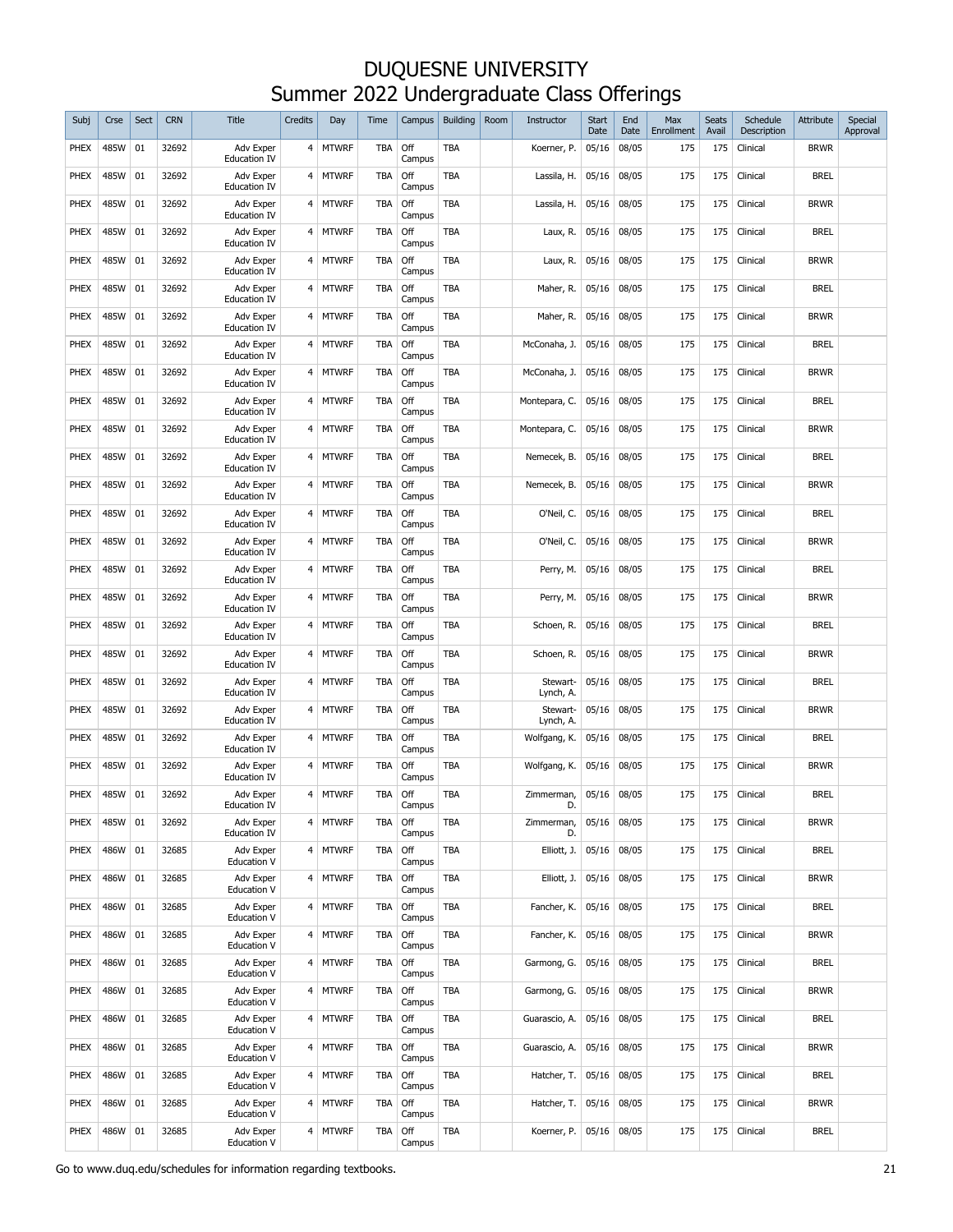| Subj        | Crse | Sect | <b>CRN</b> | <b>Title</b>                     | Credits          | Day          | Time       | Campus        | <b>Building</b> | Room | Instructor            | <b>Start</b><br>Date | End<br>Date | Max<br>Enrollment | Seats<br>Avail | Schedule<br>Description | Attribute   | Special<br>Approval |
|-------------|------|------|------------|----------------------------------|------------------|--------------|------------|---------------|-----------------|------|-----------------------|----------------------|-------------|-------------------|----------------|-------------------------|-------------|---------------------|
| PHEX        | 485W | 01   | 32692      | Adv Exper<br><b>Education IV</b> | $4 \overline{ }$ | <b>MTWRF</b> | TBA        | Off<br>Campus | <b>TBA</b>      |      | Koerner, P.           | 05/16                | 08/05       | 175               | 175            | Clinical                | <b>BRWR</b> |                     |
| PHEX        | 485W | 01   | 32692      | Adv Exper<br><b>Education IV</b> | 4                | <b>MTWRF</b> | <b>TBA</b> | Off<br>Campus | TBA             |      | Lassila, H.           | 05/16                | 08/05       | 175               | 175            | Clinical                | <b>BREL</b> |                     |
| PHEX        | 485W | 01   | 32692      | Adv Exper<br><b>Education IV</b> | 4                | <b>MTWRF</b> | <b>TBA</b> | Off<br>Campus | TBA             |      | Lassila, H.           | 05/16                | 08/05       | 175               | 175            | Clinical                | <b>BRWR</b> |                     |
| PHEX        | 485W | 01   | 32692      | Adv Exper<br><b>Education IV</b> | 4                | <b>MTWRF</b> | <b>TBA</b> | Off<br>Campus | TBA             |      | Laux, R.              | 05/16                | 08/05       | 175               | 175            | Clinical                | <b>BREL</b> |                     |
| PHEX        | 485W | 01   | 32692      | Adv Exper<br><b>Education IV</b> | 4                | <b>MTWRF</b> | <b>TBA</b> | Off<br>Campus | TBA             |      | Laux, R.              | 05/16                | 08/05       | 175               | 175            | Clinical                | <b>BRWR</b> |                     |
| PHEX        | 485W | 01   | 32692      | Adv Exper<br><b>Education IV</b> | 4                | <b>MTWRF</b> | <b>TBA</b> | Off<br>Campus | TBA             |      | Maher, R.             | 05/16                | 08/05       | 175               | 175            | Clinical                | <b>BREL</b> |                     |
| PHEX        | 485W | 01   | 32692      | Adv Exper<br><b>Education IV</b> | 4                | <b>MTWRF</b> | <b>TBA</b> | Off<br>Campus | TBA             |      | Maher, R.             | 05/16                | 08/05       | 175               | 175            | Clinical                | <b>BRWR</b> |                     |
| PHEX        | 485W | 01   | 32692      | Adv Exper<br><b>Education IV</b> | 4                | <b>MTWRF</b> | TBA        | Off<br>Campus | TBA             |      | McConaha, J.          | 05/16                | 08/05       | 175               | 175            | Clinical                | <b>BREL</b> |                     |
| PHEX        | 485W | 01   | 32692      | Adv Exper<br><b>Education IV</b> | 4                | <b>MTWRF</b> | TBA        | Off<br>Campus | TBA             |      | McConaha, J.          | 05/16                | 08/05       | 175               | 175            | Clinical                | <b>BRWR</b> |                     |
| PHEX        | 485W | 01   | 32692      | Adv Exper<br><b>Education IV</b> | 4                | <b>MTWRF</b> | TBA        | Off<br>Campus | TBA             |      | Montepara, C.         | 05/16                | 08/05       | 175               | 175            | Clinical                | <b>BREL</b> |                     |
| PHEX        | 485W | 01   | 32692      | Adv Exper<br><b>Education IV</b> | 4                | <b>MTWRF</b> | TBA        | Off<br>Campus | TBA             |      | Montepara, C.         | 05/16                | 08/05       | 175               | 175            | Clinical                | <b>BRWR</b> |                     |
| PHEX        | 485W | 01   | 32692      | Adv Exper<br><b>Education IV</b> | 4                | <b>MTWRF</b> | TBA        | Off<br>Campus | TBA             |      | Nemecek, B.           | 05/16                | 08/05       | 175               | 175            | Clinical                | <b>BREL</b> |                     |
| PHEX        | 485W | 01   | 32692      | Adv Exper<br><b>Education IV</b> | 4                | <b>MTWRF</b> | TBA        | Off<br>Campus | <b>TBA</b>      |      | Nemecek, B.           | 05/16                | 08/05       | 175               | 175            | Clinical                | <b>BRWR</b> |                     |
| PHEX        | 485W | 01   | 32692      | Adv Exper<br><b>Education IV</b> | 4                | <b>MTWRF</b> | TBA        | Off<br>Campus | TBA             |      | O'Neil, C.            | 05/16                | 08/05       | 175               | 175            | Clinical                | <b>BREL</b> |                     |
| PHEX        | 485W | 01   | 32692      | Adv Exper<br><b>Education IV</b> | 4                | <b>MTWRF</b> | TBA        | Off<br>Campus | TBA             |      | O'Neil, C.            | 05/16                | 08/05       | 175               | 175            | Clinical                | <b>BRWR</b> |                     |
| PHEX        | 485W | 01   | 32692      | Adv Exper<br><b>Education IV</b> | 4                | <b>MTWRF</b> | TBA        | Off<br>Campus | TBA             |      | Perry, M.             | 05/16                | 08/05       | 175               | 175            | Clinical                | <b>BREL</b> |                     |
| PHEX        | 485W | 01   | 32692      | Adv Exper<br><b>Education IV</b> | 4                | <b>MTWRF</b> | TBA        | Off<br>Campus | TBA             |      | Perry, M.             | 05/16                | 08/05       | 175               | 175            | Clinical                | <b>BRWR</b> |                     |
| PHEX        | 485W | 01   | 32692      | Adv Exper<br><b>Education IV</b> | 4                | <b>MTWRF</b> | TBA        | Off<br>Campus | TBA             |      | Schoen, R.            | 05/16                | 08/05       | 175               | 175            | Clinical                | <b>BREL</b> |                     |
| <b>PHEX</b> | 485W | 01   | 32692      | Adv Exper<br><b>Education IV</b> | 4                | <b>MTWRF</b> | <b>TBA</b> | Off<br>Campus | <b>TBA</b>      |      | Schoen, R.            | 05/16                | 08/05       | 175               | 175            | Clinical                | <b>BRWR</b> |                     |
| <b>PHEX</b> | 485W | 01   | 32692      | Adv Exper<br><b>Education IV</b> | 4                | MTWRF        | TBA        | Off<br>Campus | <b>TBA</b>      |      | Stewart-<br>Lynch, A. | 05/16                | 08/05       | 175               | 175            | Clinical                | <b>BREL</b> |                     |
| <b>PHEX</b> | 485W | 01   | 32692      | Adv Exper<br><b>Education IV</b> | 4                | <b>MTWRF</b> | TBA        | Off<br>Campus | <b>TBA</b>      |      | Stewart-<br>Lynch, A. | 05/16                | 08/05       | 175               | 175            | Clinical                | Brwr        |                     |
| <b>PHEX</b> | 485W | 01   | 32692      | Adv Exper<br><b>Education IV</b> | 4                | <b>MTWRF</b> | TBA        | Off<br>Campus | <b>TBA</b>      |      | Wolfgang, K.          | 05/16                | 08/05       | 175               | 175            | Clinical                | <b>BREL</b> |                     |
| <b>PHEX</b> | 485W | 01   | 32692      | Adv Exper<br><b>Education IV</b> | 4                | <b>MTWRF</b> | <b>TBA</b> | Off<br>Campus | <b>TBA</b>      |      | Wolfgang, K.          | 05/16                | 08/05       | 175               | 175            | Clinical                | <b>BRWR</b> |                     |
| <b>PHEX</b> | 485W | 01   | 32692      | Adv Exper<br><b>Education IV</b> |                  | 4 MTWRF      | <b>TBA</b> | Off<br>Campus | <b>TBA</b>      |      | Zimmerman,<br>D.      | 05/16                | 08/05       | 175               | 175            | Clinical                | <b>BREL</b> |                     |
| <b>PHEX</b> | 485W | 01   | 32692      | Adv Exper<br><b>Education IV</b> | 4                | <b>MTWRF</b> | TBA        | Off<br>Campus | TBA             |      | Zimmerman,<br>D.      | 05/16                | 08/05       | 175               | 175            | Clinical                | <b>BRWR</b> |                     |
| <b>PHEX</b> | 486W | 01   | 32685      | Adv Exper<br>Education V         |                  | 4 MTWRF      | <b>TBA</b> | Off<br>Campus | TBA             |      | Elliott, J.           | 05/16                | 08/05       | 175               | 175            | Clinical                | <b>BREL</b> |                     |
| <b>PHEX</b> | 486W | 01   | 32685      | Adv Exper<br>Education V         |                  | 4 MTWRF      | <b>TBA</b> | Off<br>Campus | TBA             |      | Elliott, J.           | 05/16                | 08/05       | 175               | 175            | Clinical                | <b>BRWR</b> |                     |
| <b>PHEX</b> | 486W | 01   | 32685      | Adv Exper<br>Education V         | $\overline{4}$   | <b>MTWRF</b> | <b>TBA</b> | Off<br>Campus | TBA             |      | Fancher, K.           | 05/16                | 08/05       | 175               | 175            | Clinical                | <b>BREL</b> |                     |
| <b>PHEX</b> | 486W | 01   | 32685      | Adv Exper<br>Education V         |                  | 4 MTWRF      | <b>TBA</b> | Off<br>Campus | <b>TBA</b>      |      | Fancher, K.           | 05/16                | 08/05       | 175               | 175            | Clinical                | <b>BRWR</b> |                     |
| <b>PHEX</b> | 486W | 01   | 32685      | Adv Exper<br><b>Education V</b>  | $\overline{4}$   | <b>MTWRF</b> | <b>TBA</b> | Off<br>Campus | TBA             |      | Garmong, G.           | 05/16                | 08/05       | 175               | 175            | Clinical                | <b>BREL</b> |                     |
| PHEX        | 486W | 01   | 32685      | Adv Exper<br>Education V         |                  | 4 MTWRF      | <b>TBA</b> | Off<br>Campus | TBA             |      | Garmong, G.           | 05/16                | 08/05       | 175               | 175            | Clinical                | <b>BRWR</b> |                     |
| <b>PHEX</b> | 486W | 01   | 32685      | Adv Exper<br><b>Education V</b>  |                  | 4 MTWRF      | <b>TBA</b> | Off<br>Campus | TBA             |      | Guarascio, A.         | 05/16                | 08/05       | 175               | 175            | Clinical                | <b>BREL</b> |                     |
| <b>PHEX</b> | 486W | 01   | 32685      | Adv Exper<br>Education V         |                  | 4 MTWRF      | <b>TBA</b> | Off<br>Campus | TBA             |      | Guarascio, A.         | 05/16                | 08/05       | 175               | 175            | Clinical                | <b>BRWR</b> |                     |
| <b>PHEX</b> | 486W | 01   | 32685      | Adv Exper<br><b>Education V</b>  |                  | 4 MTWRF      | <b>TBA</b> | Off<br>Campus | TBA             |      | Hatcher, T.           | 05/16                | 08/05       | 175               | 175            | Clinical                | <b>BREL</b> |                     |
| PHEX        | 486W | 01   | 32685      | Adv Exper<br>Education V         |                  | 4 MTWRF      | <b>TBA</b> | Off<br>Campus | TBA             |      | Hatcher, T.           | 05/16                | 08/05       | 175               | 175            | Clinical                | <b>BRWR</b> |                     |
| <b>PHEX</b> | 486W | 01   | 32685      | Adv Exper<br><b>Education V</b>  | $\overline{4}$   | <b>MTWRF</b> | <b>TBA</b> | Off<br>Campus | TBA             |      | Koerner, P.           | 05/16                | 08/05       | 175               | 175            | Clinical                | <b>BREL</b> |                     |

Go to www.duq.edu/schedules for information regarding textbooks. 21 and 20 and 21 and 21 and 21 and 21 and 21 and 21 and 21 and 21 and 21 and 21 and 21 and 21 and 21 and 21 and 20 and 21 and 20 and 20 and 20 and 20 and 20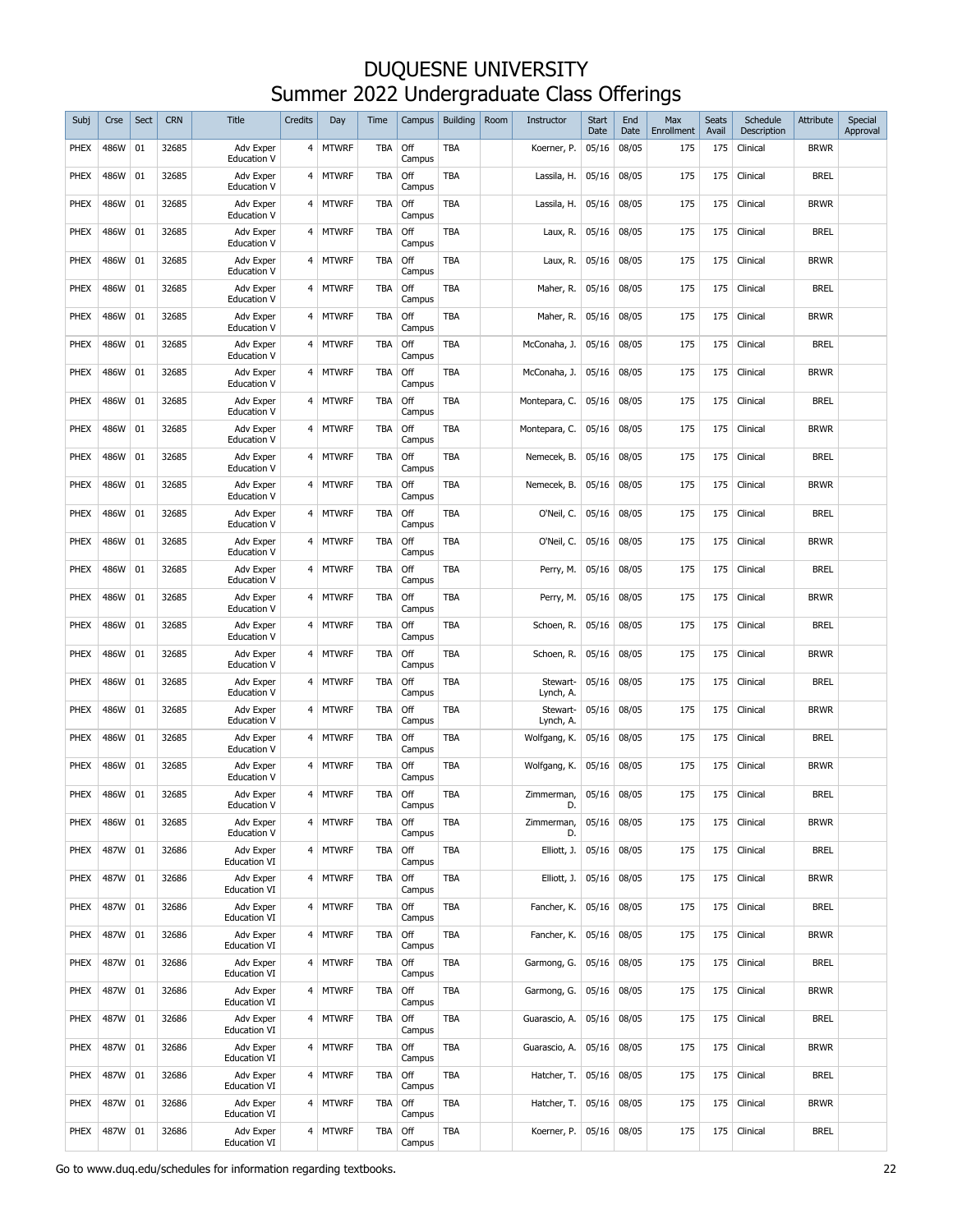| Subj        | Crse | Sect | <b>CRN</b> | Title                            | Credits        | Day          | Time       | Campus        | <b>Building</b> | Room | Instructor            | <b>Start</b><br>Date | End<br>Date | Max<br>Enrollment | Seats<br>Avail | Schedule<br>Description | Attribute   | Special<br>Approval |
|-------------|------|------|------------|----------------------------------|----------------|--------------|------------|---------------|-----------------|------|-----------------------|----------------------|-------------|-------------------|----------------|-------------------------|-------------|---------------------|
| <b>PHEX</b> | 486W | 01   | 32685      | Adv Exper<br><b>Education V</b>  |                | 4   MTWRF    | <b>TBA</b> | Off<br>Campus | <b>TBA</b>      |      | Koerner, P.           | 05/16                | 08/05       | 175               | 175            | Clinical                | <b>BRWR</b> |                     |
| PHEX        | 486W | 01   | 32685      | Adv Exper<br><b>Education V</b>  | 4              | <b>MTWRF</b> | <b>TBA</b> | Off<br>Campus | TBA             |      | Lassila, H.           | 05/16                | 08/05       | 175               | 175            | Clinical                | <b>BREL</b> |                     |
| PHEX        | 486W | 01   | 32685      | Adv Exper<br><b>Education V</b>  | 4              | <b>MTWRF</b> | <b>TBA</b> | Off<br>Campus | <b>TBA</b>      |      | Lassila, H.           | 05/16                | 08/05       | 175               | 175            | Clinical                | <b>BRWR</b> |                     |
| PHEX        | 486W | 01   | 32685      | Adv Exper<br><b>Education V</b>  | 4              | <b>MTWRF</b> | <b>TBA</b> | Off<br>Campus | TBA             |      | Laux, R.              | 05/16                | 08/05       | 175               | 175            | Clinical                | <b>BREL</b> |                     |
| PHEX        | 486W | 01   | 32685      | Adv Exper<br><b>Education V</b>  | 4              | <b>MTWRF</b> | <b>TBA</b> | Off<br>Campus | <b>TBA</b>      |      | Laux, R.              | 05/16                | 08/05       | 175               | 175            | Clinical                | <b>BRWR</b> |                     |
| PHEX        | 486W | 01   | 32685      | Adv Exper<br><b>Education V</b>  | 4              | <b>MTWRF</b> | <b>TBA</b> | Off<br>Campus | TBA             |      | Maher, R.             | 05/16                | 08/05       | 175               | 175            | Clinical                | <b>BREL</b> |                     |
| PHEX        | 486W | 01   | 32685      | Adv Exper<br><b>Education V</b>  | 4              | <b>MTWRF</b> | <b>TBA</b> | Off<br>Campus | TBA             |      | Maher, R.             | 05/16                | 08/05       | 175               | 175            | Clinical                | <b>BRWR</b> |                     |
| PHEX        | 486W | 01   | 32685      | Adv Exper<br><b>Education V</b>  | 4              | <b>MTWRF</b> | TBA        | Off<br>Campus | TBA             |      | McConaha, J.          | 05/16                | 08/05       | 175               | 175            | Clinical                | <b>BREL</b> |                     |
| PHEX        | 486W | 01   | 32685      | Adv Exper<br><b>Education V</b>  | 4              | <b>MTWRF</b> | TBA        | Off<br>Campus | TBA             |      | McConaha, J.          | 05/16                | 08/05       | 175               | 175            | Clinical                | <b>BRWR</b> |                     |
| PHEX        | 486W | 01   | 32685      | Adv Exper<br><b>Education V</b>  | 4              | <b>MTWRF</b> | <b>TBA</b> | Off<br>Campus | TBA             |      | Montepara, C.         | 05/16                | 08/05       | 175               | 175            | Clinical                | <b>BREL</b> |                     |
| PHEX        | 486W | 01   | 32685      | Adv Exper<br><b>Education V</b>  | 4              | <b>MTWRF</b> | TBA        | Off<br>Campus | TBA             |      | Montepara, C.         | 05/16                | 08/05       | 175               | 175            | Clinical                | <b>BRWR</b> |                     |
| PHEX        | 486W | 01   | 32685      | Adv Exper<br><b>Education V</b>  | 4              | <b>MTWRF</b> | <b>TBA</b> | Off<br>Campus | TBA             |      | Nemecek, B.           | 05/16                | 08/05       | 175               | 175            | Clinical                | <b>BREL</b> |                     |
| PHEX        | 486W | 01   | 32685      | Adv Exper<br><b>Education V</b>  | 4              | <b>MTWRF</b> | TBA        | Off<br>Campus | <b>TBA</b>      |      | Nemecek, B.           | 05/16                | 08/05       | 175               | 175            | Clinical                | <b>BRWR</b> |                     |
| PHEX        | 486W | 01   | 32685      | Adv Exper<br><b>Education V</b>  | 4              | <b>MTWRF</b> | TBA        | Off<br>Campus | TBA             |      | O'Neil, C.            | 05/16                | 08/05       | 175               | 175            | Clinical                | <b>BREL</b> |                     |
| PHEX        | 486W | 01   | 32685      | Adv Exper<br><b>Education V</b>  | 4              | <b>MTWRF</b> | TBA        | Off<br>Campus | <b>TBA</b>      |      | O'Neil, C.            | 05/16                | 08/05       | 175               | 175            | Clinical                | <b>BRWR</b> |                     |
| PHEX        | 486W | 01   | 32685      | Adv Exper<br><b>Education V</b>  | 4              | <b>MTWRF</b> | TBA        | Off<br>Campus | TBA             |      | Perry, M.             | 05/16                | 08/05       | 175               | 175            | Clinical                | <b>BREL</b> |                     |
| PHEX        | 486W | 01   | 32685      | Adv Exper<br><b>Education V</b>  | 4              | <b>MTWRF</b> | TBA        | Off<br>Campus | TBA             |      | Perry, M.             | 05/16                | 08/05       | 175               | 175            | Clinical                | <b>BRWR</b> |                     |
| PHEX        | 486W | 01   | 32685      | Adv Exper<br><b>Education V</b>  | $4 \,$         | <b>MTWRF</b> | TBA        | Off<br>Campus | TBA             |      | Schoen, R.            | 05/16                | 08/05       | 175               | 175            | Clinical                | <b>BREL</b> |                     |
| <b>PHEX</b> | 486W | 01   | 32685      | Adv Exper<br><b>Education V</b>  | 4              | <b>MTWRF</b> | <b>TBA</b> | Off<br>Campus | <b>TBA</b>      |      | Schoen, R.            | 05/16                | 08/05       | 175               | 175            | Clinical                | <b>BRWR</b> |                     |
| <b>PHEX</b> | 486W | 01   | 32685      | Adv Exper<br><b>Education V</b>  | 4              | MTWRF        | <b>TBA</b> | Off<br>Campus | <b>TBA</b>      |      | Stewart-<br>Lynch, A. | 05/16                | 08/05       | 175               | 175            | Clinical                | <b>BREL</b> |                     |
| <b>PHEX</b> | 486W | 01   | 32685      | Adv Exper<br><b>Education V</b>  | 4              | <b>MTWRF</b> | TBA        | Off<br>Campus | <b>TBA</b>      |      | Stewart-<br>Lynch, A  | 05/16                | 08/05       | 175               | 175            | Clinical                | Brwr        |                     |
| <b>PHEX</b> | 486W | 01   | 32685      | Adv Exper<br><b>Education V</b>  | 4              | MTWRF        | <b>TBA</b> | Off<br>Campus | <b>TBA</b>      |      | Wolfgang, K.          | 05/16                | 08/05       | 175               | 175            | Clinical                | <b>BREL</b> |                     |
| <b>PHEX</b> | 486W | 01   | 32685      | Adv Exper<br><b>Education V</b>  | 4              | MTWRF        | <b>TBA</b> | Off<br>Campus | <b>TBA</b>      |      | Wolfgang, K.          | 05/16                | 08/05       | 175               | 175            | Clinical                | Brwr        |                     |
| <b>PHEX</b> | 486W | 01   | 32685      | Adv Exper<br><b>Education V</b>  |                | 4 MTWRF      | <b>TBA</b> | Off<br>Campus | <b>TBA</b>      |      | Zimmerman,<br>D       | 05/16                | 08/05       | 175               | 175            | Clinical                | <b>BREL</b> |                     |
| PHEX        | 486W | 01   | 32685      | Adv Exper<br><b>Education V</b>  | 4              | <b>MTWRF</b> | <b>TBA</b> | Off<br>Campus | TBA             |      | Zimmerman,<br>D.      | 05/16                | 08/05       | 175               | 175            | Clinical                | <b>BRWR</b> |                     |
| PHEX        | 487W | 01   | 32686      | Adv Exper<br><b>Education VI</b> | $\overline{4}$ | <b>MTWRF</b> | <b>TBA</b> | Off<br>Campus | TBA             |      | Elliott, J.           | 05/16                | 08/05       | 175               | 175            | Clinical                | <b>BREL</b> |                     |
| <b>PHEX</b> | 487W | 01   | 32686      | Adv Exper<br><b>Education VI</b> |                | 4 MTWRF      | <b>TBA</b> | Off<br>Campus | TBA             |      | Elliott, J.           | 05/16                | 08/05       | 175               | 175            | Clinical                | <b>BRWR</b> |                     |
| <b>PHEX</b> | 487W | 01   | 32686      | Adv Exper<br><b>Education VI</b> | $\overline{4}$ | <b>MTWRF</b> | <b>TBA</b> | Off<br>Campus | TBA             |      | Fancher, K.           | 05/16                | 08/05       | 175               | 175            | Clinical                | <b>BREL</b> |                     |
| <b>PHEX</b> | 487W | 01   | 32686      | Adv Exper<br><b>Education VI</b> |                | 4 MTWRF      | <b>TBA</b> | Off<br>Campus | TBA             |      | Fancher, K.           | 05/16                | 08/05       | 175               | 175            | Clinical                | <b>BRWR</b> |                     |
| <b>PHEX</b> | 487W | 01   | 32686      | Adv Exper<br><b>Education VI</b> | $\overline{4}$ | <b>MTWRF</b> | <b>TBA</b> | Off<br>Campus | TBA             |      | Garmong, G.           | 05/16                | 08/05       | 175               | 175            | Clinical                | <b>BREL</b> |                     |
| PHEX        | 487W | 01   | 32686      | Adv Exper<br><b>Education VI</b> |                | 4 MTWRF      | <b>TBA</b> | Off<br>Campus | TBA             |      | Garmong, G.           | 05/16                | 08/05       | 175               | 175            | Clinical                | <b>BRWR</b> |                     |
| <b>PHEX</b> | 487W | 01   | 32686      | Adv Exper<br><b>Education VI</b> |                | 4 MTWRF      | <b>TBA</b> | Off<br>Campus | TBA             |      | Guarascio, A.         | 05/16                | 08/05       | 175               | 175            | Clinical                | <b>BREL</b> |                     |
| PHEX        | 487W | 01   | 32686      | Adv Exper<br><b>Education VI</b> |                | 4 MTWRF      | <b>TBA</b> | Off<br>Campus | TBA             |      | Guarascio, A.         | 05/16                | 08/05       | 175               | 175            | Clinical                | <b>BRWR</b> |                     |
| PHEX        | 487W | 01   | 32686      | Adv Exper<br><b>Education VI</b> |                | 4 MTWRF      | <b>TBA</b> | Off<br>Campus | TBA             |      | Hatcher, T.           | 05/16                | 08/05       | 175               | 175            | Clinical                | <b>BREL</b> |                     |
| PHEX        | 487W | 01   | 32686      | Adv Exper<br><b>Education VI</b> |                | 4 MTWRF      | <b>TBA</b> | Off<br>Campus | TBA             |      | Hatcher, T.           | 05/16                | 08/05       | 175               | 175            | Clinical                | <b>BRWR</b> |                     |
| <b>PHEX</b> | 487W | 01   | 32686      | Adv Exper<br><b>Education VI</b> |                | 4 MTWRF      | <b>TBA</b> | Off<br>Campus | TBA             |      | Koerner, P.           | 05/16                | 08/05       | 175               | 175            | Clinical                | <b>BREL</b> |                     |

Go to www.duq.edu/schedules for information regarding textbooks. 22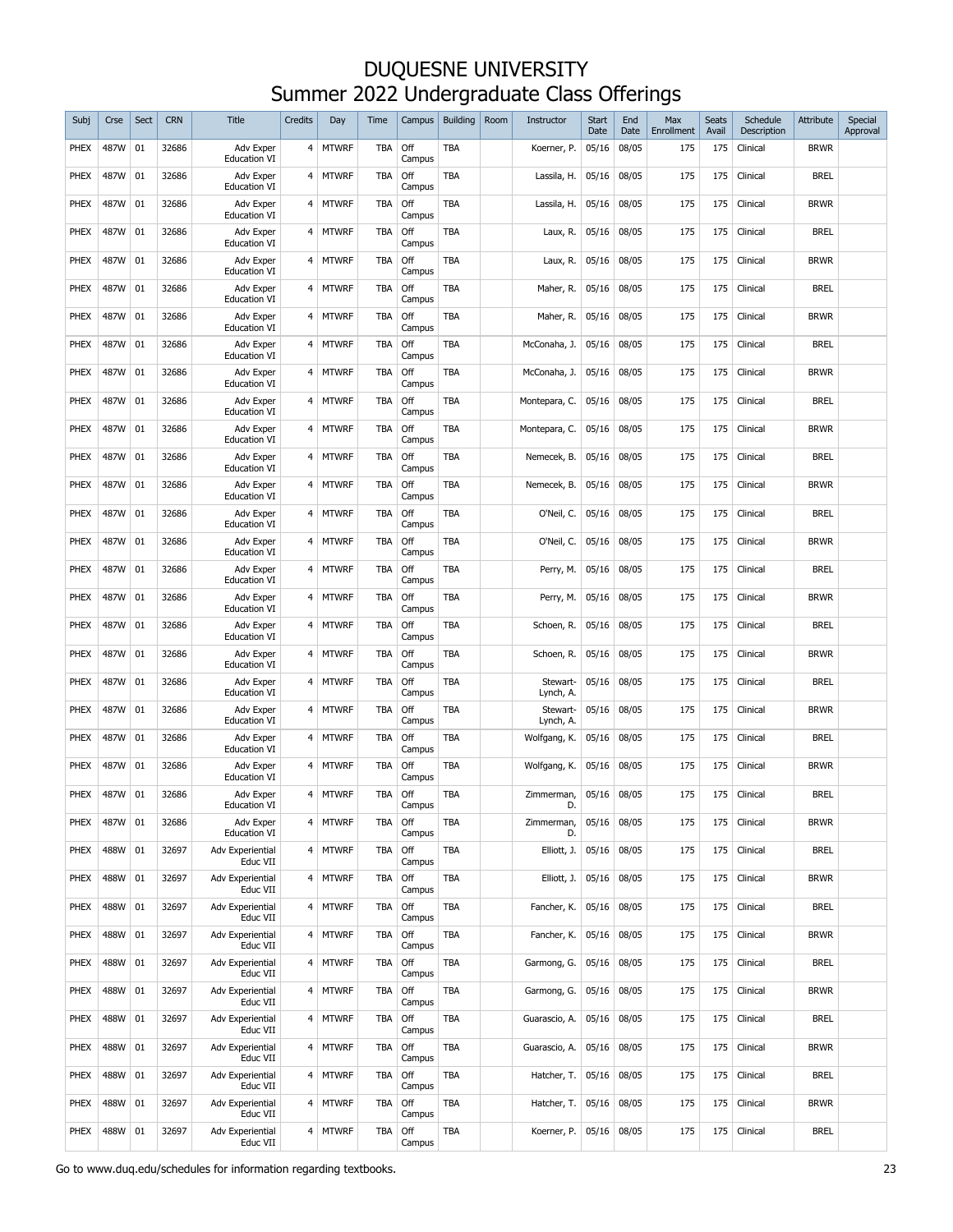| Subj        | Crse | Sect | <b>CRN</b> | <b>Title</b>                     | Credits        | Day          | Time       | Campus        | <b>Building</b> | Room | Instructor            | <b>Start</b><br>Date | End<br>Date | Max<br>Enrollment | Seats<br>Avail | Schedule<br>Description | Attribute   | Special<br>Approval |
|-------------|------|------|------------|----------------------------------|----------------|--------------|------------|---------------|-----------------|------|-----------------------|----------------------|-------------|-------------------|----------------|-------------------------|-------------|---------------------|
| PHEX        | 487W | 01   | 32686      | Adv Exper<br><b>Education VI</b> | 4 <sup>1</sup> | <b>MTWRF</b> | TBA        | Off<br>Campus | <b>TBA</b>      |      | Koerner, P.           | 05/16                | 08/05       | 175               | 175            | Clinical                | <b>BRWR</b> |                     |
| PHEX        | 487W | 01   | 32686      | Adv Exper<br><b>Education VI</b> | 4              | <b>MTWRF</b> | <b>TBA</b> | Off<br>Campus | TBA             |      | Lassila, H.           | 05/16                | 08/05       | 175               | 175            | Clinical                | <b>BREL</b> |                     |
| PHEX        | 487W | 01   | 32686      | Adv Exper<br><b>Education VI</b> | 4              | <b>MTWRF</b> | <b>TBA</b> | Off<br>Campus | <b>TBA</b>      |      | Lassila, H.           | 05/16                | 08/05       | 175               | 175            | Clinical                | <b>BRWR</b> |                     |
| PHEX        | 487W | 01   | 32686      | Adv Exper<br><b>Education VI</b> | 4              | <b>MTWRF</b> | <b>TBA</b> | Off<br>Campus | TBA             |      | Laux, R.              | 05/16                | 08/05       | 175               | 175            | Clinical                | <b>BREL</b> |                     |
| PHEX        | 487W | 01   | 32686      | Adv Exper<br><b>Education VI</b> | 4              | <b>MTWRF</b> | <b>TBA</b> | Off<br>Campus | <b>TBA</b>      |      | Laux, R.              | 05/16                | 08/05       | 175               | 175            | Clinical                | <b>BRWR</b> |                     |
| PHEX        | 487W | 01   | 32686      | Adv Exper<br><b>Education VI</b> | 4              | <b>MTWRF</b> | <b>TBA</b> | Off<br>Campus | TBA             |      | Maher, R.             | 05/16                | 08/05       | 175               | 175            | Clinical                | <b>BREL</b> |                     |
| PHEX        | 487W | 01   | 32686      | Adv Exper<br><b>Education VI</b> | 4              | <b>MTWRF</b> | <b>TBA</b> | Off<br>Campus | TBA             |      | Maher, R.             | 05/16                | 08/05       | 175               | 175            | Clinical                | <b>BRWR</b> |                     |
| PHEX        | 487W | 01   | 32686      | Adv Exper<br><b>Education VI</b> | 4              | <b>MTWRF</b> | TBA        | Off<br>Campus | TBA             |      | McConaha, J.          | 05/16                | 08/05       | 175               | 175            | Clinical                | <b>BREL</b> |                     |
| PHEX        | 487W | 01   | 32686      | Adv Exper<br><b>Education VI</b> | 4              | <b>MTWRF</b> | TBA        | Off<br>Campus | TBA             |      | McConaha, J.          | 05/16                | 08/05       | 175               | 175            | Clinical                | <b>BRWR</b> |                     |
| PHEX        | 487W | 01   | 32686      | Adv Exper<br><b>Education VI</b> | 4              | <b>MTWRF</b> | TBA        | Off<br>Campus | TBA             |      | Montepara, C.         | 05/16                | 08/05       | 175               | 175            | Clinical                | <b>BREL</b> |                     |
| PHEX        | 487W | 01   | 32686      | Adv Exper<br><b>Education VI</b> | 4              | <b>MTWRF</b> | TBA        | Off<br>Campus | TBA             |      | Montepara, C.         | 05/16                | 08/05       | 175               | 175            | Clinical                | <b>BRWR</b> |                     |
| PHEX        | 487W | 01   | 32686      | Adv Exper<br><b>Education VI</b> | 4              | <b>MTWRF</b> | TBA        | Off<br>Campus | TBA             |      | Nemecek, B.           | 05/16                | 08/05       | 175               | 175            | Clinical                | <b>BREL</b> |                     |
| PHEX        | 487W | 01   | 32686      | Adv Exper<br><b>Education VI</b> | 4              | <b>MTWRF</b> | TBA        | Off<br>Campus | TBA             |      | Nemecek, B.           | 05/16                | 08/05       | 175               | 175            | Clinical                | <b>BRWR</b> |                     |
| PHEX        | 487W | 01   | 32686      | Adv Exper<br><b>Education VI</b> | 4              | <b>MTWRF</b> | TBA        | Off<br>Campus | TBA             |      | O'Neil, C.            | 05/16                | 08/05       | 175               | 175            | Clinical                | <b>BREL</b> |                     |
| PHEX        | 487W | 01   | 32686      | Adv Exper<br><b>Education VI</b> | 4              | <b>MTWRF</b> | TBA        | Off<br>Campus | TBA             |      | O'Neil, C.            | 05/16                | 08/05       | 175               | 175            | Clinical                | <b>BRWR</b> |                     |
| PHEX        | 487W | 01   | 32686      | Adv Exper<br><b>Education VI</b> | 4              | <b>MTWRF</b> | TBA        | Off<br>Campus | TBA             |      | Perry, M.             | 05/16                | 08/05       | 175               | 175            | Clinical                | <b>BREL</b> |                     |
| PHEX        | 487W | 01   | 32686      | Adv Exper<br><b>Education VI</b> | 4              | <b>MTWRF</b> | TBA        | Off<br>Campus | TBA             |      | Perry, M.             | 05/16                | 08/05       | 175               | 175            | Clinical                | <b>BRWR</b> |                     |
| PHEX        | 487W | 01   | 32686      | Adv Exper<br><b>Education VI</b> | $4 \,$         | <b>MTWRF</b> | TBA        | Off<br>Campus | TBA             |      | Schoen, R.            | 05/16                | 08/05       | 175               | 175            | Clinical                | <b>BREL</b> |                     |
| <b>PHEX</b> | 487W | 01   | 32686      | Adv Exper<br><b>Education VI</b> | 4              | <b>MTWRF</b> | <b>TBA</b> | Off<br>Campus | <b>TBA</b>      |      | Schoen, R.            | 05/16                | 08/05       | 175               | 175            | Clinical                | <b>BRWR</b> |                     |
| <b>PHEX</b> | 487W | 01   | 32686      | Adv Exper<br><b>Education VI</b> | 4              | <b>MTWRF</b> | TBA        | Off<br>Campus | <b>TBA</b>      |      | Stewart-<br>Lynch, A. | 05/16                | 08/05       | 175               | 175            | Clinical                | <b>BREL</b> |                     |
| <b>PHEX</b> | 487W | 01   | 32686      | Adv Exper<br><b>Education VI</b> | 4              | MTWRF        | TBA        | Off<br>Campus | <b>TBA</b>      |      | Stewart-<br>Lynch, A. | 05/16                | 08/05       | 175               | 175            | Clinical                | Brwr        |                     |
| <b>PHEX</b> | 487W | 01   | 32686      | Adv Exper<br><b>Education VI</b> | 4              | <b>MTWRF</b> | TBA        | Off<br>Campus | <b>TBA</b>      |      | Wolfgang, K.          | 05/16                | 08/05       | 175               | 175            | Clinical                | <b>BREL</b> |                     |
| <b>PHEX</b> | 487W | 01   | 32686      | Adv Exper<br><b>Education VI</b> | 4              | <b>MTWRF</b> | <b>TBA</b> | Off<br>Campus | <b>TBA</b>      |      | Wolfgang, K.          | 05/16                | 08/05       | 175               | 175            | Clinical                | <b>BRWR</b> |                     |
| <b>PHEX</b> | 487W | 01   | 32686      | Adv Exper<br><b>Education VI</b> |                | 4 MTWRF      | <b>TBA</b> | Off<br>Campus | <b>TBA</b>      |      | Zimmerman,<br>D.      | 05/16                | 08/05       | 175               | 175            | Clinical                | <b>BREL</b> |                     |
| <b>PHEX</b> | 487W | 01   | 32686      | Adv Exper<br><b>Education VI</b> | $\overline{4}$ | <b>MTWRF</b> | <b>TBA</b> | Off<br>Campus | TBA             |      | Zimmerman,<br>D.      | 05/16                | 08/05       | 175               | 175            | Clinical                | <b>BRWR</b> |                     |
| PHEX        | 488W | 01   | 32697      | Adv Experiential<br>Educ VII     |                | 4 MTWRF      | <b>TBA</b> | Off<br>Campus | TBA             |      | Elliott, J.           | 05/16                | 08/05       | 175               | 175            | Clinical                | <b>BREL</b> |                     |
| PHEX        | 488W | 01   | 32697      | Adv Experiential<br>Educ VII     |                | 4 MTWRF      | TBA        | Off<br>Campus | TBA             |      | Elliott, J.           | 05/16                | 08/05       | 175               | 175            | Clinical                | <b>BRWR</b> |                     |
| PHEX        | 488W | 01   | 32697      | Adv Experiential<br>Educ VII     |                | 4 MTWRF      | <b>TBA</b> | Off<br>Campus | TBA             |      | Fancher, K.           | 05/16                | 08/05       | 175               | 175            | Clinical                | <b>BREL</b> |                     |
| PHEX        | 488W | 01   | 32697      | Adv Experiential<br>Educ VII     |                | 4 MTWRF      | <b>TBA</b> | Off<br>Campus | TBA             |      | Fancher, K.           | 05/16                | 08/05       | 175               | 175            | Clinical                | <b>BRWR</b> |                     |
| PHEX        | 488W | 01   | 32697      | Adv Experiential<br>Educ VII     |                | 4 MTWRF      | <b>TBA</b> | Off<br>Campus | TBA             |      | Garmong, G.           | 05/16                | 08/05       | 175               | 175            | Clinical                | <b>BREL</b> |                     |
| PHEX        | 488W | 01   | 32697      | Adv Experiential<br>Educ VII     |                | 4 MTWRF      | <b>TBA</b> | Off<br>Campus | TBA             |      | Garmong, G.           | 05/16                | 08/05       | 175               | 175            | Clinical                | <b>BRWR</b> |                     |
| PHEX        | 488W | 01   | 32697      | Adv Experiential<br>Educ VII     |                | 4 MTWRF      | <b>TBA</b> | Off<br>Campus | TBA             |      | Guarascio, A.         | 05/16                | 08/05       | 175               | 175            | Clinical                | <b>BREL</b> |                     |
| PHEX        | 488W | 01   | 32697      | Adv Experiential<br>Educ VII     |                | 4 MTWRF      | <b>TBA</b> | Off<br>Campus | TBA             |      | Guarascio, A.         | 05/16                | 08/05       | 175               | 175            | Clinical                | <b>BRWR</b> |                     |
| PHEX        | 488W | 01   | 32697      | Adv Experiential<br>Educ VII     |                | 4 MTWRF      | <b>TBA</b> | Off<br>Campus | TBA             |      | Hatcher, T.           | 05/16                | 08/05       | 175               | 175            | Clinical                | <b>BREL</b> |                     |
| PHEX        | 488W | 01   | 32697      | Adv Experiential<br>Educ VII     |                | 4 MTWRF      | <b>TBA</b> | Off<br>Campus | TBA             |      | Hatcher, T.           | 05/16                | 08/05       | 175               | 175            | Clinical                | <b>BRWR</b> |                     |
| PHEX        | 488W | 01   | 32697      | Adv Experiential<br>Educ VII     |                | 4 MTWRF      | <b>TBA</b> | Off<br>Campus | TBA             |      | Koerner, P.           | 05/16                | 08/05       | 175               | 175            | Clinical                | <b>BREL</b> |                     |